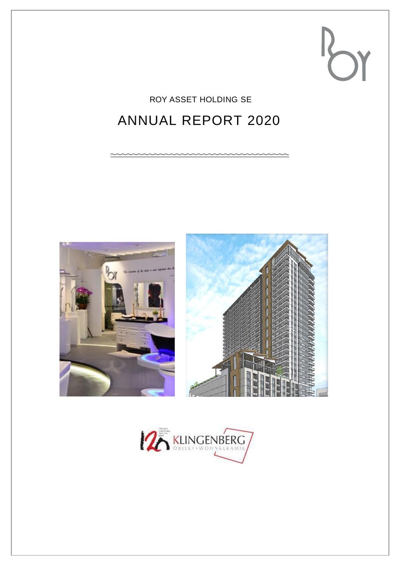## ROY ASSET HOLDING SE

# ANNUAL REPORT 2020



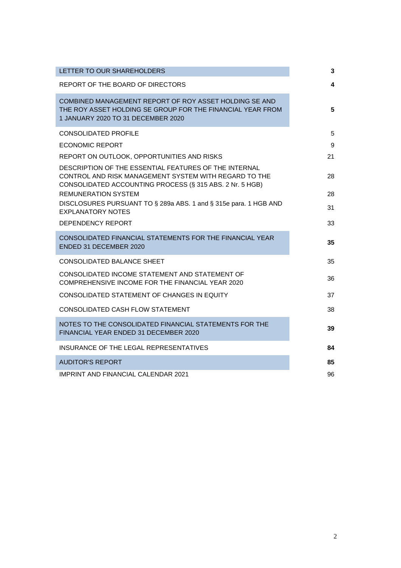| LETTER TO OUR SHAREHOLDERS                                                                                                                                                 | 3  |
|----------------------------------------------------------------------------------------------------------------------------------------------------------------------------|----|
| REPORT OF THE BOARD OF DIRECTORS                                                                                                                                           | 4  |
| COMBINED MANAGEMENT REPORT OF ROY ASSET HOLDING SE AND<br>THE ROY ASSET HOLDING SE GROUP FOR THE FINANCIAL YEAR FROM<br>1 JANUARY 2020 TO 31 DECEMBER 2020                 | 5  |
| <b>CONSOLIDATED PROFILE</b>                                                                                                                                                | 5  |
| <b>ECONOMIC REPORT</b>                                                                                                                                                     | 9  |
| REPORT ON OUTLOOK, OPPORTUNITIES AND RISKS                                                                                                                                 | 21 |
| DESCRIPTION OF THE ESSENTIAL FEATURES OF THE INTERNAL<br>CONTROL AND RISK MANAGEMENT SYSTEM WITH REGARD TO THE<br>CONSOLIDATED ACCOUNTING PROCESS (§ 315 ABS. 2 Nr. 5 HGB) | 28 |
| <b>REMUNERATION SYSTEM</b>                                                                                                                                                 | 28 |
| DISCLOSURES PURSUANT TO § 289a ABS. 1 and § 315e para. 1 HGB AND<br><b>EXPLANATORY NOTES</b>                                                                               | 31 |
| <b>DEPENDENCY REPORT</b>                                                                                                                                                   | 33 |
| CONSOLIDATED FINANCIAL STATEMENTS FOR THE FINANCIAL YEAR<br>ENDED 31 DECEMBER 2020                                                                                         | 35 |
| CONSOLIDATED BALANCE SHEET                                                                                                                                                 | 35 |
| CONSOLIDATED INCOME STATEMENT AND STATEMENT OF<br>COMPREHENSIVE INCOME FOR THE FINANCIAL YEAR 2020                                                                         | 36 |
| CONSOLIDATED STATEMENT OF CHANGES IN EQUITY                                                                                                                                | 37 |
| CONSOLIDATED CASH FLOW STATEMENT                                                                                                                                           | 38 |
| NOTES TO THE CONSOLIDATED FINANCIAL STATEMENTS FOR THE<br>FINANCIAL YEAR ENDED 31 DECEMBER 2020                                                                            | 39 |
| INSURANCE OF THE LEGAL REPRESENTATIVES                                                                                                                                     | 84 |
| <b>AUDITOR'S REPORT</b>                                                                                                                                                    | 85 |
| IMPRINT AND FINANCIAL CALENDAR 2021                                                                                                                                        | 96 |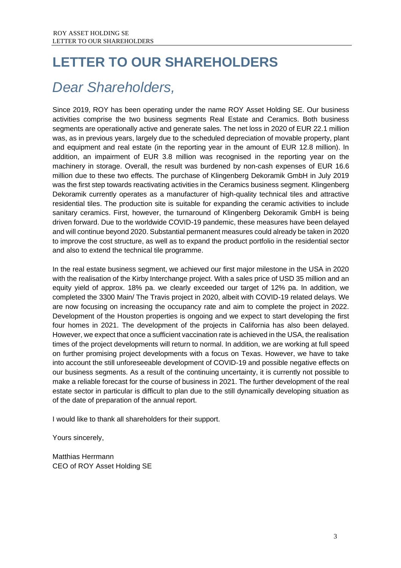# <span id="page-2-0"></span>**LETTER TO OUR SHAREHOLDERS**

# *Dear Shareholders,*

Since 2019, ROY has been operating under the name ROY Asset Holding SE. Our business activities comprise the two business segments Real Estate and Ceramics. Both business segments are operationally active and generate sales. The net loss in 2020 of EUR 22.1 million was, as in previous years, largely due to the scheduled depreciation of movable property, plant and equipment and real estate (in the reporting year in the amount of EUR 12.8 million). In addition, an impairment of EUR 3.8 million was recognised in the reporting year on the machinery in storage. Overall, the result was burdened by non-cash expenses of EUR 16.6 million due to these two effects. The purchase of Klingenberg Dekoramik GmbH in July 2019 was the first step towards reactivating activities in the Ceramics business segment. Klingenberg Dekoramik currently operates as a manufacturer of high-quality technical tiles and attractive residential tiles. The production site is suitable for expanding the ceramic activities to include sanitary ceramics. First, however, the turnaround of Klingenberg Dekoramik GmbH is being driven forward. Due to the worldwide COVID-19 pandemic, these measures have been delayed and will continue beyond 2020. Substantial permanent measures could already be taken in 2020 to improve the cost structure, as well as to expand the product portfolio in the residential sector and also to extend the technical tile programme.

In the real estate business segment, we achieved our first major milestone in the USA in 2020 with the realisation of the Kirby Interchange project. With a sales price of USD 35 million and an equity yield of approx. 18% pa. we clearly exceeded our target of 12% pa. In addition, we completed the 3300 Main/ The Travis project in 2020, albeit with COVID-19 related delays. We are now focusing on increasing the occupancy rate and aim to complete the project in 2022. Development of the Houston properties is ongoing and we expect to start developing the first four homes in 2021. The development of the projects in California has also been delayed. However, we expect that once a sufficient vaccination rate is achieved in the USA, the realisation times of the project developments will return to normal. In addition, we are working at full speed on further promising project developments with a focus on Texas. However, we have to take into account the still unforeseeable development of COVID-19 and possible negative effects on our business segments. As a result of the continuing uncertainty, it is currently not possible to make a reliable forecast for the course of business in 2021. The further development of the real estate sector in particular is difficult to plan due to the still dynamically developing situation as of the date of preparation of the annual report.

I would like to thank all shareholders for their support.

Yours sincerely,

Matthias Herrmann CEO of ROY Asset Holding SE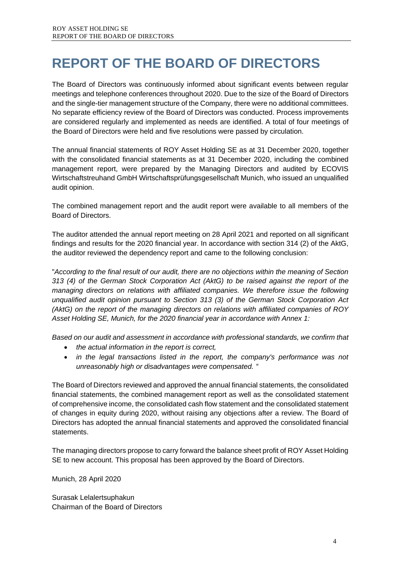# <span id="page-3-0"></span>**REPORT OF THE BOARD OF DIRECTORS**

The Board of Directors was continuously informed about significant events between regular meetings and telephone conferences throughout 2020. Due to the size of the Board of Directors and the single-tier management structure of the Company, there were no additional committees. No separate efficiency review of the Board of Directors was conducted. Process improvements are considered regularly and implemented as needs are identified. A total of four meetings of the Board of Directors were held and five resolutions were passed by circulation.

The annual financial statements of ROY Asset Holding SE as at 31 December 2020, together with the consolidated financial statements as at 31 December 2020, including the combined management report, were prepared by the Managing Directors and audited by ECOVIS Wirtschaftstreuhand GmbH Wirtschaftsprüfungsgesellschaft Munich, who issued an unqualified audit opinion.

The combined management report and the audit report were available to all members of the Board of Directors.

The auditor attended the annual report meeting on 28 April 2021 and reported on all significant findings and results for the 2020 financial year. In accordance with section 314 (2) of the AktG, the auditor reviewed the dependency report and came to the following conclusion:

"*According to the final result of our audit, there are no objections within the meaning of Section 313 (4) of the German Stock Corporation Act (AktG) to be raised against the report of the managing directors on relations with affiliated companies. We therefore issue the following unqualified audit opinion pursuant to Section 313 (3) of the German Stock Corporation Act (AktG) on the report of the managing directors on relations with affiliated companies of ROY Asset Holding SE, Munich, for the 2020 financial year in accordance with Annex 1:* 

*Based on our audit and assessment in accordance with professional standards, we confirm that* 

- *the actual information in the report is correct,*
- *in the legal transactions listed in the report, the company's performance was not unreasonably high or disadvantages were compensated. "*

The Board of Directors reviewed and approved the annual financial statements, the consolidated financial statements, the combined management report as well as the consolidated statement of comprehensive income, the consolidated cash flow statement and the consolidated statement of changes in equity during 2020, without raising any objections after a review. The Board of Directors has adopted the annual financial statements and approved the consolidated financial statements.

The managing directors propose to carry forward the balance sheet profit of ROY Asset Holding SE to new account. This proposal has been approved by the Board of Directors.

Munich, 28 April 2020

Surasak Lelalertsuphakun Chairman of the Board of Directors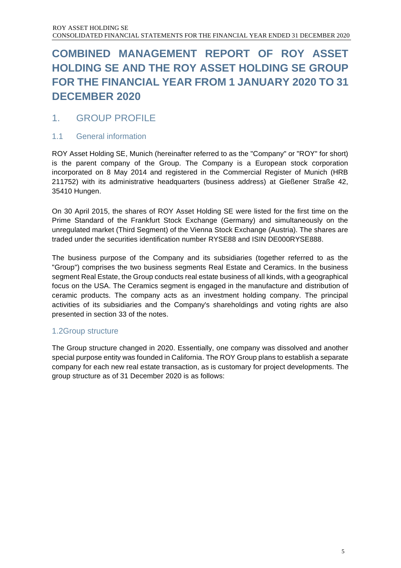## <span id="page-4-0"></span>**COMBINED MANAGEMENT REPORT OF ROY ASSET HOLDING SE AND THE ROY ASSET HOLDING SE GROUP FOR THE FINANCIAL YEAR FROM 1 JANUARY 2020 TO 31 DECEMBER 2020**

### <span id="page-4-1"></span>1. GROUP PROFILE

### 1.1 General information

ROY Asset Holding SE, Munich (hereinafter referred to as the "Company" or "ROY" for short) is the parent company of the Group. The Company is a European stock corporation incorporated on 8 May 2014 and registered in the Commercial Register of Munich (HRB 211752) with its administrative headquarters (business address) at Gießener Straße 42, 35410 Hungen.

On 30 April 2015, the shares of ROY Asset Holding SE were listed for the first time on the Prime Standard of the Frankfurt Stock Exchange (Germany) and simultaneously on the unregulated market (Third Segment) of the Vienna Stock Exchange (Austria). The shares are traded under the securities identification number RYSE88 and ISIN DE000RYSE888.

The business purpose of the Company and its subsidiaries (together referred to as the "Group") comprises the two business segments Real Estate and Ceramics. In the business segment Real Estate, the Group conducts real estate business of all kinds, with a geographical focus on the USA. The Ceramics segment is engaged in the manufacture and distribution of ceramic products. The company acts as an investment holding company. The principal activities of its subsidiaries and the Company's shareholdings and voting rights are also presented in section 33 of the notes.

### 1.2Group structure

The Group structure changed in 2020. Essentially, one company was dissolved and another special purpose entity was founded in California. The ROY Group plans to establish a separate company for each new real estate transaction, as is customary for project developments. The group structure as of 31 December 2020 is as follows: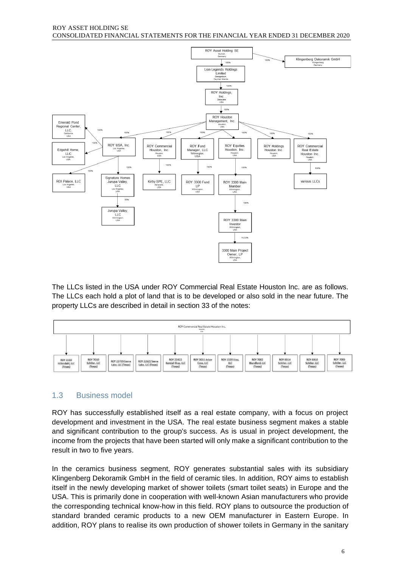ROY ASSET HOLDING SE CONSOLIDATED FINANCIAL STATEMENTS FOR THE FINANCIAL YEAR ENDED 31 DECEMBER 2020



The LLCs listed in the USA under ROY Commercial Real Estate Houston Inc. are as follows. The LLCs each hold a plot of land that is to be developed or also sold in the near future. The property LLCs are described in detail in section 33 of the notes:



### 1.3 Business model

ROY has successfully established itself as a real estate company, with a focus on project development and investment in the USA. The real estate business segment makes a stable and significant contribution to the group's success. As is usual in project development, the income from the projects that have been started will only make a significant contribution to the result in two to five years.

In the ceramics business segment, ROY generates substantial sales with its subsidiary Klingenberg Dekoramik GmbH in the field of ceramic tiles. In addition, ROY aims to establish itself in the newly developing market of shower toilets (smart toilet seats) in Europe and the USA. This is primarily done in cooperation with well-known Asian manufacturers who provide the corresponding technical know-how in this field. ROY plans to outsource the production of standard branded ceramic products to a new OEM manufacturer in Eastern Europe. In addition, ROY plans to realise its own production of shower toilets in Germany in the sanitary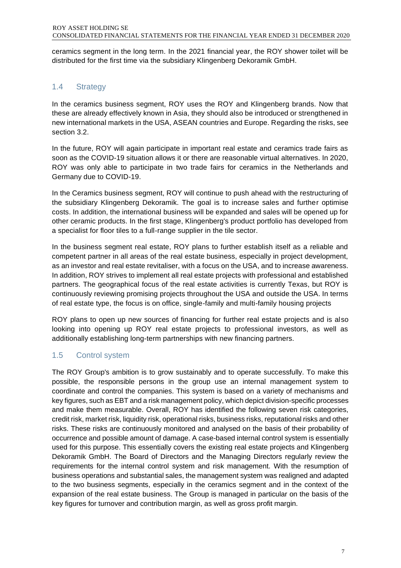ceramics segment in the long term. In the 2021 financial year, the ROY shower toilet will be distributed for the first time via the subsidiary Klingenberg Dekoramik GmbH.

### 1.4 Strategy

In the ceramics business segment, ROY uses the ROY and Klingenberg brands. Now that these are already effectively known in Asia, they should also be introduced or strengthened in new international markets in the USA, ASEAN countries and Europe. Regarding the risks, see section 3.2.

In the future, ROY will again participate in important real estate and ceramics trade fairs as soon as the COVID-19 situation allows it or there are reasonable virtual alternatives. In 2020, ROY was only able to participate in two trade fairs for ceramics in the Netherlands and Germany due to COVID-19.

In the Ceramics business segment, ROY will continue to push ahead with the restructuring of the subsidiary Klingenberg Dekoramik. The goal is to increase sales and further optimise costs. In addition, the international business will be expanded and sales will be opened up for other ceramic products. In the first stage, Klingenberg's product portfolio has developed from a specialist for floor tiles to a full-range supplier in the tile sector.

In the business segment real estate, ROY plans to further establish itself as a reliable and competent partner in all areas of the real estate business, especially in project development, as an investor and real estate revitaliser, with a focus on the USA, and to increase awareness. In addition, ROY strives to implement all real estate projects with professional and established partners. The geographical focus of the real estate activities is currently Texas, but ROY is continuously reviewing promising projects throughout the USA and outside the USA. In terms of real estate type, the focus is on office, single-family and multi-family housing projects

ROY plans to open up new sources of financing for further real estate projects and is also looking into opening up ROY real estate projects to professional investors, as well as additionally establishing long-term partnerships with new financing partners.

### 1.5 Control system

The ROY Group's ambition is to grow sustainably and to operate successfully. To make this possible, the responsible persons in the group use an internal management system to coordinate and control the companies. This system is based on a variety of mechanisms and key figures, such as EBT and a risk management policy, which depict division-specific processes and make them measurable. Overall, ROY has identified the following seven risk categories, credit risk, market risk, liquidity risk, operational risks, business risks, reputational risks and other risks. These risks are continuously monitored and analysed on the basis of their probability of occurrence and possible amount of damage. A case-based internal control system is essentially used for this purpose. This essentially covers the existing real estate projects and Klingenberg Dekoramik GmbH. The Board of Directors and the Managing Directors regularly review the requirements for the internal control system and risk management. With the resumption of business operations and substantial sales, the management system was realigned and adapted to the two business segments, especially in the ceramics segment and in the context of the expansion of the real estate business. The Group is managed in particular on the basis of the key figures for turnover and contribution margin, as well as gross profit margin.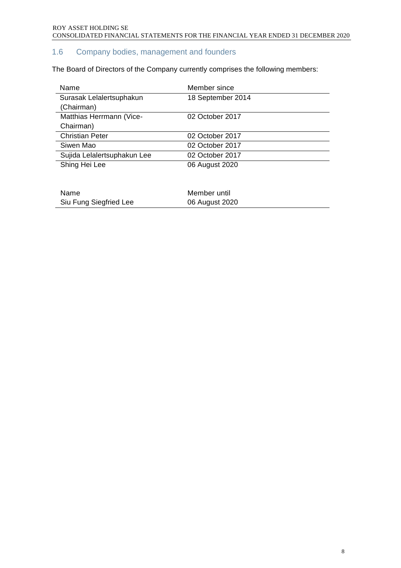### 1.6 Company bodies, management and founders

The Board of Directors of the Company currently comprises the following members:

| Name                        | Member since      |
|-----------------------------|-------------------|
| Surasak Lelalertsuphakun    | 18 September 2014 |
| (Chairman)                  |                   |
| Matthias Herrmann (Vice-    | 02 October 2017   |
| Chairman)                   |                   |
| <b>Christian Peter</b>      | 02 October 2017   |
| Siwen Mao                   | 02 October 2017   |
| Sujida Lelalertsuphakun Lee | 02 October 2017   |
| Shing Hei Lee               | 06 August 2020    |
|                             |                   |
|                             |                   |
| Name                        | Member until      |
| Siu Fung Siegfried Lee      | 06 August 2020    |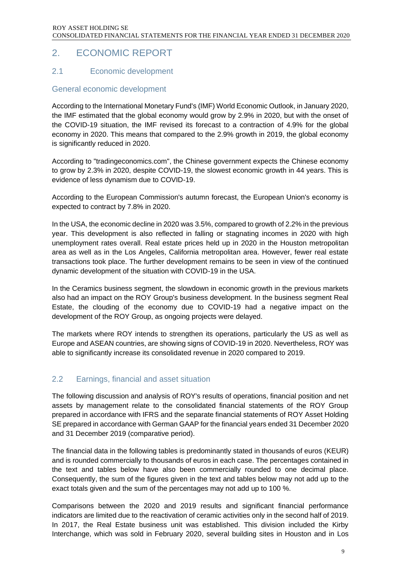### <span id="page-8-0"></span>2. ECONOMIC REPORT

### 2.1 Economic development

### General economic development

According to the International Monetary Fund's (IMF) World Economic Outlook, in January 2020, the IMF estimated that the global economy would grow by 2.9% in 2020, but with the onset of the COVID-19 situation, the IMF revised its forecast to a contraction of 4.9% for the global economy in 2020. This means that compared to the 2.9% growth in 2019, the global economy is significantly reduced in 2020.

According to "tradingeconomics.com", the Chinese government expects the Chinese economy to grow by 2.3% in 2020, despite COVID-19, the slowest economic growth in 44 years. This is evidence of less dynamism due to COVID-19.

According to the European Commission's autumn forecast, the European Union's economy is expected to contract by 7.8% in 2020.

In the USA, the economic decline in 2020 was 3.5%, compared to growth of 2.2% in the previous year. This development is also reflected in falling or stagnating incomes in 2020 with high unemployment rates overall. Real estate prices held up in 2020 in the Houston metropolitan area as well as in the Los Angeles, California metropolitan area. However, fewer real estate transactions took place. The further development remains to be seen in view of the continued dynamic development of the situation with COVID-19 in the USA.

In the Ceramics business segment, the slowdown in economic growth in the previous markets also had an impact on the ROY Group's business development. In the business segment Real Estate, the clouding of the economy due to COVID-19 had a negative impact on the development of the ROY Group, as ongoing projects were delayed.

The markets where ROY intends to strengthen its operations, particularly the US as well as Europe and ASEAN countries, are showing signs of COVID-19 in 2020. Nevertheless, ROY was able to significantly increase its consolidated revenue in 2020 compared to 2019.

### 2.2 Earnings, financial and asset situation

The following discussion and analysis of ROY's results of operations, financial position and net assets by management relate to the consolidated financial statements of the ROY Group prepared in accordance with IFRS and the separate financial statements of ROY Asset Holding SE prepared in accordance with German GAAP for the financial years ended 31 December 2020 and 31 December 2019 (comparative period).

The financial data in the following tables is predominantly stated in thousands of euros (KEUR) and is rounded commercially to thousands of euros in each case. The percentages contained in the text and tables below have also been commercially rounded to one decimal place. Consequently, the sum of the figures given in the text and tables below may not add up to the exact totals given and the sum of the percentages may not add up to 100 %.

Comparisons between the 2020 and 2019 results and significant financial performance indicators are limited due to the reactivation of ceramic activities only in the second half of 2019. In 2017, the Real Estate business unit was established. This division included the Kirby Interchange, which was sold in February 2020, several building sites in Houston and in Los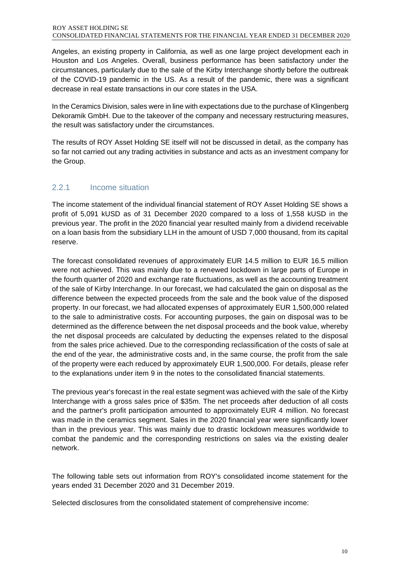Angeles, an existing property in California, as well as one large project development each in Houston and Los Angeles. Overall, business performance has been satisfactory under the circumstances, particularly due to the sale of the Kirby Interchange shortly before the outbreak of the COVID-19 pandemic in the US. As a result of the pandemic, there was a significant decrease in real estate transactions in our core states in the USA.

In the Ceramics Division, sales were in line with expectations due to the purchase of Klingenberg Dekoramik GmbH. Due to the takeover of the company and necessary restructuring measures, the result was satisfactory under the circumstances.

The results of ROY Asset Holding SE itself will not be discussed in detail, as the company has so far not carried out any trading activities in substance and acts as an investment company for the Group.

### 2.2.1 Income situation

The income statement of the individual financial statement of ROY Asset Holding SE shows a profit of 5,091 kUSD as of 31 December 2020 compared to a loss of 1,558 kUSD in the previous year. The profit in the 2020 financial year resulted mainly from a dividend receivable on a loan basis from the subsidiary LLH in the amount of USD 7,000 thousand, from its capital reserve.

The forecast consolidated revenues of approximately EUR 14.5 million to EUR 16.5 million were not achieved. This was mainly due to a renewed lockdown in large parts of Europe in the fourth quarter of 2020 and exchange rate fluctuations, as well as the accounting treatment of the sale of Kirby Interchange. In our forecast, we had calculated the gain on disposal as the difference between the expected proceeds from the sale and the book value of the disposed property. In our forecast, we had allocated expenses of approximately EUR 1,500,000 related to the sale to administrative costs. For accounting purposes, the gain on disposal was to be determined as the difference between the net disposal proceeds and the book value, whereby the net disposal proceeds are calculated by deducting the expenses related to the disposal from the sales price achieved. Due to the corresponding reclassification of the costs of sale at the end of the year, the administrative costs and, in the same course, the profit from the sale of the property were each reduced by approximately EUR 1,500,000. For details, please refer to the explanations under item 9 in the notes to the consolidated financial statements.

The previous year's forecast in the real estate segment was achieved with the sale of the Kirby Interchange with a gross sales price of \$35m. The net proceeds after deduction of all costs and the partner's profit participation amounted to approximately EUR 4 million. No forecast was made in the ceramics segment. Sales in the 2020 financial year were significantly lower than in the previous year. This was mainly due to drastic lockdown measures worldwide to combat the pandemic and the corresponding restrictions on sales via the existing dealer network.

The following table sets out information from ROY's consolidated income statement for the years ended 31 December 2020 and 31 December 2019.

Selected disclosures from the consolidated statement of comprehensive income: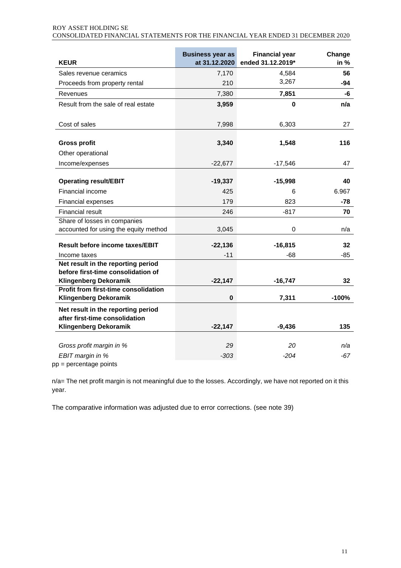### ROY ASSET HOLDING SE

| 101 <i>moll</i> molding ol                                                      |  |  |  |
|---------------------------------------------------------------------------------|--|--|--|
| CONSOLIDATED FINANCIAL STATEMENTS FOR THE FINANCIAL YEAR ENDED 31 DECEMBER 2020 |  |  |  |

| <b>KEUR</b>                                                              | <b>Business year as</b><br>at 31.12.2020 | <b>Financial year</b><br>ended 31.12.2019* | Change<br>in $%$ |
|--------------------------------------------------------------------------|------------------------------------------|--------------------------------------------|------------------|
| Sales revenue ceramics                                                   | 7,170                                    | 4,584                                      | 56               |
| Proceeds from property rental                                            | 210                                      | 3,267                                      | $-94$            |
| Revenues                                                                 | 7,380                                    | 7,851                                      | -6               |
| Result from the sale of real estate                                      | 3,959                                    | 0                                          | n/a              |
| Cost of sales                                                            | 7,998                                    | 6,303                                      | 27               |
| <b>Gross profit</b><br>Other operational                                 | 3,340                                    | 1,548                                      | 116              |
| Income/expenses                                                          | $-22,677$                                | $-17,546$                                  | 47               |
| <b>Operating result/EBIT</b>                                             | $-19,337$                                | $-15,998$                                  | 40               |
| Financial income                                                         | 425                                      | 6                                          | 6.967            |
| Financial expenses                                                       | 179                                      | 823                                        | $-78$            |
| <b>Financial result</b>                                                  | 246                                      | $-817$                                     | 70               |
| Share of losses in companies                                             |                                          |                                            |                  |
| accounted for using the equity method                                    | 3,045                                    | 0                                          | n/a              |
| <b>Result before income taxes/EBIT</b>                                   | $-22,136$                                | $-16,815$                                  | 32               |
| Income taxes                                                             | $-11$                                    | -68                                        | $-85$            |
| Net result in the reporting period<br>before first-time consolidation of |                                          |                                            |                  |
| <b>Klingenberg Dekoramik</b>                                             | $-22,147$                                | $-16,747$                                  | 32               |
| <b>Profit from first-time consolidation</b>                              |                                          |                                            |                  |
| <b>Klingenberg Dekoramik</b>                                             | $\bf{0}$                                 | 7,311                                      | $-100%$          |
| Net result in the reporting period<br>after first-time consolidation     |                                          |                                            |                  |
| <b>Klingenberg Dekoramik</b>                                             | $-22,147$                                | $-9,436$                                   | 135              |
|                                                                          |                                          |                                            |                  |
| Gross profit margin in %                                                 | 29                                       | 20                                         | n/a              |
| EBIT margin in %<br>pp = percentage points                               | $-303$                                   | $-204$                                     | $-67$            |

n/a= The net profit margin is not meaningful due to the losses. Accordingly, we have not reported on it this year.

The comparative information was adjusted due to error corrections. (see note 39)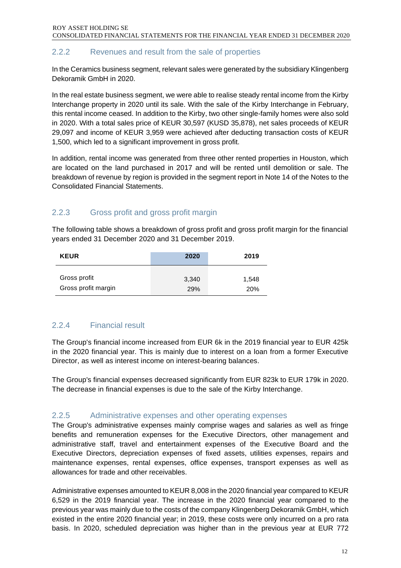### 2.2.2 Revenues and result from the sale of properties

In the Ceramics business segment, relevant sales were generated by the subsidiary Klingenberg Dekoramik GmbH in 2020.

In the real estate business segment, we were able to realise steady rental income from the Kirby Interchange property in 2020 until its sale. With the sale of the Kirby Interchange in February, this rental income ceased. In addition to the Kirby, two other single-family homes were also sold in 2020. With a total sales price of KEUR 30,597 (KUSD 35,878), net sales proceeds of KEUR 29,097 and income of KEUR 3,959 were achieved after deducting transaction costs of KEUR 1,500, which led to a significant improvement in gross profit.

In addition, rental income was generated from three other rented properties in Houston, which are located on the land purchased in 2017 and will be rented until demolition or sale. The breakdown of revenue by region is provided in the segment report in Note 14 of the Notes to the Consolidated Financial Statements.

### 2.2.3 Gross profit and gross profit margin

The following table shows a breakdown of gross profit and gross profit margin for the financial years ended 31 December 2020 and 31 December 2019.

| <b>KEUR</b>         | 2020  | 2019  |
|---------------------|-------|-------|
| Gross profit        | 3,340 | 1,548 |
| Gross profit margin | 29%   | 20%   |

### 2.2.4 Financial result

The Group's financial income increased from EUR 6k in the 2019 financial year to EUR 425k in the 2020 financial year. This is mainly due to interest on a loan from a former Executive Director, as well as interest income on interest-bearing balances.

The Group's financial expenses decreased significantly from EUR 823k to EUR 179k in 2020. The decrease in financial expenses is due to the sale of the Kirby Interchange.

### 2.2.5 Administrative expenses and other operating expenses

The Group's administrative expenses mainly comprise wages and salaries as well as fringe benefits and remuneration expenses for the Executive Directors, other management and administrative staff, travel and entertainment expenses of the Executive Board and the Executive Directors, depreciation expenses of fixed assets, utilities expenses, repairs and maintenance expenses, rental expenses, office expenses, transport expenses as well as allowances for trade and other receivables.

Administrative expenses amounted to KEUR 8,008 in the 2020 financial year compared to KEUR 6,529 in the 2019 financial year. The increase in the 2020 financial year compared to the previous year was mainly due to the costs of the company Klingenberg Dekoramik GmbH, which existed in the entire 2020 financial year; in 2019, these costs were only incurred on a pro rata basis. In 2020, scheduled depreciation was higher than in the previous year at EUR 772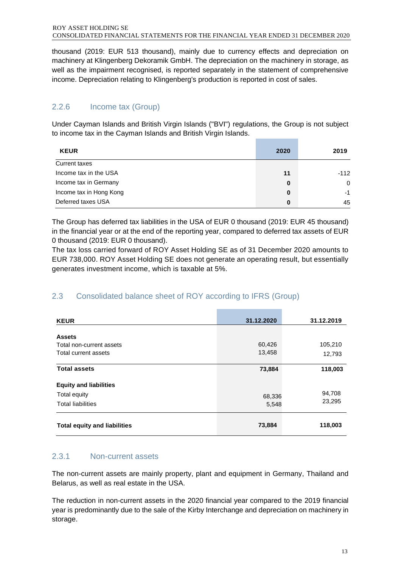thousand (2019: EUR 513 thousand), mainly due to currency effects and depreciation on machinery at Klingenberg Dekoramik GmbH. The depreciation on the machinery in storage, as well as the impairment recognised, is reported separately in the statement of comprehensive income. Depreciation relating to Klingenberg's production is reported in cost of sales.

### 2.2.6 Income tax (Group)

Under Cayman Islands and British Virgin Islands ("BVI") regulations, the Group is not subject to income tax in the Cayman Islands and British Virgin Islands.

| <b>KEUR</b>             | 2020 | 2019     |
|-------------------------|------|----------|
| Current taxes           |      |          |
| Income tax in the USA   | 11   | $-112$   |
| Income tax in Germany   | 0    | $\Omega$ |
| Income tax in Hong Kong | 0    | $-1$     |
| Deferred taxes USA      | 0    | 45       |

The Group has deferred tax liabilities in the USA of EUR 0 thousand (2019: EUR 45 thousand) in the financial year or at the end of the reporting year, compared to deferred tax assets of EUR 0 thousand (2019: EUR 0 thousand).

The tax loss carried forward of ROY Asset Holding SE as of 31 December 2020 amounts to EUR 738,000. ROY Asset Holding SE does not generate an operating result, but essentially generates investment income, which is taxable at 5%.

### 2.3 Consolidated balance sheet of ROY according to IFRS (Group)

| <b>KEUR</b>                                                               | 31.12.2020       | 31.12.2019        |
|---------------------------------------------------------------------------|------------------|-------------------|
| <b>Assets</b><br>Total non-current assets<br>Total current assets         | 60,426<br>13,458 | 105,210<br>12,793 |
| <b>Total assets</b>                                                       | 73,884           | 118,003           |
| <b>Equity and liabilities</b><br>Total equity<br><b>Total liabilities</b> | 68,336<br>5,548  | 94,708<br>23,295  |
| <b>Total equity and liabilities</b>                                       | 73,884           | 118,003           |

### 2.3.1 Non-current assets

The non-current assets are mainly property, plant and equipment in Germany, Thailand and Belarus, as well as real estate in the USA.

The reduction in non-current assets in the 2020 financial year compared to the 2019 financial year is predominantly due to the sale of the Kirby Interchange and depreciation on machinery in storage.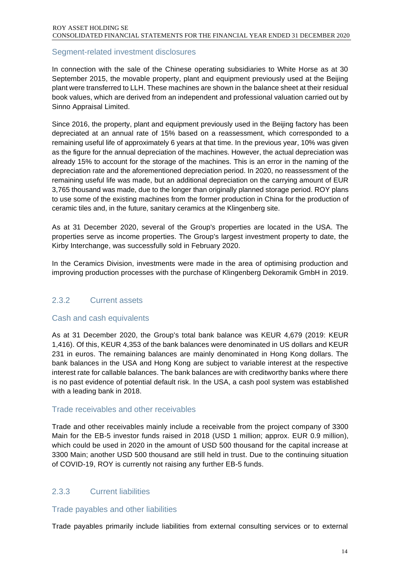### Segment-related investment disclosures

In connection with the sale of the Chinese operating subsidiaries to White Horse as at 30 September 2015, the movable property, plant and equipment previously used at the Beijing plant were transferred to LLH. These machines are shown in the balance sheet at their residual book values, which are derived from an independent and professional valuation carried out by Sinno Appraisal Limited.

Since 2016, the property, plant and equipment previously used in the Beijing factory has been depreciated at an annual rate of 15% based on a reassessment, which corresponded to a remaining useful life of approximately 6 years at that time. In the previous year, 10% was given as the figure for the annual depreciation of the machines. However, the actual depreciation was already 15% to account for the storage of the machines. This is an error in the naming of the depreciation rate and the aforementioned depreciation period. In 2020, no reassessment of the remaining useful life was made, but an additional depreciation on the carrying amount of EUR 3,765 thousand was made, due to the longer than originally planned storage period. ROY plans to use some of the existing machines from the former production in China for the production of ceramic tiles and, in the future, sanitary ceramics at the Klingenberg site.

As at 31 December 2020, several of the Group's properties are located in the USA. The properties serve as income properties. The Group's largest investment property to date, the Kirby Interchange, was successfully sold in February 2020.

In the Ceramics Division, investments were made in the area of optimising production and improving production processes with the purchase of Klingenberg Dekoramik GmbH in 2019.

### 2.3.2 Current assets

#### Cash and cash equivalents

As at 31 December 2020, the Group's total bank balance was KEUR 4,679 (2019: KEUR 1,416). Of this, KEUR 4,353 of the bank balances were denominated in US dollars and KEUR 231 in euros. The remaining balances are mainly denominated in Hong Kong dollars. The bank balances in the USA and Hong Kong are subject to variable interest at the respective interest rate for callable balances. The bank balances are with creditworthy banks where there is no past evidence of potential default risk. In the USA, a cash pool system was established with a leading bank in 2018.

#### Trade receivables and other receivables

Trade and other receivables mainly include a receivable from the project company of 3300 Main for the EB-5 investor funds raised in 2018 (USD 1 million; approx. EUR 0.9 million), which could be used in 2020 in the amount of USD 500 thousand for the capital increase at 3300 Main; another USD 500 thousand are still held in trust. Due to the continuing situation of COVID-19, ROY is currently not raising any further EB-5 funds.

### 2.3.3 Current liabilities

#### Trade payables and other liabilities

Trade payables primarily include liabilities from external consulting services or to external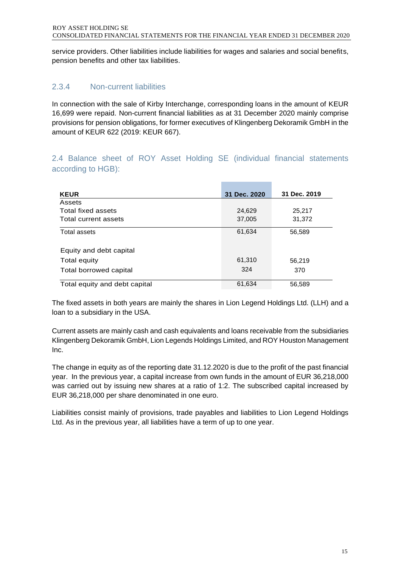service providers. Other liabilities include liabilities for wages and salaries and social benefits, pension benefits and other tax liabilities.

### 2.3.4 Non-current liabilities

In connection with the sale of Kirby Interchange, corresponding loans in the amount of KEUR 16,699 were repaid. Non-current financial liabilities as at 31 December 2020 mainly comprise provisions for pension obligations, for former executives of Klingenberg Dekoramik GmbH in the amount of KEUR 622 (2019: KEUR 667).

### 2.4 Balance sheet of ROY Asset Holding SE (individual financial statements according to HGB):

| <b>KEUR</b>                   | 31 Dec. 2020 | 31 Dec. 2019 |
|-------------------------------|--------------|--------------|
| Assets                        |              |              |
| Total fixed assets            | 24,629       | 25,217       |
| Total current assets          | 37,005       | 31,372       |
| Total assets                  | 61,634       | 56,589       |
| Equity and debt capital       |              |              |
| Total equity                  | 61,310       | 56,219       |
| Total borrowed capital        | 324          | 370          |
| Total equity and debt capital | 61,634       | 56,589       |

The fixed assets in both years are mainly the shares in Lion Legend Holdings Ltd. (LLH) and a loan to a subsidiary in the USA.

Current assets are mainly cash and cash equivalents and loans receivable from the subsidiaries Klingenberg Dekoramik GmbH, Lion Legends Holdings Limited, and ROY Houston Management Inc.

The change in equity as of the reporting date 31.12.2020 is due to the profit of the past financial year. In the previous year, a capital increase from own funds in the amount of EUR 36,218,000 was carried out by issuing new shares at a ratio of 1:2. The subscribed capital increased by EUR 36,218,000 per share denominated in one euro.

Liabilities consist mainly of provisions, trade payables and liabilities to Lion Legend Holdings Ltd. As in the previous year, all liabilities have a term of up to one year.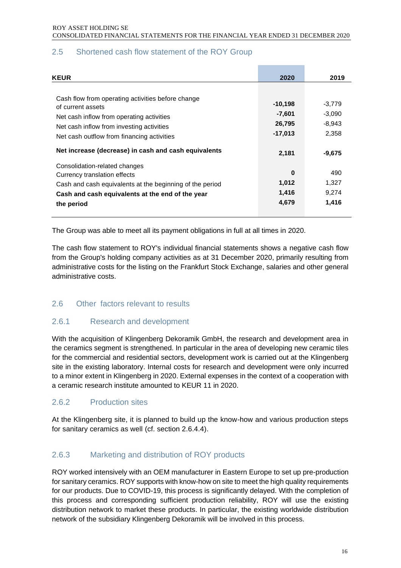| <b>KEUR</b>                                              | 2020      | 2019     |
|----------------------------------------------------------|-----------|----------|
|                                                          |           |          |
| Cash flow from operating activities before change        |           |          |
| of current assets                                        | $-10,198$ | -3,779   |
| Net cash inflow from operating activities                | $-7,601$  | $-3,090$ |
| Net cash inflow from investing activities                | 26,795    | $-8,943$ |
| Net cash outflow from financing activities               | $-17,013$ | 2,358    |
|                                                          |           |          |
| Net increase (decrease) in cash and cash equivalents     | 2,181     | $-9,675$ |
|                                                          |           |          |
| Consolidation-related changes                            | 0         | 490      |
| Currency translation effects                             |           |          |
| Cash and cash equivalents at the beginning of the period | 1,012     | 1,327    |
| Cash and cash equivalents at the end of the year         | 1,416     | 9,274    |
| the period                                               | 4,679     | 1,416    |
|                                                          |           |          |
|                                                          |           |          |

### 2.5 Shortened cash flow statement of the ROY Group

The Group was able to meet all its payment obligations in full at all times in 2020.

The cash flow statement to ROY's individual financial statements shows a negative cash flow from the Group's holding company activities as at 31 December 2020, primarily resulting from administrative costs for the listing on the Frankfurt Stock Exchange, salaries and other general administrative costs.

### 2.6 Other factors relevant to results

### 2.6.1 Research and development

With the acquisition of Klingenberg Dekoramik GmbH, the research and development area in the ceramics segment is strengthened. In particular in the area of developing new ceramic tiles for the commercial and residential sectors, development work is carried out at the Klingenberg site in the existing laboratory. Internal costs for research and development were only incurred to a minor extent in Klingenberg in 2020. External expenses in the context of a cooperation with a ceramic research institute amounted to KEUR 11 in 2020.

### 2.6.2 Production sites

At the Klingenberg site, it is planned to build up the know-how and various production steps for sanitary ceramics as well (cf. section 2.6.4.4).

### 2.6.3 Marketing and distribution of ROY products

ROY worked intensively with an OEM manufacturer in Eastern Europe to set up pre-production for sanitary ceramics. ROY supports with know-how on site to meet the high quality requirements for our products. Due to COVID-19, this process is significantly delayed. With the completion of this process and corresponding sufficient production reliability, ROY will use the existing distribution network to market these products. In particular, the existing worldwide distribution network of the subsidiary Klingenberg Dekoramik will be involved in this process.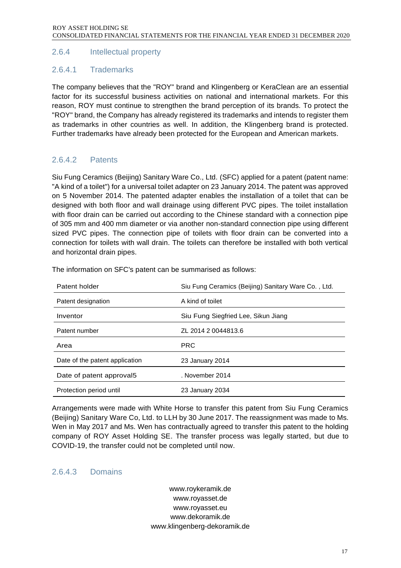### 2.6.4 Intellectual property

### 2.6.4.1 Trademarks

The company believes that the "ROY" brand and Klingenberg or KeraClean are an essential factor for its successful business activities on national and international markets. For this reason, ROY must continue to strengthen the brand perception of its brands. To protect the "ROY" brand, the Company has already registered its trademarks and intends to register them as trademarks in other countries as well. In addition, the Klingenberg brand is protected. Further trademarks have already been protected for the European and American markets.

### 2.6.4.2 Patents

Siu Fung Ceramics (Beijing) Sanitary Ware Co., Ltd. (SFC) applied for a patent (patent name: "A kind of a toilet") for a universal toilet adapter on 23 January 2014. The patent was approved on 5 November 2014. The patented adapter enables the installation of a toilet that can be designed with both floor and wall drainage using different PVC pipes. The toilet installation with floor drain can be carried out according to the Chinese standard with a connection pipe of 305 mm and 400 mm diameter or via another non-standard connection pipe using different sized PVC pipes. The connection pipe of toilets with floor drain can be converted into a connection for toilets with wall drain. The toilets can therefore be installed with both vertical and horizontal drain pipes.

| Patent holder                  | Siu Fung Ceramics (Beijing) Sanitary Ware Co., Ltd. |
|--------------------------------|-----------------------------------------------------|
| Patent designation             | A kind of toilet                                    |
| Inventor                       | Siu Fung Siegfried Lee, Sikun Jiang                 |
| Patent number                  | ZL 2014 2 0044813.6                                 |
| Area                           |                                                     |
|                                | <b>PRC</b>                                          |
| Date of the patent application | 23 January 2014                                     |
| Date of patent approval5       | . November 2014                                     |

The information on SFC's patent can be summarised as follows:

Arrangements were made with White Horse to transfer this patent from Siu Fung Ceramics (Beijing) Sanitary Ware Co, Ltd. to LLH by 30 June 2017. The reassignment was made to Ms. Wen in May 2017 and Ms. Wen has contractually agreed to transfer this patent to the holding company of ROY Asset Holding SE. The transfer process was legally started, but due to COVID-19, the transfer could not be completed until now.

#### 2.6.4.3 Domains

[www.roykeramik.de](http://www.roykeramik.de/) www.royasset.de www.royasset.eu www.dekoramik.de www.klingenberg-dekoramik.de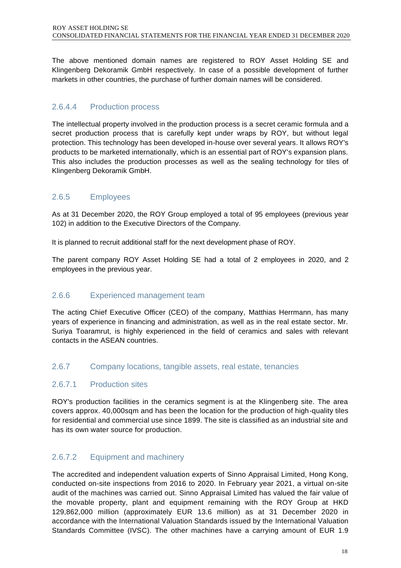The above mentioned domain names are registered to ROY Asset Holding SE and Klingenberg Dekoramik GmbH respectively. In case of a possible development of further markets in other countries, the purchase of further domain names will be considered.

### 2.6.4.4 Production process

The intellectual property involved in the production process is a secret ceramic formula and a secret production process that is carefully kept under wraps by ROY, but without legal protection. This technology has been developed in-house over several years. It allows ROY's products to be marketed internationally, which is an essential part of ROY's expansion plans. This also includes the production processes as well as the sealing technology for tiles of Klingenberg Dekoramik GmbH.

### 2.6.5 Employees

As at 31 December 2020, the ROY Group employed a total of 95 employees (previous year 102) in addition to the Executive Directors of the Company.

It is planned to recruit additional staff for the next development phase of ROY.

The parent company ROY Asset Holding SE had a total of 2 employees in 2020, and 2 employees in the previous year.

### 2.6.6 Experienced management team

The acting Chief Executive Officer (CEO) of the company, Matthias Herrmann, has many years of experience in financing and administration, as well as in the real estate sector. Mr. Suriya Toaramrut, is highly experienced in the field of ceramics and sales with relevant contacts in the ASEAN countries.

#### 2.6.7 Company locations, tangible assets, real estate, tenancies

### 2.6.7.1 Production sites

ROY's production facilities in the ceramics segment is at the Klingenberg site. The area covers approx. 40,000sqm and has been the location for the production of high-quality tiles for residential and commercial use since 1899. The site is classified as an industrial site and has its own water source for production.

### 2.6.7.2 Equipment and machinery

The accredited and independent valuation experts of Sinno Appraisal Limited, Hong Kong, conducted on-site inspections from 2016 to 2020. In February year 2021, a virtual on-site audit of the machines was carried out. Sinno Appraisal Limited has valued the fair value of the movable property, plant and equipment remaining with the ROY Group at HKD 129,862,000 million (approximately EUR 13.6 million) as at 31 December 2020 in accordance with the International Valuation Standards issued by the International Valuation Standards Committee (IVSC). The other machines have a carrying amount of EUR 1.9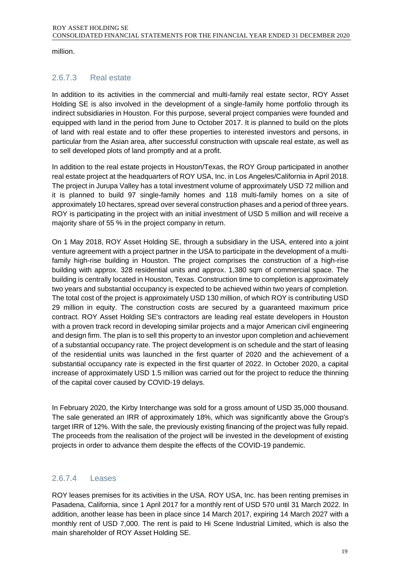million.

### 2.6.7.3 Real estate

In addition to its activities in the commercial and multi-family real estate sector, ROY Asset Holding SE is also involved in the development of a single-family home portfolio through its indirect subsidiaries in Houston. For this purpose, several project companies were founded and equipped with land in the period from June to October 2017. It is planned to build on the plots of land with real estate and to offer these properties to interested investors and persons, in particular from the Asian area, after successful construction with upscale real estate, as well as to sell developed plots of land promptly and at a profit.

In addition to the real estate projects in Houston/Texas, the ROY Group participated in another real estate project at the headquarters of ROY USA, Inc. in Los Angeles/California in April 2018. The project in Jurupa Valley has a total investment volume of approximately USD 72 million and it is planned to build 97 single-family homes and 118 multi-family homes on a site of approximately 10 hectares, spread over several construction phases and a period of three years. ROY is participating in the project with an initial investment of USD 5 million and will receive a majority share of 55 % in the project company in return.

On 1 May 2018, ROY Asset Holding SE, through a subsidiary in the USA, entered into a joint venture agreement with a project partner in the USA to participate in the development of a multifamily high-rise building in Houston. The project comprises the construction of a high-rise building with approx. 328 residential units and approx. 1,380 sqm of commercial space. The building is centrally located in Houston, Texas. Construction time to completion is approximately two years and substantial occupancy is expected to be achieved within two years of completion. The total cost of the project is approximately USD 130 million, of which ROY is contributing USD 29 million in equity. The construction costs are secured by a guaranteed maximum price contract. ROY Asset Holding SE's contractors are leading real estate developers in Houston with a proven track record in developing similar projects and a major American civil engineering and design firm. The plan is to sell this property to an investor upon completion and achievement of a substantial occupancy rate. The project development is on schedule and the start of leasing of the residential units was launched in the first quarter of 2020 and the achievement of a substantial occupancy rate is expected in the first quarter of 2022. In October 2020, a capital increase of approximately USD 1.5 million was carried out for the project to reduce the thinning of the capital cover caused by COVID-19 delays.

In February 2020, the Kirby Interchange was sold for a gross amount of USD 35,000 thousand. The sale generated an IRR of approximately 18%, which was significantly above the Group's target IRR of 12%. With the sale, the previously existing financing of the project was fully repaid. The proceeds from the realisation of the project will be invested in the development of existing projects in order to advance them despite the effects of the COVID-19 pandemic.

### 2.6.7.4 Leases

ROY leases premises for its activities in the USA. ROY USA, Inc. has been renting premises in Pasadena, California, since 1 April 2017 for a monthly rent of USD 570 until 31 March 2022. In addition, another lease has been in place since 14 March 2017, expiring 14 March 2027 with a monthly rent of USD 7,000. The rent is paid to Hi Scene Industrial Limited, which is also the main shareholder of ROY Asset Holding SE.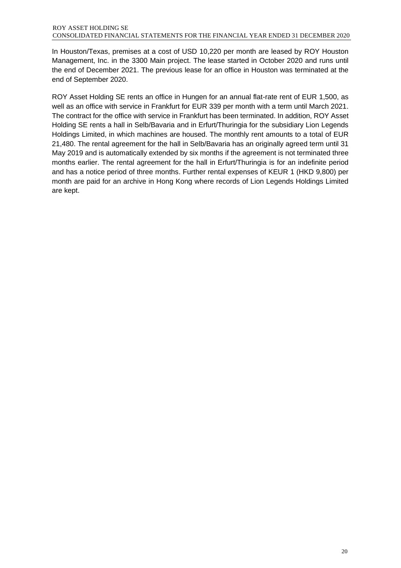In Houston/Texas, premises at a cost of USD 10,220 per month are leased by ROY Houston Management, Inc. in the 3300 Main project. The lease started in October 2020 and runs until the end of December 2021. The previous lease for an office in Houston was terminated at the end of September 2020.

ROY Asset Holding SE rents an office in Hungen for an annual flat-rate rent of EUR 1,500, as well as an office with service in Frankfurt for EUR 339 per month with a term until March 2021. The contract for the office with service in Frankfurt has been terminated. In addition, ROY Asset Holding SE rents a hall in Selb/Bavaria and in Erfurt/Thuringia for the subsidiary Lion Legends Holdings Limited, in which machines are housed. The monthly rent amounts to a total of EUR 21,480. The rental agreement for the hall in Selb/Bavaria has an originally agreed term until 31 May 2019 and is automatically extended by six months if the agreement is not terminated three months earlier. The rental agreement for the hall in Erfurt/Thuringia is for an indefinite period and has a notice period of three months. Further rental expenses of KEUR 1 (HKD 9,800) per month are paid for an archive in Hong Kong where records of Lion Legends Holdings Limited are kept.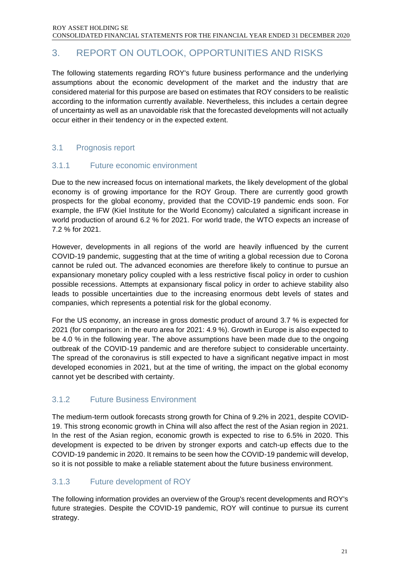## <span id="page-20-0"></span>3. REPORT ON OUTLOOK, OPPORTUNITIES AND RISKS

The following statements regarding ROY's future business performance and the underlying assumptions about the economic development of the market and the industry that are considered material for this purpose are based on estimates that ROY considers to be realistic according to the information currently available. Nevertheless, this includes a certain degree of uncertainty as well as an unavoidable risk that the forecasted developments will not actually occur either in their tendency or in the expected extent.

### 3.1 Prognosis report

### 3.1.1 Future economic environment

Due to the new increased focus on international markets, the likely development of the global economy is of growing importance for the ROY Group. There are currently good growth prospects for the global economy, provided that the COVID-19 pandemic ends soon. For example, the IFW (Kiel Institute for the World Economy) calculated a significant increase in world production of around 6.2 % for 2021. For world trade, the WTO expects an increase of 7.2 % for 2021.

However, developments in all regions of the world are heavily influenced by the current COVID-19 pandemic, suggesting that at the time of writing a global recession due to Corona cannot be ruled out. The advanced economies are therefore likely to continue to pursue an expansionary monetary policy coupled with a less restrictive fiscal policy in order to cushion possible recessions. Attempts at expansionary fiscal policy in order to achieve stability also leads to possible uncertainties due to the increasing enormous debt levels of states and companies, which represents a potential risk for the global economy.

For the US economy, an increase in gross domestic product of around 3.7 % is expected for 2021 (for comparison: in the euro area for 2021: 4.9 %). Growth in Europe is also expected to be 4.0 % in the following year. The above assumptions have been made due to the ongoing outbreak of the COVID-19 pandemic and are therefore subject to considerable uncertainty. The spread of the coronavirus is still expected to have a significant negative impact in most developed economies in 2021, but at the time of writing, the impact on the global economy cannot yet be described with certainty.

### 3.1.2 Future Business Environment

The medium-term outlook forecasts strong growth for China of 9.2% in 2021, despite COVID-19. This strong economic growth in China will also affect the rest of the Asian region in 2021. In the rest of the Asian region, economic growth is expected to rise to 6.5% in 2020. This development is expected to be driven by stronger exports and catch-up effects due to the COVID-19 pandemic in 2020. It remains to be seen how the COVID-19 pandemic will develop, so it is not possible to make a reliable statement about the future business environment.

### 3.1.3 Future development of ROY

The following information provides an overview of the Group's recent developments and ROY's future strategies. Despite the COVID-19 pandemic, ROY will continue to pursue its current strategy.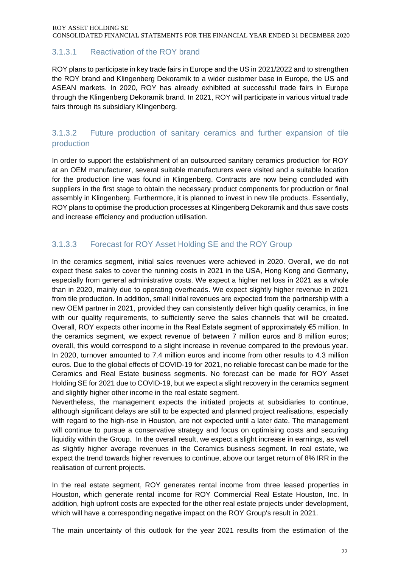### 3.1.3.1 Reactivation of the ROY brand

ROY plans to participate in key trade fairs in Europe and the US in 2021/2022 and to strengthen the ROY brand and Klingenberg Dekoramik to a wider customer base in Europe, the US and ASEAN markets. In 2020, ROY has already exhibited at successful trade fairs in Europe through the Klingenberg Dekoramik brand. In 2021, ROY will participate in various virtual trade fairs through its subsidiary Klingenberg.

### 3.1.3.2 Future production of sanitary ceramics and further expansion of tile production

In order to support the establishment of an outsourced sanitary ceramics production for ROY at an OEM manufacturer, several suitable manufacturers were visited and a suitable location for the production line was found in Klingenberg. Contracts are now being concluded with suppliers in the first stage to obtain the necessary product components for production or final assembly in Klingenberg. Furthermore, it is planned to invest in new tile products. Essentially, ROY plans to optimise the production processes at Klingenberg Dekoramik and thus save costs and increase efficiency and production utilisation.

### 3.1.3.3 Forecast for ROY Asset Holding SE and the ROY Group

In the ceramics segment, initial sales revenues were achieved in 2020. Overall, we do not expect these sales to cover the running costs in 2021 in the USA, Hong Kong and Germany, especially from general administrative costs. We expect a higher net loss in 2021 as a whole than in 2020, mainly due to operating overheads. We expect slightly higher revenue in 2021 from tile production. In addition, small initial revenues are expected from the partnership with a new OEM partner in 2021, provided they can consistently deliver high quality ceramics, in line with our quality requirements, to sufficiently serve the sales channels that will be created. Overall, ROY expects other income in the Real Estate segment of approximately €5 million. In the ceramics segment, we expect revenue of between 7 million euros and 8 million euros; overall, this would correspond to a slight increase in revenue compared to the previous year. In 2020, turnover amounted to 7.4 million euros and income from other results to 4.3 million euros. Due to the global effects of COVID-19 for 2021, no reliable forecast can be made for the Ceramics and Real Estate business segments. No forecast can be made for ROY Asset Holding SE for 2021 due to COVID-19, but we expect a slight recovery in the ceramics segment and slightly higher other income in the real estate segment.

Nevertheless, the management expects the initiated projects at subsidiaries to continue, although significant delays are still to be expected and planned project realisations, especially with regard to the high-rise in Houston, are not expected until a later date. The management will continue to pursue a conservative strategy and focus on optimising costs and securing liquidity within the Group. In the overall result, we expect a slight increase in earnings, as well as slightly higher average revenues in the Ceramics business segment. In real estate, we expect the trend towards higher revenues to continue, above our target return of 8% IRR in the realisation of current projects.

In the real estate segment, ROY generates rental income from three leased properties in Houston, which generate rental income for ROY Commercial Real Estate Houston, Inc. In addition, high upfront costs are expected for the other real estate projects under development, which will have a corresponding negative impact on the ROY Group's result in 2021.

The main uncertainty of this outlook for the year 2021 results from the estimation of the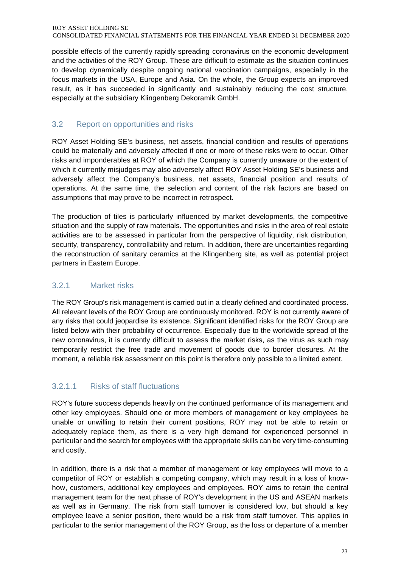possible effects of the currently rapidly spreading coronavirus on the economic development and the activities of the ROY Group. These are difficult to estimate as the situation continues to develop dynamically despite ongoing national vaccination campaigns, especially in the focus markets in the USA, Europe and Asia. On the whole, the Group expects an improved result, as it has succeeded in significantly and sustainably reducing the cost structure, especially at the subsidiary Klingenberg Dekoramik GmbH.

### 3.2 Report on opportunities and risks

ROY Asset Holding SE's business, net assets, financial condition and results of operations could be materially and adversely affected if one or more of these risks were to occur. Other risks and imponderables at ROY of which the Company is currently unaware or the extent of which it currently misjudges may also adversely affect ROY Asset Holding SE's business and adversely affect the Company's business, net assets, financial position and results of operations. At the same time, the selection and content of the risk factors are based on assumptions that may prove to be incorrect in retrospect.

The production of tiles is particularly influenced by market developments, the competitive situation and the supply of raw materials. The opportunities and risks in the area of real estate activities are to be assessed in particular from the perspective of liquidity, risk distribution, security, transparency, controllability and return. In addition, there are uncertainties regarding the reconstruction of sanitary ceramics at the Klingenberg site, as well as potential project partners in Eastern Europe.

### 3.2.1 Market risks

The ROY Group's risk management is carried out in a clearly defined and coordinated process. All relevant levels of the ROY Group are continuously monitored. ROY is not currently aware of any risks that could jeopardise its existence. Significant identified risks for the ROY Group are listed below with their probability of occurrence. Especially due to the worldwide spread of the new coronavirus, it is currently difficult to assess the market risks, as the virus as such may temporarily restrict the free trade and movement of goods due to border closures. At the moment, a reliable risk assessment on this point is therefore only possible to a limited extent.

### 3.2.1.1 Risks of staff fluctuations

ROY's future success depends heavily on the continued performance of its management and other key employees. Should one or more members of management or key employees be unable or unwilling to retain their current positions, ROY may not be able to retain or adequately replace them, as there is a very high demand for experienced personnel in particular and the search for employees with the appropriate skills can be very time-consuming and costly.

In addition, there is a risk that a member of management or key employees will move to a competitor of ROY or establish a competing company, which may result in a loss of knowhow, customers, additional key employees and employees. ROY aims to retain the central management team for the next phase of ROY's development in the US and ASEAN markets as well as in Germany. The risk from staff turnover is considered low, but should a key employee leave a senior position, there would be a risk from staff turnover. This applies in particular to the senior management of the ROY Group, as the loss or departure of a member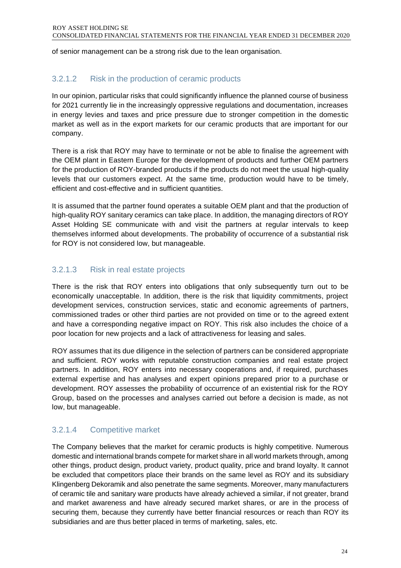of senior management can be a strong risk due to the lean organisation.

### 3.2.1.2 Risk in the production of ceramic products

In our opinion, particular risks that could significantly influence the planned course of business for 2021 currently lie in the increasingly oppressive regulations and documentation, increases in energy levies and taxes and price pressure due to stronger competition in the domestic market as well as in the export markets for our ceramic products that are important for our company.

There is a risk that ROY may have to terminate or not be able to finalise the agreement with the OEM plant in Eastern Europe for the development of products and further OEM partners for the production of ROY-branded products if the products do not meet the usual high-quality levels that our customers expect. At the same time, production would have to be timely, efficient and cost-effective and in sufficient quantities.

It is assumed that the partner found operates a suitable OEM plant and that the production of high-quality ROY sanitary ceramics can take place. In addition, the managing directors of ROY Asset Holding SE communicate with and visit the partners at regular intervals to keep themselves informed about developments. The probability of occurrence of a substantial risk for ROY is not considered low, but manageable.

### 3.2.1.3 Risk in real estate projects

There is the risk that ROY enters into obligations that only subsequently turn out to be economically unacceptable. In addition, there is the risk that liquidity commitments, project development services, construction services, static and economic agreements of partners, commissioned trades or other third parties are not provided on time or to the agreed extent and have a corresponding negative impact on ROY. This risk also includes the choice of a poor location for new projects and a lack of attractiveness for leasing and sales.

ROY assumes that its due diligence in the selection of partners can be considered appropriate and sufficient. ROY works with reputable construction companies and real estate project partners. In addition, ROY enters into necessary cooperations and, if required, purchases external expertise and has analyses and expert opinions prepared prior to a purchase or development. ROY assesses the probability of occurrence of an existential risk for the ROY Group, based on the processes and analyses carried out before a decision is made, as not low, but manageable.

### 3.2.1.4 Competitive market

The Company believes that the market for ceramic products is highly competitive. Numerous domestic and international brands compete for market share in all world markets through, among other things, product design, product variety, product quality, price and brand loyalty. It cannot be excluded that competitors place their brands on the same level as ROY and its subsidiary Klingenberg Dekoramik and also penetrate the same segments. Moreover, many manufacturers of ceramic tile and sanitary ware products have already achieved a similar, if not greater, brand and market awareness and have already secured market shares, or are in the process of securing them, because they currently have better financial resources or reach than ROY its subsidiaries and are thus better placed in terms of marketing, sales, etc.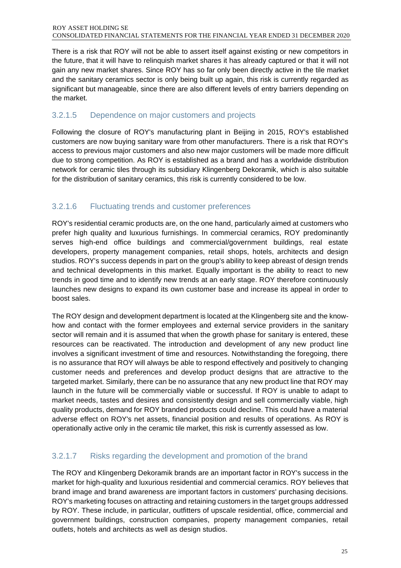There is a risk that ROY will not be able to assert itself against existing or new competitors in the future, that it will have to relinquish market shares it has already captured or that it will not gain any new market shares. Since ROY has so far only been directly active in the tile market and the sanitary ceramics sector is only being built up again, this risk is currently regarded as significant but manageable, since there are also different levels of entry barriers depending on the market.

### 3.2.1.5 Dependence on major customers and projects

Following the closure of ROY's manufacturing plant in Beijing in 2015, ROY's established customers are now buying sanitary ware from other manufacturers. There is a risk that ROY's access to previous major customers and also new major customers will be made more difficult due to strong competition. As ROY is established as a brand and has a worldwide distribution network for ceramic tiles through its subsidiary Klingenberg Dekoramik, which is also suitable for the distribution of sanitary ceramics, this risk is currently considered to be low.

### 3.2.1.6 Fluctuating trends and customer preferences

ROY's residential ceramic products are, on the one hand, particularly aimed at customers who prefer high quality and luxurious furnishings. In commercial ceramics, ROY predominantly serves high-end office buildings and commercial/government buildings, real estate developers, property management companies, retail shops, hotels, architects and design studios. ROY's success depends in part on the group's ability to keep abreast of design trends and technical developments in this market. Equally important is the ability to react to new trends in good time and to identify new trends at an early stage. ROY therefore continuously launches new designs to expand its own customer base and increase its appeal in order to boost sales.

The ROY design and development department is located at the Klingenberg site and the knowhow and contact with the former employees and external service providers in the sanitary sector will remain and it is assumed that when the growth phase for sanitary is entered, these resources can be reactivated. The introduction and development of any new product line involves a significant investment of time and resources. Notwithstanding the foregoing, there is no assurance that ROY will always be able to respond effectively and positively to changing customer needs and preferences and develop product designs that are attractive to the targeted market. Similarly, there can be no assurance that any new product line that ROY may launch in the future will be commercially viable or successful. If ROY is unable to adapt to market needs, tastes and desires and consistently design and sell commercially viable, high quality products, demand for ROY branded products could decline. This could have a material adverse effect on ROY's net assets, financial position and results of operations. As ROY is operationally active only in the ceramic tile market, this risk is currently assessed as low.

### 3.2.1.7 Risks regarding the development and promotion of the brand

The ROY and Klingenberg Dekoramik brands are an important factor in ROY's success in the market for high-quality and luxurious residential and commercial ceramics. ROY believes that brand image and brand awareness are important factors in customers' purchasing decisions. ROY's marketing focuses on attracting and retaining customers in the target groups addressed by ROY. These include, in particular, outfitters of upscale residential, office, commercial and government buildings, construction companies, property management companies, retail outlets, hotels and architects as well as design studios.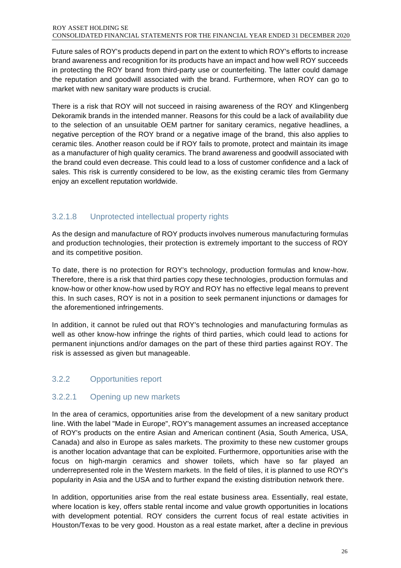#### ROY ASSET HOLDING SE CONSOLIDATED FINANCIAL STATEMENTS FOR THE FINANCIAL YEAR ENDED 31 DECEMBER 2020

Future sales of ROY's products depend in part on the extent to which ROY's efforts to increase brand awareness and recognition for its products have an impact and how well ROY succeeds in protecting the ROY brand from third-party use or counterfeiting. The latter could damage the reputation and goodwill associated with the brand. Furthermore, when ROY can go to market with new sanitary ware products is crucial.

There is a risk that ROY will not succeed in raising awareness of the ROY and Klingenberg Dekoramik brands in the intended manner. Reasons for this could be a lack of availability due to the selection of an unsuitable OEM partner for sanitary ceramics, negative headlines, a negative perception of the ROY brand or a negative image of the brand, this also applies to ceramic tiles. Another reason could be if ROY fails to promote, protect and maintain its image as a manufacturer of high quality ceramics. The brand awareness and goodwill associated with the brand could even decrease. This could lead to a loss of customer confidence and a lack of sales. This risk is currently considered to be low, as the existing ceramic tiles from Germany enjoy an excellent reputation worldwide.

### 3.2.1.8 Unprotected intellectual property rights

As the design and manufacture of ROY products involves numerous manufacturing formulas and production technologies, their protection is extremely important to the success of ROY and its competitive position.

To date, there is no protection for ROY's technology, production formulas and know-how. Therefore, there is a risk that third parties copy these technologies, production formulas and know-how or other know-how used by ROY and ROY has no effective legal means to prevent this. In such cases, ROY is not in a position to seek permanent injunctions or damages for the aforementioned infringements.

In addition, it cannot be ruled out that ROY's technologies and manufacturing formulas as well as other know-how infringe the rights of third parties, which could lead to actions for permanent injunctions and/or damages on the part of these third parties against ROY. The risk is assessed as given but manageable.

### 3.2.2 Opportunities report

### 3.2.2.1 Opening up new markets

In the area of ceramics, opportunities arise from the development of a new sanitary product line. With the label "Made in Europe", ROY's management assumes an increased acceptance of ROY's products on the entire Asian and American continent (Asia, South America, USA, Canada) and also in Europe as sales markets. The proximity to these new customer groups is another location advantage that can be exploited. Furthermore, opportunities arise with the focus on high-margin ceramics and shower toilets, which have so far played an underrepresented role in the Western markets. In the field of tiles, it is planned to use ROY's popularity in Asia and the USA and to further expand the existing distribution network there.

In addition, opportunities arise from the real estate business area. Essentially, real estate, where location is key, offers stable rental income and value growth opportunities in locations with development potential. ROY considers the current focus of real estate activities in Houston/Texas to be very good. Houston as a real estate market, after a decline in previous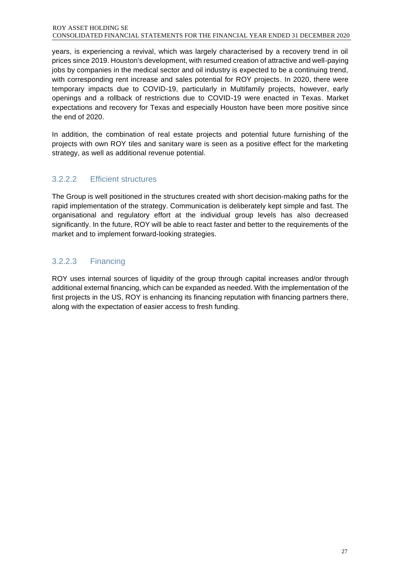#### ROY ASSET HOLDING SE CONSOLIDATED FINANCIAL STATEMENTS FOR THE FINANCIAL YEAR ENDED 31 DECEMBER 2020

years, is experiencing a revival, which was largely characterised by a recovery trend in oil prices since 2019. Houston's development, with resumed creation of attractive and well-paying jobs by companies in the medical sector and oil industry is expected to be a continuing trend, with corresponding rent increase and sales potential for ROY projects. In 2020, there were temporary impacts due to COVID-19, particularly in Multifamily projects, however, early openings and a rollback of restrictions due to COVID-19 were enacted in Texas. Market expectations and recovery for Texas and especially Houston have been more positive since the end of 2020.

In addition, the combination of real estate projects and potential future furnishing of the projects with own ROY tiles and sanitary ware is seen as a positive effect for the marketing strategy, as well as additional revenue potential.

### 3.2.2.2 Efficient structures

The Group is well positioned in the structures created with short decision-making paths for the rapid implementation of the strategy. Communication is deliberately kept simple and fast. The organisational and regulatory effort at the individual group levels has also decreased significantly. In the future, ROY will be able to react faster and better to the requirements of the market and to implement forward-looking strategies.

### 3.2.2.3 Financing

ROY uses internal sources of liquidity of the group through capital increases and/or through additional external financing, which can be expanded as needed. With the implementation of the first projects in the US, ROY is enhancing its financing reputation with financing partners there, along with the expectation of easier access to fresh funding.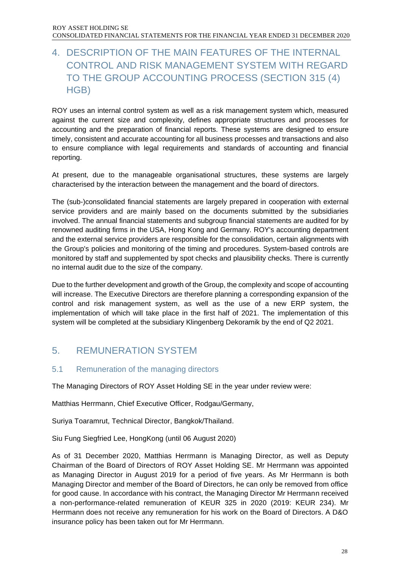### <span id="page-27-0"></span>4. DESCRIPTION OF THE MAIN FEATURES OF THE INTERNAL CONTROL AND RISK MANAGEMENT SYSTEM WITH REGARD TO THE GROUP ACCOUNTING PROCESS (SECTION 315 (4) HGB)

ROY uses an internal control system as well as a risk management system which, measured against the current size and complexity, defines appropriate structures and processes for accounting and the preparation of financial reports. These systems are designed to ensure timely, consistent and accurate accounting for all business processes and transactions and also to ensure compliance with legal requirements and standards of accounting and financial reporting.

At present, due to the manageable organisational structures, these systems are largely characterised by the interaction between the management and the board of directors.

The (sub-)consolidated financial statements are largely prepared in cooperation with external service providers and are mainly based on the documents submitted by the subsidiaries involved. The annual financial statements and subgroup financial statements are audited for by renowned auditing firms in the USA, Hong Kong and Germany. ROY's accounting department and the external service providers are responsible for the consolidation, certain alignments with the Group's policies and monitoring of the timing and procedures. System-based controls are monitored by staff and supplemented by spot checks and plausibility checks. There is currently no internal audit due to the size of the company.

Due to the further development and growth of the Group, the complexity and scope of accounting will increase. The Executive Directors are therefore planning a corresponding expansion of the control and risk management system, as well as the use of a new ERP system, the implementation of which will take place in the first half of 2021. The implementation of this system will be completed at the subsidiary Klingenberg Dekoramik by the end of Q2 2021.

### <span id="page-27-1"></span>5. REMUNERATION SYSTEM

### 5.1 Remuneration of the managing directors

The Managing Directors of ROY Asset Holding SE in the year under review were:

Matthias Herrmann, Chief Executive Officer, Rodgau/Germany,

Suriya Toaramrut, Technical Director, Bangkok/Thailand.

Siu Fung Siegfried Lee, HongKong (until 06 August 2020)

As of 31 December 2020, Matthias Herrmann is Managing Director, as well as Deputy Chairman of the Board of Directors of ROY Asset Holding SE. Mr Herrmann was appointed as Managing Director in August 2019 for a period of five years. As Mr Herrmann is both Managing Director and member of the Board of Directors, he can only be removed from office for good cause. In accordance with his contract, the Managing Director Mr Herrmann received a non-performance-related remuneration of KEUR 325 in 2020 (2019: KEUR 234). Mr Herrmann does not receive any remuneration for his work on the Board of Directors. A D&O insurance policy has been taken out for Mr Herrmann.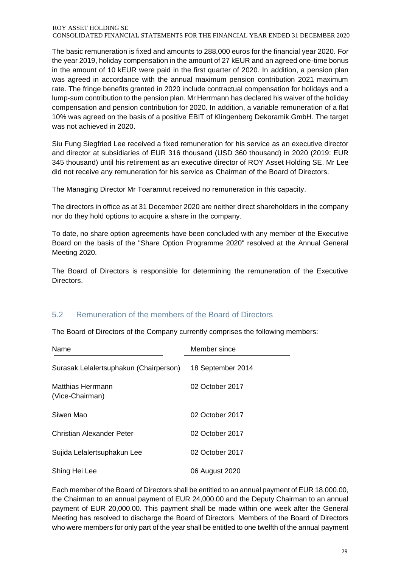#### ROY ASSET HOLDING SE CONSOLIDATED FINANCIAL STATEMENTS FOR THE FINANCIAL YEAR ENDED 31 DECEMBER 2020

The basic remuneration is fixed and amounts to 288,000 euros for the financial year 2020. For the year 2019, holiday compensation in the amount of 27 kEUR and an agreed one-time bonus in the amount of 10 kEUR were paid in the first quarter of 2020. In addition, a pension plan was agreed in accordance with the annual maximum pension contribution 2021 maximum rate. The fringe benefits granted in 2020 include contractual compensation for holidays and a lump-sum contribution to the pension plan. Mr Herrmann has declared his waiver of the holiday compensation and pension contribution for 2020. In addition, a variable remuneration of a flat 10% was agreed on the basis of a positive EBIT of Klingenberg Dekoramik GmbH. The target was not achieved in 2020.

Siu Fung Siegfried Lee received a fixed remuneration for his service as an executive director and director at subsidiaries of EUR 316 thousand (USD 360 thousand) in 2020 (2019: EUR 345 thousand) until his retirement as an executive director of ROY Asset Holding SE. Mr Lee did not receive any remuneration for his service as Chairman of the Board of Directors.

The Managing Director Mr Toaramrut received no remuneration in this capacity.

The directors in office as at 31 December 2020 are neither direct shareholders in the company nor do they hold options to acquire a share in the company.

To date, no share option agreements have been concluded with any member of the Executive Board on the basis of the "Share Option Programme 2020" resolved at the Annual General Meeting 2020.

The Board of Directors is responsible for determining the remuneration of the Executive Directors.

### 5.2 Remuneration of the members of the Board of Directors

The Board of Directors of the Company currently comprises the following members:

| Name                                   | Member since      |
|----------------------------------------|-------------------|
| Surasak Lelalertsuphakun (Chairperson) | 18 September 2014 |
| Matthias Herrmann<br>(Vice-Chairman)   | 02 October 2017   |
| Siwen Mao                              | 02 October 2017   |
| Christian Alexander Peter              | 02 October 2017   |
| Sujida Lelalertsuphakun Lee            | 02 October 2017   |
| Shing Hei Lee                          | 06 August 2020    |

Each member of the Board of Directors shall be entitled to an annual payment of EUR 18,000.00, the Chairman to an annual payment of EUR 24,000.00 and the Deputy Chairman to an annual payment of EUR 20,000.00. This payment shall be made within one week after the General Meeting has resolved to discharge the Board of Directors. Members of the Board of Directors who were members for only part of the year shall be entitled to one twelfth of the annual payment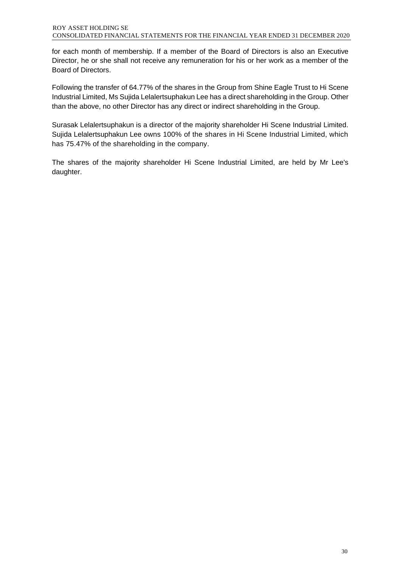for each month of membership. If a member of the Board of Directors is also an Executive Director, he or she shall not receive any remuneration for his or her work as a member of the Board of Directors.

Following the transfer of 64.77% of the shares in the Group from Shine Eagle Trust to Hi Scene Industrial Limited, Ms Sujida Lelalertsuphakun Lee has a direct shareholding in the Group. Other than the above, no other Director has any direct or indirect shareholding in the Group.

Surasak Lelalertsuphakun is a director of the majority shareholder Hi Scene Industrial Limited. Sujida Lelalertsuphakun Lee owns 100% of the shares in Hi Scene Industrial Limited, which has 75.47% of the shareholding in the company.

The shares of the majority shareholder Hi Scene Industrial Limited, are held by Mr Lee's daughter.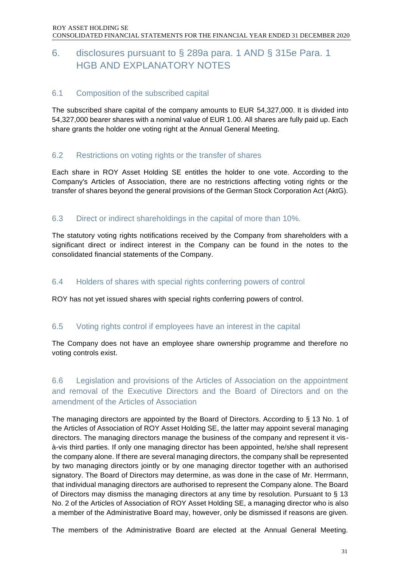### <span id="page-30-0"></span>6. disclosures pursuant to § 289a para. 1 AND § 315e Para. 1 HGB AND EXPLANATORY NOTES

### 6.1 Composition of the subscribed capital

The subscribed share capital of the company amounts to EUR 54,327,000. It is divided into 54,327,000 bearer shares with a nominal value of EUR 1.00. All shares are fully paid up. Each share grants the holder one voting right at the Annual General Meeting.

### 6.2 Restrictions on voting rights or the transfer of shares

Each share in ROY Asset Holding SE entitles the holder to one vote. According to the Company's Articles of Association, there are no restrictions affecting voting rights or the transfer of shares beyond the general provisions of the German Stock Corporation Act (AktG).

### 6.3 Direct or indirect shareholdings in the capital of more than 10%.

The statutory voting rights notifications received by the Company from shareholders with a significant direct or indirect interest in the Company can be found in the notes to the consolidated financial statements of the Company.

#### 6.4 Holders of shares with special rights conferring powers of control

ROY has not yet issued shares with special rights conferring powers of control.

#### 6.5 Voting rights control if employees have an interest in the capital

The Company does not have an employee share ownership programme and therefore no voting controls exist.

### 6.6 Legislation and provisions of the Articles of Association on the appointment and removal of the Executive Directors and the Board of Directors and on the amendment of the Articles of Association

The managing directors are appointed by the Board of Directors. According to § 13 No. 1 of the Articles of Association of ROY Asset Holding SE, the latter may appoint several managing directors. The managing directors manage the business of the company and represent it visà-vis third parties. If only one managing director has been appointed, he/she shall represent the company alone. If there are several managing directors, the company shall be represented by two managing directors jointly or by one managing director together with an authorised signatory. The Board of Directors may determine, as was done in the case of Mr. Herrmann, that individual managing directors are authorised to represent the Company alone. The Board of Directors may dismiss the managing directors at any time by resolution. Pursuant to § 13 No. 2 of the Articles of Association of ROY Asset Holding SE, a managing director who is also a member of the Administrative Board may, however, only be dismissed if reasons are given.

The members of the Administrative Board are elected at the Annual General Meeting.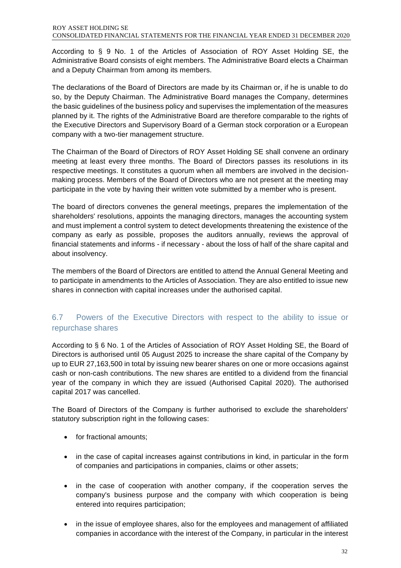According to § 9 No. 1 of the Articles of Association of ROY Asset Holding SE, the Administrative Board consists of eight members. The Administrative Board elects a Chairman and a Deputy Chairman from among its members.

The declarations of the Board of Directors are made by its Chairman or, if he is unable to do so, by the Deputy Chairman. The Administrative Board manages the Company, determines the basic guidelines of the business policy and supervises the implementation of the measures planned by it. The rights of the Administrative Board are therefore comparable to the rights of the Executive Directors and Supervisory Board of a German stock corporation or a European company with a two-tier management structure.

The Chairman of the Board of Directors of ROY Asset Holding SE shall convene an ordinary meeting at least every three months. The Board of Directors passes its resolutions in its respective meetings. It constitutes a quorum when all members are involved in the decisionmaking process. Members of the Board of Directors who are not present at the meeting may participate in the vote by having their written vote submitted by a member who is present.

The board of directors convenes the general meetings, prepares the implementation of the shareholders' resolutions, appoints the managing directors, manages the accounting system and must implement a control system to detect developments threatening the existence of the company as early as possible, proposes the auditors annually, reviews the approval of financial statements and informs - if necessary - about the loss of half of the share capital and about insolvency.

The members of the Board of Directors are entitled to attend the Annual General Meeting and to participate in amendments to the Articles of Association. They are also entitled to issue new shares in connection with capital increases under the authorised capital.

### 6.7 Powers of the Executive Directors with respect to the ability to issue or repurchase shares

According to § 6 No. 1 of the Articles of Association of ROY Asset Holding SE, the Board of Directors is authorised until 05 August 2025 to increase the share capital of the Company by up to EUR 27,163,500 in total by issuing new bearer shares on one or more occasions against cash or non-cash contributions. The new shares are entitled to a dividend from the financial year of the company in which they are issued (Authorised Capital 2020). The authorised capital 2017 was cancelled.

The Board of Directors of the Company is further authorised to exclude the shareholders' statutory subscription right in the following cases:

- for fractional amounts;
- in the case of capital increases against contributions in kind, in particular in the form of companies and participations in companies, claims or other assets;
- in the case of cooperation with another company, if the cooperation serves the company's business purpose and the company with which cooperation is being entered into requires participation;
- in the issue of employee shares, also for the employees and management of affiliated companies in accordance with the interest of the Company, in particular in the interest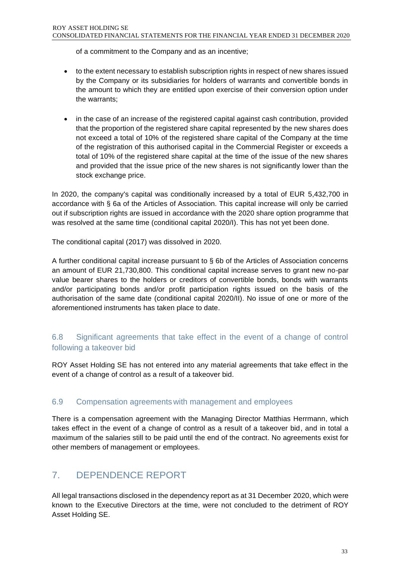of a commitment to the Company and as an incentive;

- to the extent necessary to establish subscription rights in respect of new shares issued by the Company or its subsidiaries for holders of warrants and convertible bonds in the amount to which they are entitled upon exercise of their conversion option under the warrants;
- in the case of an increase of the registered capital against cash contribution, provided that the proportion of the registered share capital represented by the new shares does not exceed a total of 10% of the registered share capital of the Company at the time of the registration of this authorised capital in the Commercial Register or exceeds a total of 10% of the registered share capital at the time of the issue of the new shares and provided that the issue price of the new shares is not significantly lower than the stock exchange price.

In 2020, the company's capital was conditionally increased by a total of EUR 5,432,700 in accordance with § 6a of the Articles of Association. This capital increase will only be carried out if subscription rights are issued in accordance with the 2020 share option programme that was resolved at the same time (conditional capital 2020/I). This has not yet been done.

The conditional capital (2017) was dissolved in 2020.

A further conditional capital increase pursuant to § 6b of the Articles of Association concerns an amount of EUR 21,730,800. This conditional capital increase serves to grant new no-par value bearer shares to the holders or creditors of convertible bonds, bonds with warrants and/or participating bonds and/or profit participation rights issued on the basis of the authorisation of the same date (conditional capital 2020/II). No issue of one or more of the aforementioned instruments has taken place to date.

### 6.8 Significant agreements that take effect in the event of a change of control following a takeover bid

ROY Asset Holding SE has not entered into any material agreements that take effect in the event of a change of control as a result of a takeover bid.

### 6.9 Compensation agreements with management and employees

There is a compensation agreement with the Managing Director Matthias Herrmann, which takes effect in the event of a change of control as a result of a takeover bid, and in total a maximum of the salaries still to be paid until the end of the contract. No agreements exist for other members of management or employees.

### <span id="page-32-0"></span>7. DEPENDENCE REPORT

All legal transactions disclosed in the dependency report as at 31 December 2020, which were known to the Executive Directors at the time, were not concluded to the detriment of ROY Asset Holding SE.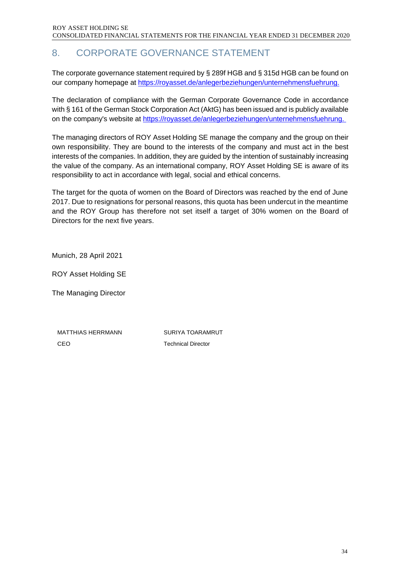### 8. CORPORATE GOVERNANCE STATEMENT

The corporate governance statement required by § 289f HGB and § 315d HGB can be found on our company homepage at https://royasset.de/anlegerbeziehungen/unternehmensfuehrung.

The declaration of compliance with the German Corporate Governance Code in accordance with § 161 of the German Stock Corporation Act (AktG) has been issued and is publicly available on the company's website at [https://royasset.de/anlegerbeziehungen/unternehmensfuehrung.](https://royasset.de/anlegerbeziehungen/unternehmensfuehrung) 

The managing directors of ROY Asset Holding SE manage the company and the group on their own responsibility. They are bound to the interests of the company and must act in the best interests of the companies. In addition, they are guided by the intention of sustainably increasing the value of the company. As an international company, ROY Asset Holding SE is aware of its responsibility to act in accordance with legal, social and ethical concerns.

The target for the quota of women on the Board of Directors was reached by the end of June 2017. Due to resignations for personal reasons, this quota has been undercut in the meantime and the ROY Group has therefore not set itself a target of 30% women on the Board of Directors for the next five years.

Munich, 28 April 2021

ROY Asset Holding SE

The Managing Director

MATTHIAS HERRMANN SURIYA TOARAMRUT CEO Technical Director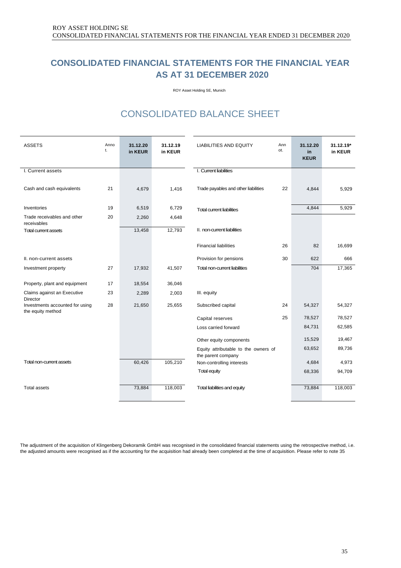### <span id="page-34-0"></span>**CONSOLIDATED FINANCIAL STATEMENTS FOR THE FINANCIAL YEAR AS AT 31 DECEMBER 2020**

ROY Asset Holding SE, Munich

## CONSOLIDATED BALANCE SHEET

<span id="page-34-1"></span>

| <b>ASSETS</b>                               | Anno<br>t. | 31.12.20<br>in KEUR | 31.12.19<br>in KEUR | <b>LIABILITIES AND EQUITY</b>        | Ann<br>ot. | 31.12.20<br>in.<br><b>KEUR</b> | $31.12.19*$<br>in KEUR |
|---------------------------------------------|------------|---------------------|---------------------|--------------------------------------|------------|--------------------------------|------------------------|
| I. Current assets                           |            |                     |                     | I. Current liabilities               |            |                                |                        |
|                                             |            |                     |                     |                                      |            |                                |                        |
| Cash and cash equivalents                   | 21         | 4,679               | 1,416               | Trade payables and other liabilities | 22         | 4,844                          | 5,929                  |
|                                             |            |                     |                     |                                      |            |                                |                        |
| Inventories                                 | 19         | 6,519               | 6,729               | <b>Total current liabilities</b>     |            | 4,844                          | 5,929                  |
| Trade receivables and other                 | 20         | 2,260               | 4,648               |                                      |            |                                |                        |
| receivables<br><b>Total current assets</b>  |            | 13,458              | 12,793              | II. non-current liabilities          |            |                                |                        |
|                                             |            |                     |                     |                                      |            |                                |                        |
|                                             |            |                     |                     | <b>Financial liabilities</b>         | 26         | 82                             | 16,699                 |
| II. non-current assets                      |            |                     |                     | Provision for pensions               | 30         | 622                            | 666                    |
| Investment property                         | 27         | 17,932              | 41,507              | Total non-current liabilities        |            | 704                            | 17,365                 |
|                                             |            |                     |                     |                                      |            |                                |                        |
| Property, plant and equipment               | 17         | 18,554              | 36,046              |                                      |            |                                |                        |
| Claims against an Executive                 | 23         | 2,289               | 2,003               | III. equity                          |            |                                |                        |
| Director<br>Investments accounted for using | 28         | 21,650              | 25,655              | Subscribed capital                   | 24         | 54,327                         | 54,327                 |
| the equity method                           |            |                     |                     |                                      |            |                                |                        |
|                                             |            |                     |                     | Capital reserves                     | 25         | 78,527                         | 78,527                 |
|                                             |            |                     |                     | Loss carried forward                 |            | 84,731                         | 62,585                 |
|                                             |            |                     |                     | Other equity components              |            | 15,529                         | 19,467                 |
|                                             |            |                     |                     | Equity attributable to the owners of |            | 63,652                         | 89,736                 |
|                                             |            |                     |                     | the parent company                   |            |                                |                        |
| <b>Total non-current assets</b>             |            | 60,426              | 105,210             | Non-controlling interests            |            | 4,684                          | 4,973                  |
|                                             |            |                     |                     | <b>Total equity</b>                  |            | 68,336                         | 94,709                 |
|                                             |            |                     |                     |                                      |            |                                |                        |
| <b>Total assets</b>                         |            | 73,884              | 118,003             | Total liabilities and equity         |            | 73,884                         | 118,003                |
|                                             |            |                     |                     |                                      |            |                                |                        |

The adjustment of the acquisition of Klingenberg Dekoramik GmbH was recognised in the consolidated financial statements using the retrospective method, i.e. the adjusted amounts were recognised as if the accounting for the acquisition had already been completed at the time of acquisition. Please refer to note 35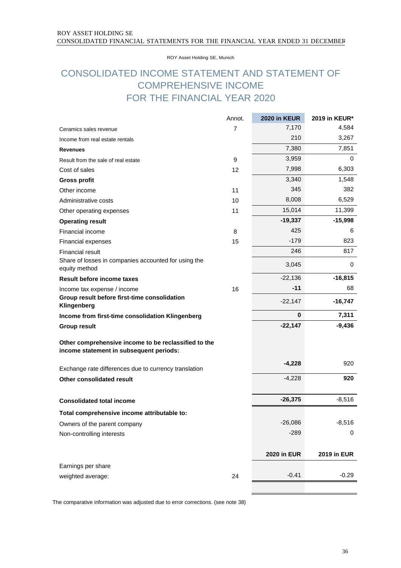ROY Asset Holding SE, Munich

### <span id="page-35-0"></span>CONSOLIDATED INCOME STATEMENT AND STATEMENT OF COMPREHENSIVE INCOME FOR THE FINANCIAL YEAR 2020

|                                                                                                 | Annot. | 2020 in KEUR       | 2019 in KEUR*      |
|-------------------------------------------------------------------------------------------------|--------|--------------------|--------------------|
| Ceramics sales revenue                                                                          | 7      | 7,170              | 4,584              |
| Income from real estate rentals                                                                 |        | 210                | 3,267              |
| <b>Revenues</b>                                                                                 |        | 7,380              | 7,851              |
| Result from the sale of real estate                                                             | 9      | 3,959              | 0                  |
| Cost of sales                                                                                   | 12     | 7,998              | 6,303              |
| <b>Gross profit</b>                                                                             |        | 3,340              | 1,548              |
| Other income                                                                                    | 11     | 345                | 382                |
| Administrative costs                                                                            | 10     | 8,008              | 6,529              |
| Other operating expenses                                                                        | 11     | 15,014             | 11,399             |
| <b>Operating result</b>                                                                         |        | $-19,337$          | $-15,998$          |
| Financial income                                                                                | 8      | 425                | 6                  |
| Financial expenses                                                                              | 15     | $-179$             | 823                |
| <b>Financial result</b>                                                                         |        | 246                | 817                |
| Share of losses in companies accounted for using the<br>equity method                           |        | 3,045              | 0                  |
| <b>Result before income taxes</b>                                                               |        | $-22,136$          | $-16,815$          |
| Income tax expense / income                                                                     | 16     | $-11$              | 68                 |
| Group result before first-time consolidation<br>Klingenberg                                     |        | $-22,147$          | $-16,747$          |
| Income from first-time consolidation Klingenberg                                                |        | 0                  | 7,311              |
| <b>Group result</b>                                                                             |        | $-22,147$          | $-9,436$           |
| Other comprehensive income to be reclassified to the<br>income statement in subsequent periods: |        |                    |                    |
| Exchange rate differences due to currency translation                                           |        | $-4,228$           | 920                |
| Other consolidated result                                                                       |        | $-4,228$           | 920                |
|                                                                                                 |        |                    |                    |
| <b>Consolidated total income</b>                                                                |        | $-26,375$          | $-8,516$           |
| Total comprehensive income attributable to:                                                     |        |                    |                    |
| Owners of the parent company                                                                    |        | $-26,086$          | $-8,516$           |
| Non-controlling interests                                                                       |        | $-289$             | 0                  |
|                                                                                                 |        | <b>2020 in EUR</b> | <b>2019 in EUR</b> |
| Earnings per share                                                                              |        |                    |                    |
| weighted average:                                                                               | 24     | $-0.41$            | $-0.29$            |
|                                                                                                 |        |                    |                    |

The comparative information was adjusted due to error corrections. (see note 38)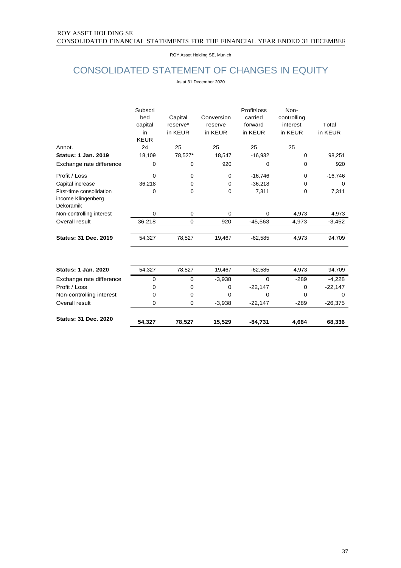ROY Asset Holding SE, Munich

# CONSOLIDATED STATEMENT OF CHANGES IN EQUITY

As at 31 December 2020

|                                                             | Subscri<br>bed<br>capital<br>in<br><b>KEUR</b> | Capital<br>reserve*<br>in KEUR | Conversion<br>reserve<br>in KEUR | Profit/loss<br>carried<br>forward<br>in KEUR | Non-<br>controlling<br>interest<br>in KEUR | Total<br>in KEUR |
|-------------------------------------------------------------|------------------------------------------------|--------------------------------|----------------------------------|----------------------------------------------|--------------------------------------------|------------------|
| Annot.                                                      | 24                                             | 25                             | 25                               | 25                                           | 25                                         |                  |
| <b>Status: 1 Jan. 2019</b>                                  | 18,109                                         | 78,527*                        | 18,547                           | $-16,932$                                    | 0                                          | 98,251           |
| Exchange rate difference                                    | 0                                              | $\mathbf 0$                    | 920                              | 0                                            | $\mathbf 0$                                | 920              |
| Profit / Loss                                               | 0                                              | 0                              | $\mathbf 0$                      | $-16,746$                                    | $\mathbf 0$                                | $-16,746$        |
| Capital increase                                            | 36,218                                         | 0                              | 0                                | $-36,218$                                    | 0                                          | $\Omega$         |
| First-time consolidation<br>income Klingenberg<br>Dekoramik | 0                                              | 0                              | 0                                | 7,311                                        | 0                                          | 7,311            |
| Non-controlling interest                                    | 0                                              | $\mathbf 0$                    | $\mathbf 0$                      | 0                                            | 4,973                                      | 4,973            |
| Overall result                                              | 36,218                                         | 0                              | 920                              | $-45,563$                                    | 4,973                                      | $-3,452$         |
| <b>Status: 31 Dec. 2019</b>                                 | 54,327                                         | 78,527                         | 19,467                           | $-62,585$                                    | 4,973                                      | 94,709           |
| <b>Status: 1 Jan. 2020</b>                                  | 54,327                                         | 78,527                         | 19,467                           | $-62,585$                                    | 4,973                                      | 94,709           |
|                                                             |                                                |                                |                                  |                                              |                                            |                  |
| Exchange rate difference                                    | 0                                              | $\mathbf 0$                    | $-3,938$                         | $\Omega$                                     | $-289$                                     | $-4,228$         |
| Profit / Loss                                               | 0                                              | 0                              | 0                                | $-22,147$                                    | $\Omega$                                   | $-22,147$        |
| Non-controlling interest                                    | $\mathbf 0$                                    | 0                              | $\mathbf 0$                      | 0                                            | $\Omega$                                   | 0                |
| Overall result                                              | $\Omega$                                       | $\Omega$                       | $-3,938$                         | $-22,147$                                    | $-289$                                     | $-26,375$        |
| <b>Status: 31 Dec. 2020</b>                                 | 54,327                                         | 78,527                         | 15,529                           | $-84,731$                                    | 4,684                                      | 68,336           |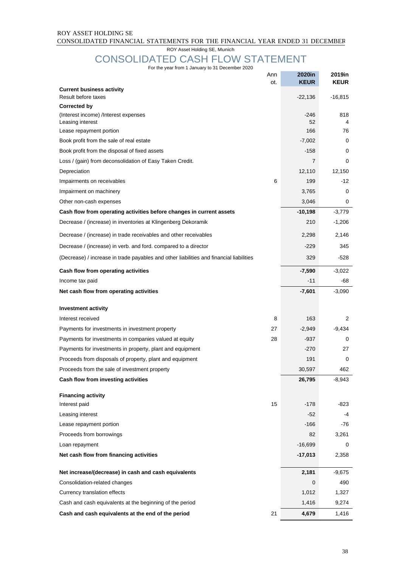### ROY ASSET HOLDING SE CONSOLIDATED FINANCIAL STATEMENTS FOR THE FINANCIAL YEAR ENDED 31 DECEMBER

ROY Asset Holding SE, Munich

### CONSOLIDATED CASH FLOW STATEMENT For the year from 1 January to 31 December 2020

|                                                                                         | Ann | 2020in       | 2019in      |
|-----------------------------------------------------------------------------------------|-----|--------------|-------------|
| <b>Current business activity</b>                                                        | ot. | <b>KEUR</b>  | <b>KEUR</b> |
| Result before taxes                                                                     |     | $-22,136$    | $-16,815$   |
| Corrected by                                                                            |     |              |             |
| (Interest income) /Interest expenses<br>Leasing interest                                |     | $-246$<br>52 | 818<br>4    |
| Lease repayment portion                                                                 |     | 166          | 76          |
| Book profit from the sale of real estate                                                |     | $-7,002$     | 0           |
| Book profit from the disposal of fixed assets                                           |     | $-158$       | 0           |
| Loss / (gain) from deconsolidation of Easy Taken Credit.                                |     | 7            | 0           |
| Depreciation                                                                            |     | 12,110       | 12,150      |
| Impairments on receivables                                                              | 6   | 199          | -12         |
| Impairment on machinery                                                                 |     | 3,765        | 0           |
| Other non-cash expenses                                                                 |     | 3,046        | 0           |
| Cash flow from operating activities before changes in current assets                    |     | $-10,198$    | $-3,779$    |
| Decrease / (increase) in inventories at Klingenberg Dekoramik                           |     | 210          | $-1,206$    |
| Decrease / (increase) in trade receivables and other receivables                        |     | 2,298        | 2,146       |
| Decrease / (increase) in verb. and ford. compared to a director                         |     | $-229$       | 345         |
| (Decrease) / increase in trade payables and other liabilities and financial liabilities |     | 329          | -528        |
| Cash flow from operating activities                                                     |     | $-7,590$     | $-3,022$    |
| Income tax paid                                                                         |     | $-11$        | -68         |
| Net cash flow from operating activities                                                 |     | $-7,601$     | $-3,090$    |
| <b>Investment activity</b>                                                              |     |              |             |
| Interest received                                                                       | 8   | 163          | 2           |
| Payments for investments in investment property                                         | 27  | $-2,949$     | $-9,434$    |
| Payments for investments in companies valued at equity                                  | 28  | -937         | 0           |
| Payments for investments in property, plant and equipment                               |     | $-270$       | 27          |
| Proceeds from disposals of property, plant and equipment                                |     | 191          | 0           |
| Proceeds from the sale of investment property                                           |     | 30,597       | 462         |
| Cash flow from investing activities                                                     |     | 26,795       | $-8,943$    |
| <b>Financing activity</b>                                                               |     |              |             |
| Interest paid                                                                           | 15  | $-178$       | $-823$      |
| Leasing interest                                                                        |     | $-52$        | -4          |
| Lease repayment portion                                                                 |     | -166         | -76         |
| Proceeds from borrowings                                                                |     | 82           | 3,261       |
| Loan repayment                                                                          |     | $-16,699$    | 0           |
| Net cash flow from financing activities                                                 |     | $-17,013$    | 2,358       |
| Net increase/(decrease) in cash and cash equivalents                                    |     | 2,181        | $-9,675$    |
| Consolidation-related changes                                                           |     | 0            | 490         |
| Currency translation effects                                                            |     | 1,012        | 1,327       |
| Cash and cash equivalents at the beginning of the period                                |     | 1,416        | 9,274       |
| Cash and cash equivalents at the end of the period                                      | 21  | 4,679        | 1,416       |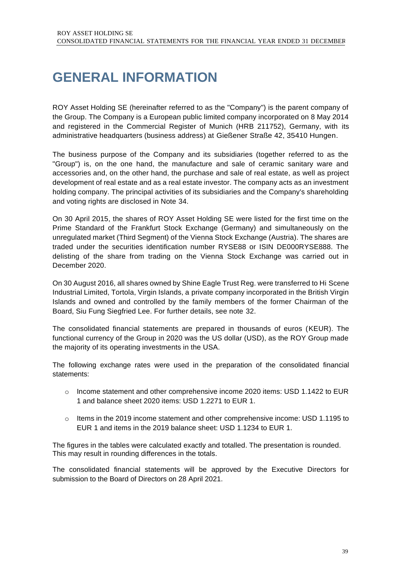# **GENERAL INFORMATION**

ROY Asset Holding SE (hereinafter referred to as the "Company") is the parent company of the Group. The Company is a European public limited company incorporated on 8 May 2014 and registered in the Commercial Register of Munich (HRB 211752), Germany, with its administrative headquarters (business address) at Gießener Straße 42, 35410 Hungen.

The business purpose of the Company and its subsidiaries (together referred to as the "Group") is, on the one hand, the manufacture and sale of ceramic sanitary ware and accessories and, on the other hand, the purchase and sale of real estate, as well as project development of real estate and as a real estate investor. The company acts as an investment holding company. The principal activities of its subsidiaries and the Company's shareholding and voting rights are disclosed in Note 34.

On 30 April 2015, the shares of ROY Asset Holding SE were listed for the first time on the Prime Standard of the Frankfurt Stock Exchange (Germany) and simultaneously on the unregulated market (Third Segment) of the Vienna Stock Exchange (Austria). The shares are traded under the securities identification number RYSE88 or ISIN DE000RYSE888. The delisting of the share from trading on the Vienna Stock Exchange was carried out in December 2020.

On 30 August 2016, all shares owned by Shine Eagle Trust Reg. were transferred to Hi Scene Industrial Limited, Tortola, Virgin Islands, a private company incorporated in the British Virgin Islands and owned and controlled by the family members of the former Chairman of the Board, Siu Fung Siegfried Lee. For further details, see note 32.

The consolidated financial statements are prepared in thousands of euros (KEUR). The functional currency of the Group in 2020 was the US dollar (USD), as the ROY Group made the majority of its operating investments in the USA.

The following exchange rates were used in the preparation of the consolidated financial statements:

- $\circ$  Income statement and other comprehensive income 2020 items: USD 1.1422 to EUR 1 and balance sheet 2020 items: USD 1.2271 to EUR 1.
- $\circ$  Items in the 2019 income statement and other comprehensive income: USD 1.1195 to EUR 1 and items in the 2019 balance sheet: USD 1.1234 to EUR 1.

The figures in the tables were calculated exactly and totalled. The presentation is rounded. This may result in rounding differences in the totals.

The consolidated financial statements will be approved by the Executive Directors for submission to the Board of Directors on 28 April 2021.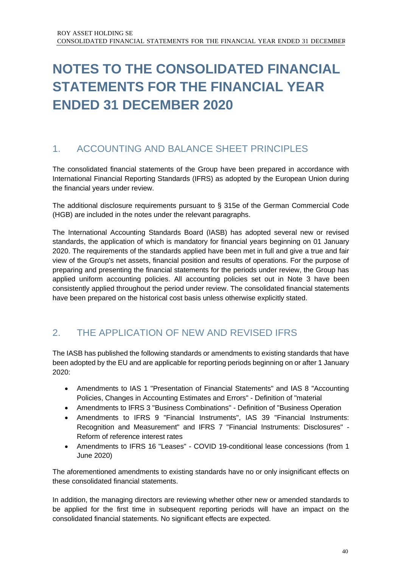# **NOTES TO THE CONSOLIDATED FINANCIAL STATEMENTS FOR THE FINANCIAL YEAR ENDED 31 DECEMBER 2020**

# 1. ACCOUNTING AND BALANCE SHEET PRINCIPLES

The consolidated financial statements of the Group have been prepared in accordance with International Financial Reporting Standards (IFRS) as adopted by the European Union during the financial years under review.

The additional disclosure requirements pursuant to § 315e of the German Commercial Code (HGB) are included in the notes under the relevant paragraphs.

The International Accounting Standards Board (IASB) has adopted several new or revised standards, the application of which is mandatory for financial years beginning on 01 January 2020. The requirements of the standards applied have been met in full and give a true and fair view of the Group's net assets, financial position and results of operations. For the purpose of preparing and presenting the financial statements for the periods under review, the Group has applied uniform accounting policies. All accounting policies set out in Note 3 have been consistently applied throughout the period under review. The consolidated financial statements have been prepared on the historical cost basis unless otherwise explicitly stated.

# 2. THE APPLICATION OF NEW AND REVISED IFRS

The IASB has published the following standards or amendments to existing standards that have been adopted by the EU and are applicable for reporting periods beginning on or after 1 January 2020:

- Amendments to IAS 1 "Presentation of Financial Statements" and IAS 8 "Accounting Policies, Changes in Accounting Estimates and Errors" - Definition of "material
- Amendments to IFRS 3 "Business Combinations" Definition of "Business Operation
- Amendments to IFRS 9 "Financial Instruments", IAS 39 "Financial Instruments: Recognition and Measurement" and IFRS 7 "Financial Instruments: Disclosures" - Reform of reference interest rates
- Amendments to IFRS 16 "Leases" COVID 19-conditional lease concessions (from 1 June 2020)

The aforementioned amendments to existing standards have no or only insignificant effects on these consolidated financial statements.

In addition, the managing directors are reviewing whether other new or amended standards to be applied for the first time in subsequent reporting periods will have an impact on the consolidated financial statements. No significant effects are expected.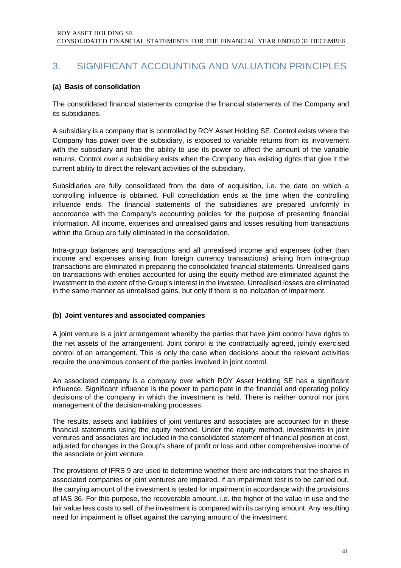# 3. SIGNIFICANT ACCOUNTING AND VALUATION PRINCIPLES

### **(a) Basis of consolidation**

The consolidated financial statements comprise the financial statements of the Company and its subsidiaries.

A subsidiary is a company that is controlled by ROY Asset Holding SE. Control exists where the Company has power over the subsidiary, is exposed to variable returns from its involvement with the subsidiary and has the ability to use its power to affect the amount of the variable returns. Control over a subsidiary exists when the Company has existing rights that give it the current ability to direct the relevant activities of the subsidiary.

Subsidiaries are fully consolidated from the date of acquisition, i.e. the date on which a controlling influence is obtained. Full consolidation ends at the time when the controlling influence ends. The financial statements of the subsidiaries are prepared uniformly in accordance with the Company's accounting policies for the purpose of presenting financial information. All income, expenses and unrealised gains and losses resulting from transactions within the Group are fully eliminated in the consolidation.

Intra-group balances and transactions and all unrealised income and expenses (other than income and expenses arising from foreign currency transactions) arising from intra-group transactions are eliminated in preparing the consolidated financial statements. Unrealised gains on transactions with entities accounted for using the equity method are eliminated against the investment to the extent of the Group's interest in the investee. Unrealised losses are eliminated in the same manner as unrealised gains, but only if there is no indication of impairment.

### **(b) Joint ventures and associated companies**

A joint venture is a joint arrangement whereby the parties that have joint control have rights to the net assets of the arrangement. Joint control is the contractually agreed, jointly exercised control of an arrangement. This is only the case when decisions about the relevant activities require the unanimous consent of the parties involved in joint control.

An associated company is a company over which ROY Asset Holding SE has a significant influence. Significant influence is the power to participate in the financial and operating policy decisions of the company in which the investment is held. There is neither control nor joint management of the decision-making processes.

The results, assets and liabilities of joint ventures and associates are accounted for in these financial statements using the equity method. Under the equity method, investments in joint ventures and associates are included in the consolidated statement of financial position at cost, adjusted for changes in the Group's share of profit or loss and other comprehensive income of the associate or joint venture.

The provisions of IFRS 9 are used to determine whether there are indicators that the shares in associated companies or joint ventures are impaired. If an impairment test is to be carried out, the carrying amount of the investment is tested for impairment in accordance with the provisions of IAS 36. For this purpose, the recoverable amount, i.e. the higher of the value in use and the fair value less costs to sell, of the investment is compared with its carrying amount. Any resulting need for impairment is offset against the carrying amount of the investment.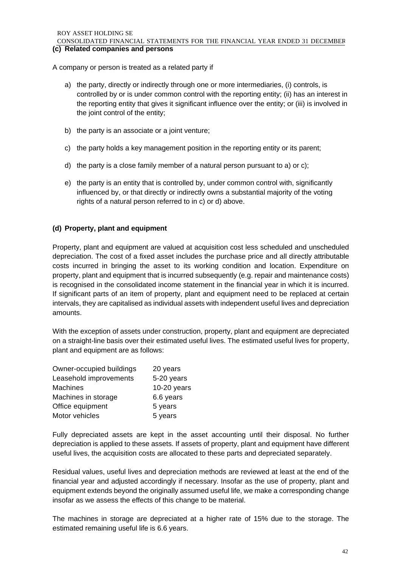ROY ASSET HOLDING SE CONSOLIDATED FINANCIAL STATEMENTS FOR THE FINANCIAL YEAR ENDED 31 DECEMBER **(c)** Related companies and persons

A company or person is treated as a related party if

- a) the party, directly or indirectly through one or more intermediaries, (i) controls, is controlled by or is under common control with the reporting entity; (ii) has an interest in the reporting entity that gives it significant influence over the entity; or (iii) is involved in the joint control of the entity;
- b) the party is an associate or a joint venture;
- c) the party holds a key management position in the reporting entity or its parent;
- d) the party is a close family member of a natural person pursuant to a) or c);
- e) the party is an entity that is controlled by, under common control with, significantly influenced by, or that directly or indirectly owns a substantial majority of the voting rights of a natural person referred to in c) or d) above.

### **(d) Property, plant and equipment**

Property, plant and equipment are valued at acquisition cost less scheduled and unscheduled depreciation. The cost of a fixed asset includes the purchase price and all directly attributable costs incurred in bringing the asset to its working condition and location. Expenditure on property, plant and equipment that is incurred subsequently (e.g. repair and maintenance costs) is recognised in the consolidated income statement in the financial year in which it is incurred. If significant parts of an item of property, plant and equipment need to be replaced at certain intervals, they are capitalised as individual assets with independent useful lives and depreciation amounts.

With the exception of assets under construction, property, plant and equipment are depreciated on a straight-line basis over their estimated useful lives. The estimated useful lives for property, plant and equipment are as follows:

| Owner-occupied buildings | 20 years      |
|--------------------------|---------------|
| Leasehold improvements   | 5-20 years    |
| <b>Machines</b>          | $10-20$ years |
| Machines in storage      | 6.6 years     |
| Office equipment         | 5 years       |
| Motor vehicles           | 5 years       |

Fully depreciated assets are kept in the asset accounting until their disposal. No further depreciation is applied to these assets. If assets of property, plant and equipment have different useful lives, the acquisition costs are allocated to these parts and depreciated separately.

Residual values, useful lives and depreciation methods are reviewed at least at the end of the financial year and adjusted accordingly if necessary. Insofar as the use of property, plant and equipment extends beyond the originally assumed useful life, we make a corresponding change insofar as we assess the effects of this change to be material.

The machines in storage are depreciated at a higher rate of 15% due to the storage. The estimated remaining useful life is 6.6 years.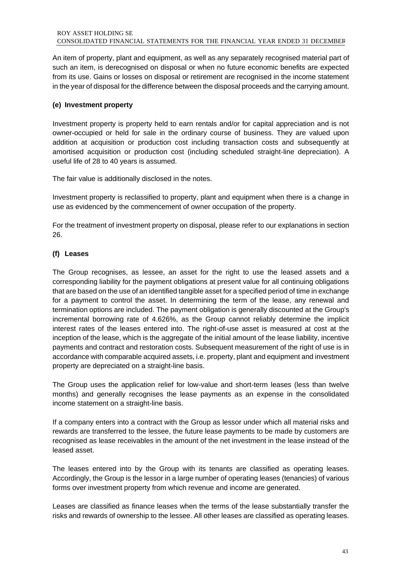An item of property, plant and equipment, as well as any separately recognised material part of such an item, is derecognised on disposal or when no future economic benefits are expected from its use. Gains or losses on disposal or retirement are recognised in the income statement in the year of disposal for the difference between the disposal proceeds and the carrying amount.

### **(e) Investment property**

Investment property is property held to earn rentals and/or for capital appreciation and is not owner-occupied or held for sale in the ordinary course of business. They are valued upon addition at acquisition or production cost including transaction costs and subsequently at amortised acquisition or production cost (including scheduled straight-line depreciation). A useful life of 28 to 40 years is assumed.

The fair value is additionally disclosed in the notes.

Investment property is reclassified to property, plant and equipment when there is a change in use as evidenced by the commencement of owner occupation of the property.

For the treatment of investment property on disposal, please refer to our explanations in section 26.

### **(f) Leases**

The Group recognises, as lessee, an asset for the right to use the leased assets and a corresponding liability for the payment obligations at present value for all continuing obligations that are based on the use of an identified tangible asset for a specified period of time in exchange for a payment to control the asset. In determining the term of the lease, any renewal and termination options are included. The payment obligation is generally discounted at the Group's incremental borrowing rate of 4.626%, as the Group cannot reliably determine the implicit interest rates of the leases entered into. The right-of-use asset is measured at cost at the inception of the lease, which is the aggregate of the initial amount of the lease liability, incentive payments and contract and restoration costs. Subsequent measurement of the right of use is in accordance with comparable acquired assets, i.e. property, plant and equipment and investment property are depreciated on a straight-line basis.

The Group uses the application relief for low-value and short-term leases (less than twelve months) and generally recognises the lease payments as an expense in the consolidated income statement on a straight-line basis.

If a company enters into a contract with the Group as lessor under which all material risks and rewards are transferred to the lessee, the future lease payments to be made by customers are recognised as lease receivables in the amount of the net investment in the lease instead of the leased asset.

The leases entered into by the Group with its tenants are classified as operating leases. Accordingly, the Group is the lessor in a large number of operating leases (tenancies) of various forms over investment property from which revenue and income are generated.

Leases are classified as finance leases when the terms of the lease substantially transfer the risks and rewards of ownership to the lessee. All other leases are classified as operating leases.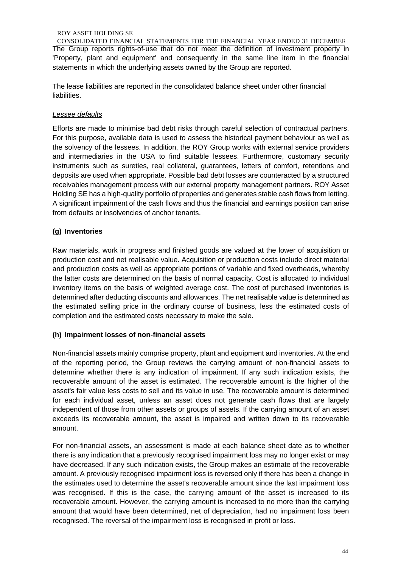CONSOLIDATED FINANCIAL STATEMENTS FOR THE FINANCIAL YEAR ENDED 31 DECEMBER The Group reports rights-of-use that do not meet the definition of investment property in 'Property, plant and equipment' and consequently in the same line item in the financial statements in which the underlying assets owned by the Group are reported.

The lease liabilities are reported in the consolidated balance sheet under other financial liabilities.

### *Lessee defaults*

Efforts are made to minimise bad debt risks through careful selection of contractual partners. For this purpose, available data is used to assess the historical payment behaviour as well as the solvency of the lessees. In addition, the ROY Group works with external service providers and intermediaries in the USA to find suitable lessees. Furthermore, customary security instruments such as sureties, real collateral, guarantees, letters of comfort, retentions and deposits are used when appropriate. Possible bad debt losses are counteracted by a structured receivables management process with our external property management partners. ROY Asset Holding SE has a high-quality portfolio of properties and generates stable cash flows from letting. A significant impairment of the cash flows and thus the financial and earnings position can arise from defaults or insolvencies of anchor tenants.

### **(g) Inventories**

Raw materials, work in progress and finished goods are valued at the lower of acquisition or production cost and net realisable value. Acquisition or production costs include direct material and production costs as well as appropriate portions of variable and fixed overheads, whereby the latter costs are determined on the basis of normal capacity. Cost is allocated to individual inventory items on the basis of weighted average cost. The cost of purchased inventories is determined after deducting discounts and allowances. The net realisable value is determined as the estimated selling price in the ordinary course of business, less the estimated costs of completion and the estimated costs necessary to make the sale.

### **(h) Impairment losses of non-financial assets**

Non-financial assets mainly comprise property, plant and equipment and inventories. At the end of the reporting period, the Group reviews the carrying amount of non-financial assets to determine whether there is any indication of impairment. If any such indication exists, the recoverable amount of the asset is estimated. The recoverable amount is the higher of the asset's fair value less costs to sell and its value in use. The recoverable amount is determined for each individual asset, unless an asset does not generate cash flows that are largely independent of those from other assets or groups of assets. If the carrying amount of an asset exceeds its recoverable amount, the asset is impaired and written down to its recoverable amount.

For non-financial assets, an assessment is made at each balance sheet date as to whether there is any indication that a previously recognised impairment loss may no longer exist or may have decreased. If any such indication exists, the Group makes an estimate of the recoverable amount. A previously recognised impairment loss is reversed only if there has been a change in the estimates used to determine the asset's recoverable amount since the last impairment loss was recognised. If this is the case, the carrying amount of the asset is increased to its recoverable amount. However, the carrying amount is increased to no more than the carrying amount that would have been determined, net of depreciation, had no impairment loss been recognised. The reversal of the impairment loss is recognised in profit or loss.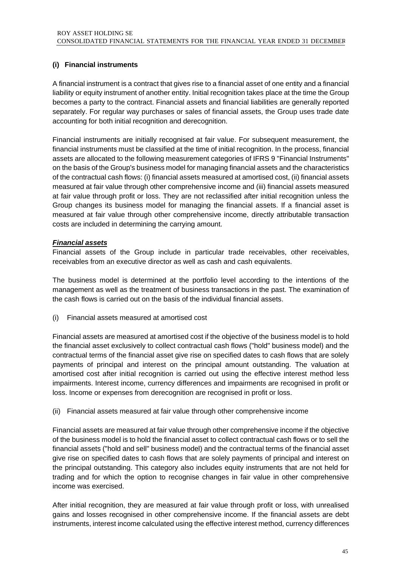### **(i) Financial instruments**

A financial instrument is a contract that gives rise to a financial asset of one entity and a financial liability or equity instrument of another entity. Initial recognition takes place at the time the Group becomes a party to the contract. Financial assets and financial liabilities are generally reported separately. For regular way purchases or sales of financial assets, the Group uses trade date accounting for both initial recognition and derecognition.

Financial instruments are initially recognised at fair value. For subsequent measurement, the financial instruments must be classified at the time of initial recognition. In the process, financial assets are allocated to the following measurement categories of IFRS 9 "Financial Instruments" on the basis of the Group's business model for managing financial assets and the characteristics of the contractual cash flows: (i) financial assets measured at amortised cost, (ii) financial assets measured at fair value through other comprehensive income and (iii) financial assets measured at fair value through profit or loss. They are not reclassified after initial recognition unless the Group changes its business model for managing the financial assets. If a financial asset is measured at fair value through other comprehensive income, directly attributable transaction costs are included in determining the carrying amount.

### *Financial assets*

Financial assets of the Group include in particular trade receivables, other receivables, receivables from an executive director as well as cash and cash equivalents.

The business model is determined at the portfolio level according to the intentions of the management as well as the treatment of business transactions in the past. The examination of the cash flows is carried out on the basis of the individual financial assets.

(i) Financial assets measured at amortised cost

Financial assets are measured at amortised cost if the objective of the business model is to hold the financial asset exclusively to collect contractual cash flows ("hold" business model) and the contractual terms of the financial asset give rise on specified dates to cash flows that are solely payments of principal and interest on the principal amount outstanding. The valuation at amortised cost after initial recognition is carried out using the effective interest method less impairments. Interest income, currency differences and impairments are recognised in profit or loss. Income or expenses from derecognition are recognised in profit or loss.

(ii) Financial assets measured at fair value through other comprehensive income

Financial assets are measured at fair value through other comprehensive income if the objective of the business model is to hold the financial asset to collect contractual cash flows or to sell the financial assets ("hold and sell" business model) and the contractual terms of the financial asset give rise on specified dates to cash flows that are solely payments of principal and interest on the principal outstanding. This category also includes equity instruments that are not held for trading and for which the option to recognise changes in fair value in other comprehensive income was exercised.

After initial recognition, they are measured at fair value through profit or loss, with unrealised gains and losses recognised in other comprehensive income. If the financial assets are debt instruments, interest income calculated using the effective interest method, currency differences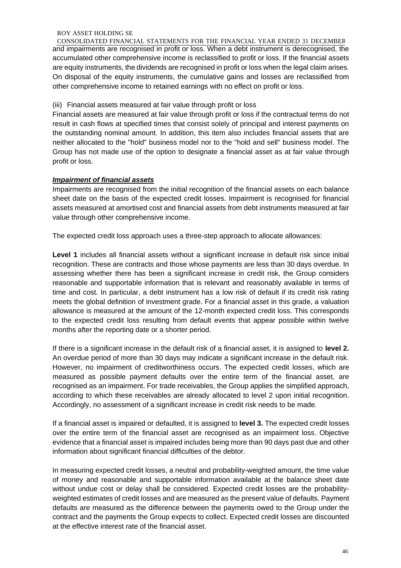CONSOLIDATED FINANCIAL STATEMENTS FOR THE FINANCIAL YEAR ENDED 31 DECEMBER and impairments are recognised in profit or loss. When a debt instrument is derecognised, the accumulated other comprehensive income is reclassified to profit or loss. If the financial assets are equity instruments, the dividends are recognised in profit or loss when the legal claim arises. On disposal of the equity instruments, the cumulative gains and losses are reclassified from other comprehensive income to retained earnings with no effect on profit or loss.

(iii) Financial assets measured at fair value through profit or loss

Financial assets are measured at fair value through profit or loss if the contractual terms do not result in cash flows at specified times that consist solely of principal and interest payments on the outstanding nominal amount. In addition, this item also includes financial assets that are neither allocated to the "hold" business model nor to the "hold and sell" business model. The Group has not made use of the option to designate a financial asset as at fair value through profit or loss.

### *Impairment of financial assets*

Impairments are recognised from the initial recognition of the financial assets on each balance sheet date on the basis of the expected credit losses. Impairment is recognised for financial assets measured at amortised cost and financial assets from debt instruments measured at fair value through other comprehensive income.

The expected credit loss approach uses a three-step approach to allocate allowances:

**Level 1** includes all financial assets without a significant increase in default risk since initial recognition. These are contracts and those whose payments are less than 30 days overdue. In assessing whether there has been a significant increase in credit risk, the Group considers reasonable and supportable information that is relevant and reasonably available in terms of time and cost. In particular, a debt instrument has a low risk of default if its credit risk rating meets the global definition of investment grade. For a financial asset in this grade, a valuation allowance is measured at the amount of the 12-month expected credit loss. This corresponds to the expected credit loss resulting from default events that appear possible within twelve months after the reporting date or a shorter period.

If there is a significant increase in the default risk of a financial asset, it is assigned to **level 2.** An overdue period of more than 30 days may indicate a significant increase in the default risk. However, no impairment of creditworthiness occurs. The expected credit losses, which are measured as possible payment defaults over the entire term of the financial asset, are recognised as an impairment. For trade receivables, the Group applies the simplified approach, according to which these receivables are already allocated to level 2 upon initial recognition. Accordingly, no assessment of a significant increase in credit risk needs to be made.

If a financial asset is impaired or defaulted, it is assigned to **level 3.** The expected credit losses over the entire term of the financial asset are recognised as an impairment loss. Objective evidence that a financial asset is impaired includes being more than 90 days past due and other information about significant financial difficulties of the debtor.

In measuring expected credit losses, a neutral and probability-weighted amount, the time value of money and reasonable and supportable information available at the balance sheet date without undue cost or delay shall be considered. Expected credit losses are the probabilityweighted estimates of credit losses and are measured as the present value of defaults. Payment defaults are measured as the difference between the payments owed to the Group under the contract and the payments the Group expects to collect. Expected credit losses are discounted at the effective interest rate of the financial asset.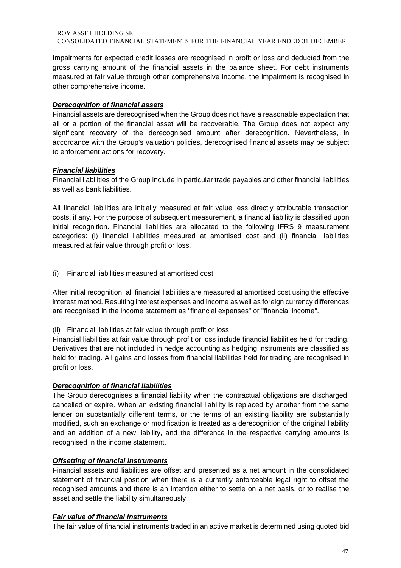Impairments for expected credit losses are recognised in profit or loss and deducted from the gross carrying amount of the financial assets in the balance sheet. For debt instruments measured at fair value through other comprehensive income, the impairment is recognised in other comprehensive income.

### *Derecognition of financial assets*

Financial assets are derecognised when the Group does not have a reasonable expectation that all or a portion of the financial asset will be recoverable. The Group does not expect any significant recovery of the derecognised amount after derecognition. Nevertheless, in accordance with the Group's valuation policies, derecognised financial assets may be subject to enforcement actions for recovery.

### *Financial liabilities*

Financial liabilities of the Group include in particular trade payables and other financial liabilities as well as bank liabilities.

All financial liabilities are initially measured at fair value less directly attributable transaction costs, if any. For the purpose of subsequent measurement, a financial liability is classified upon initial recognition. Financial liabilities are allocated to the following IFRS 9 measurement categories: (i) financial liabilities measured at amortised cost and (ii) financial liabilities measured at fair value through profit or loss.

(i) Financial liabilities measured at amortised cost

After initial recognition, all financial liabilities are measured at amortised cost using the effective interest method. Resulting interest expenses and income as well as foreign currency differences are recognised in the income statement as "financial expenses" or "financial income".

(ii) Financial liabilities at fair value through profit or loss

Financial liabilities at fair value through profit or loss include financial liabilities held for trading. Derivatives that are not included in hedge accounting as hedging instruments are classified as held for trading. All gains and losses from financial liabilities held for trading are recognised in profit or loss.

### *Derecognition of financial liabilities*

The Group derecognises a financial liability when the contractual obligations are discharged, cancelled or expire. When an existing financial liability is replaced by another from the same lender on substantially different terms, or the terms of an existing liability are substantially modified, such an exchange or modification is treated as a derecognition of the original liability and an addition of a new liability, and the difference in the respective carrying amounts is recognised in the income statement.

### *Offsetting of financial instruments*

Financial assets and liabilities are offset and presented as a net amount in the consolidated statement of financial position when there is a currently enforceable legal right to offset the recognised amounts and there is an intention either to settle on a net basis, or to realise the asset and settle the liability simultaneously.

### *Fair value of financial instruments*

The fair value of financial instruments traded in an active market is determined using quoted bid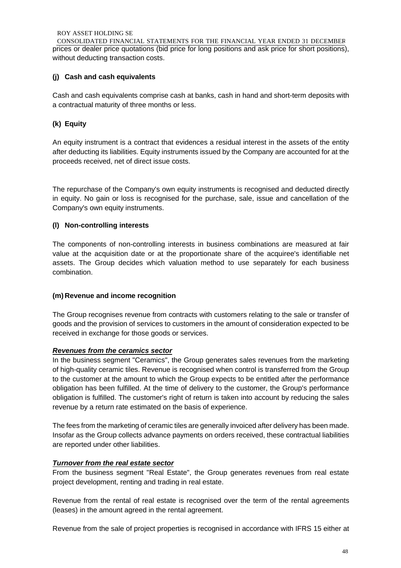CONSOLIDATED FINANCIAL STATEMENTS FOR THE FINANCIAL YEAR ENDED 31 DECEMBER prices or dealer price quotations (bid price for long positions and ask price for short positions), without deducting transaction costs.

### **(j) Cash and cash equivalents**

Cash and cash equivalents comprise cash at banks, cash in hand and short-term deposits with a contractual maturity of three months or less.

### **(k) Equity**

An equity instrument is a contract that evidences a residual interest in the assets of the entity after deducting its liabilities. Equity instruments issued by the Company are accounted for at the proceeds received, net of direct issue costs.

The repurchase of the Company's own equity instruments is recognised and deducted directly in equity. No gain or loss is recognised for the purchase, sale, issue and cancellation of the Company's own equity instruments.

### **(l) Non-controlling interests**

The components of non-controlling interests in business combinations are measured at fair value at the acquisition date or at the proportionate share of the acquiree's identifiable net assets. The Group decides which valuation method to use separately for each business combination.

### **(m) Revenue and income recognition**

The Group recognises revenue from contracts with customers relating to the sale or transfer of goods and the provision of services to customers in the amount of consideration expected to be received in exchange for those goods or services.

### *Revenues from the ceramics sector*

In the business segment "Ceramics", the Group generates sales revenues from the marketing of high-quality ceramic tiles. Revenue is recognised when control is transferred from the Group to the customer at the amount to which the Group expects to be entitled after the performance obligation has been fulfilled. At the time of delivery to the customer, the Group's performance obligation is fulfilled. The customer's right of return is taken into account by reducing the sales revenue by a return rate estimated on the basis of experience.

The fees from the marketing of ceramic tiles are generally invoiced after delivery has been made. Insofar as the Group collects advance payments on orders received, these contractual liabilities are reported under other liabilities.

### *Turnover from the real estate sector*

From the business segment "Real Estate", the Group generates revenues from real estate project development, renting and trading in real estate.

Revenue from the rental of real estate is recognised over the term of the rental agreements (leases) in the amount agreed in the rental agreement.

Revenue from the sale of project properties is recognised in accordance with IFRS 15 either at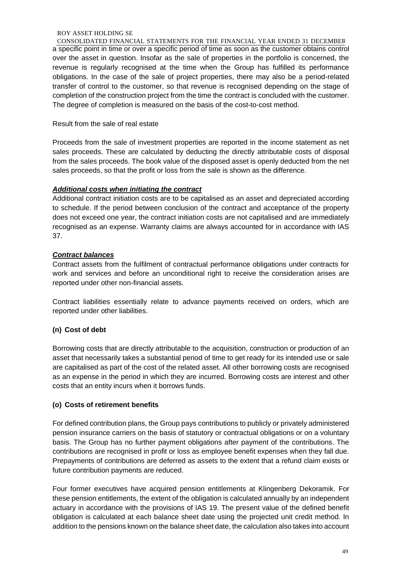CONSOLIDATED FINANCIAL STATEMENTS FOR THE FINANCIAL YEAR ENDED 31 DECEMBER a specific point in time or over a specific period of time as soon as the customer obtains control over the asset in question. Insofar as the sale of properties in the portfolio is concerned, the revenue is regularly recognised at the time when the Group has fulfilled its performance obligations. In the case of the sale of project properties, there may also be a period-related transfer of control to the customer, so that revenue is recognised depending on the stage of completion of the construction project from the time the contract is concluded with the customer. The degree of completion is measured on the basis of the cost-to-cost method.

### Result from the sale of real estate

Proceeds from the sale of investment properties are reported in the income statement as net sales proceeds. These are calculated by deducting the directly attributable costs of disposal from the sales proceeds. The book value of the disposed asset is openly deducted from the net sales proceeds, so that the profit or loss from the sale is shown as the difference.

### *Additional costs when initiating the contract*

Additional contract initiation costs are to be capitalised as an asset and depreciated according to schedule. If the period between conclusion of the contract and acceptance of the property does not exceed one year, the contract initiation costs are not capitalised and are immediately recognised as an expense. Warranty claims are always accounted for in accordance with IAS 37.

### *Contract balances*

Contract assets from the fulfilment of contractual performance obligations under contracts for work and services and before an unconditional right to receive the consideration arises are reported under other non-financial assets.

Contract liabilities essentially relate to advance payments received on orders, which are reported under other liabilities.

### **(n) Cost of debt**

Borrowing costs that are directly attributable to the acquisition, construction or production of an asset that necessarily takes a substantial period of time to get ready for its intended use or sale are capitalised as part of the cost of the related asset. All other borrowing costs are recognised as an expense in the period in which they are incurred. Borrowing costs are interest and other costs that an entity incurs when it borrows funds.

### **(o) Costs of retirement benefits**

For defined contribution plans, the Group pays contributions to publicly or privately administered pension insurance carriers on the basis of statutory or contractual obligations or on a voluntary basis. The Group has no further payment obligations after payment of the contributions. The contributions are recognised in profit or loss as employee benefit expenses when they fall due. Prepayments of contributions are deferred as assets to the extent that a refund claim exists or future contribution payments are reduced.

Four former executives have acquired pension entitlements at Klingenberg Dekoramik. For these pension entitlements, the extent of the obligation is calculated annually by an independent actuary in accordance with the provisions of IAS 19. The present value of the defined benefit obligation is calculated at each balance sheet date using the projected unit credit method. In addition to the pensions known on the balance sheet date, the calculation also takes into account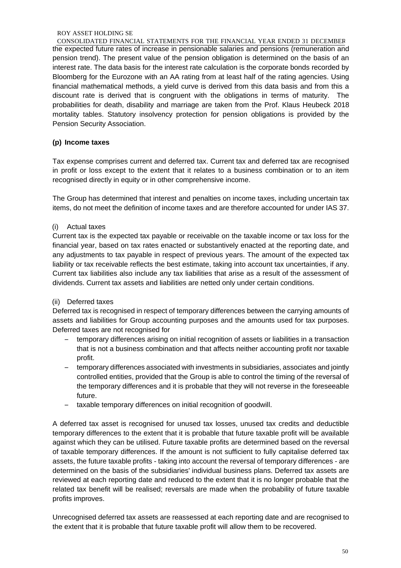CONSOLIDATED FINANCIAL STATEMENTS FOR THE FINANCIAL YEAR ENDED 31 DECEMBER the expected future rates of increase in pensionable salaries and pensions (remuneration and pension trend). The present value of the pension obligation is determined on the basis of an interest rate. The data basis for the interest rate calculation is the corporate bonds recorded by Bloomberg for the Eurozone with an AA rating from at least half of the rating agencies. Using financial mathematical methods, a yield curve is derived from this data basis and from this a discount rate is derived that is congruent with the obligations in terms of maturity. The probabilities for death, disability and marriage are taken from the Prof. Klaus Heubeck 2018 mortality tables. Statutory insolvency protection for pension obligations is provided by the Pension Security Association.

### **(p) Income taxes**

Tax expense comprises current and deferred tax. Current tax and deferred tax are recognised in profit or loss except to the extent that it relates to a business combination or to an item recognised directly in equity or in other comprehensive income.

The Group has determined that interest and penalties on income taxes, including uncertain tax items, do not meet the definition of income taxes and are therefore accounted for under IAS 37.

### (i) Actual taxes

Current tax is the expected tax payable or receivable on the taxable income or tax loss for the financial year, based on tax rates enacted or substantively enacted at the reporting date, and any adjustments to tax payable in respect of previous years. The amount of the expected tax liability or tax receivable reflects the best estimate, taking into account tax uncertainties, if any. Current tax liabilities also include any tax liabilities that arise as a result of the assessment of dividends. Current tax assets and liabilities are netted only under certain conditions.

### (ii) Deferred taxes

Deferred tax is recognised in respect of temporary differences between the carrying amounts of assets and liabilities for Group accounting purposes and the amounts used for tax purposes. Deferred taxes are not recognised for

- temporary differences arising on initial recognition of assets or liabilities in a transaction that is not a business combination and that affects neither accounting profit nor taxable profit.
- temporary differences associated with investments in subsidiaries, associates and jointly controlled entities, provided that the Group is able to control the timing of the reversal of the temporary differences and it is probable that they will not reverse in the foreseeable future.
- taxable temporary differences on initial recognition of goodwill.

A deferred tax asset is recognised for unused tax losses, unused tax credits and deductible temporary differences to the extent that it is probable that future taxable profit will be available against which they can be utilised. Future taxable profits are determined based on the reversal of taxable temporary differences. If the amount is not sufficient to fully capitalise deferred tax assets, the future taxable profits - taking into account the reversal of temporary differences - are determined on the basis of the subsidiaries' individual business plans. Deferred tax assets are reviewed at each reporting date and reduced to the extent that it is no longer probable that the related tax benefit will be realised; reversals are made when the probability of future taxable profits improves.

Unrecognised deferred tax assets are reassessed at each reporting date and are recognised to the extent that it is probable that future taxable profit will allow them to be recovered.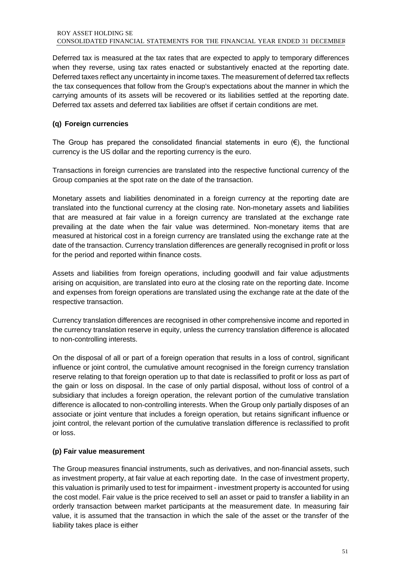Deferred tax is measured at the tax rates that are expected to apply to temporary differences when they reverse, using tax rates enacted or substantively enacted at the reporting date. Deferred taxes reflect any uncertainty in income taxes. The measurement of deferred tax reflects the tax consequences that follow from the Group's expectations about the manner in which the carrying amounts of its assets will be recovered or its liabilities settled at the reporting date. Deferred tax assets and deferred tax liabilities are offset if certain conditions are met.

### **(q) Foreign currencies**

The Group has prepared the consolidated financial statements in euro  $(\epsilon)$ , the functional currency is the US dollar and the reporting currency is the euro.

Transactions in foreign currencies are translated into the respective functional currency of the Group companies at the spot rate on the date of the transaction.

Monetary assets and liabilities denominated in a foreign currency at the reporting date are translated into the functional currency at the closing rate. Non-monetary assets and liabilities that are measured at fair value in a foreign currency are translated at the exchange rate prevailing at the date when the fair value was determined. Non-monetary items that are measured at historical cost in a foreign currency are translated using the exchange rate at the date of the transaction. Currency translation differences are generally recognised in profit or loss for the period and reported within finance costs.

Assets and liabilities from foreign operations, including goodwill and fair value adjustments arising on acquisition, are translated into euro at the closing rate on the reporting date. Income and expenses from foreign operations are translated using the exchange rate at the date of the respective transaction.

Currency translation differences are recognised in other comprehensive income and reported in the currency translation reserve in equity, unless the currency translation difference is allocated to non-controlling interests.

On the disposal of all or part of a foreign operation that results in a loss of control, significant influence or joint control, the cumulative amount recognised in the foreign currency translation reserve relating to that foreign operation up to that date is reclassified to profit or loss as part of the gain or loss on disposal. In the case of only partial disposal, without loss of control of a subsidiary that includes a foreign operation, the relevant portion of the cumulative translation difference is allocated to non-controlling interests. When the Group only partially disposes of an associate or joint venture that includes a foreign operation, but retains significant influence or joint control, the relevant portion of the cumulative translation difference is reclassified to profit or loss.

### **(p) Fair value measurement**

The Group measures financial instruments, such as derivatives, and non-financial assets, such as investment property, at fair value at each reporting date. In the case of investment property, this valuation is primarily used to test for impairment - investment property is accounted for using the cost model. Fair value is the price received to sell an asset or paid to transfer a liability in an orderly transaction between market participants at the measurement date. In measuring fair value, it is assumed that the transaction in which the sale of the asset or the transfer of the liability takes place is either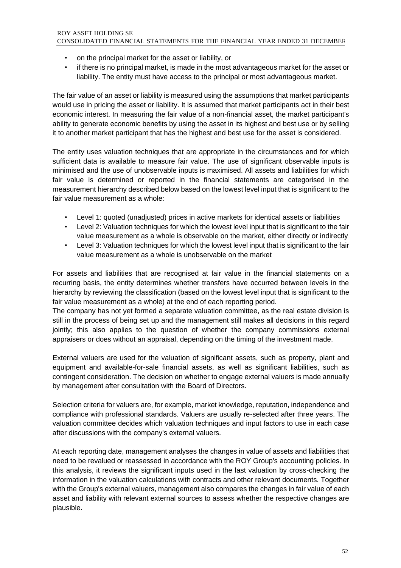- on the principal market for the asset or liability, or
- if there is no principal market, is made in the most advantageous market for the asset or liability. The entity must have access to the principal or most advantageous market.

The fair value of an asset or liability is measured using the assumptions that market participants would use in pricing the asset or liability. It is assumed that market participants act in their best economic interest. In measuring the fair value of a non-financial asset, the market participant's ability to generate economic benefits by using the asset in its highest and best use or by selling it to another market participant that has the highest and best use for the asset is considered.

The entity uses valuation techniques that are appropriate in the circumstances and for which sufficient data is available to measure fair value. The use of significant observable inputs is minimised and the use of unobservable inputs is maximised. All assets and liabilities for which fair value is determined or reported in the financial statements are categorised in the measurement hierarchy described below based on the lowest level input that is significant to the fair value measurement as a whole:

- Level 1: quoted (unadjusted) prices in active markets for identical assets or liabilities
- Level 2: Valuation techniques for which the lowest level input that is significant to the fair value measurement as a whole is observable on the market, either directly or indirectly
- Level 3: Valuation techniques for which the lowest level input that is significant to the fair value measurement as a whole is unobservable on the market

For assets and liabilities that are recognised at fair value in the financial statements on a recurring basis, the entity determines whether transfers have occurred between levels in the hierarchy by reviewing the classification (based on the lowest level input that is significant to the fair value measurement as a whole) at the end of each reporting period.

The company has not yet formed a separate valuation committee, as the real estate division is still in the process of being set up and the management still makes all decisions in this regard jointly; this also applies to the question of whether the company commissions external appraisers or does without an appraisal, depending on the timing of the investment made.

External valuers are used for the valuation of significant assets, such as property, plant and equipment and available-for-sale financial assets, as well as significant liabilities, such as contingent consideration. The decision on whether to engage external valuers is made annually by management after consultation with the Board of Directors.

Selection criteria for valuers are, for example, market knowledge, reputation, independence and compliance with professional standards. Valuers are usually re-selected after three years. The valuation committee decides which valuation techniques and input factors to use in each case after discussions with the company's external valuers.

At each reporting date, management analyses the changes in value of assets and liabilities that need to be revalued or reassessed in accordance with the ROY Group's accounting policies. In this analysis, it reviews the significant inputs used in the last valuation by cross-checking the information in the valuation calculations with contracts and other relevant documents. Together with the Group's external valuers, management also compares the changes in fair value of each asset and liability with relevant external sources to assess whether the respective changes are plausible.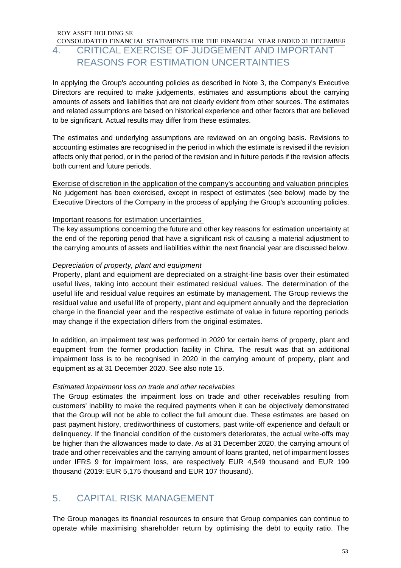### CONSOLIDATED FINANCIAL STATEMENTS FOR THE FINANCIAL YEAR ENDED 31 DECEMBER 4. CRITICAL EXERCISE OF JUDGEMENT AND IMPORTANT REASONS FOR ESTIMATION UNCERTAINTIES

In applying the Group's accounting policies as described in Note 3, the Company's Executive Directors are required to make judgements, estimates and assumptions about the carrying amounts of assets and liabilities that are not clearly evident from other sources. The estimates and related assumptions are based on historical experience and other factors that are believed to be significant. Actual results may differ from these estimates.

The estimates and underlying assumptions are reviewed on an ongoing basis. Revisions to accounting estimates are recognised in the period in which the estimate is revised if the revision affects only that period, or in the period of the revision and in future periods if the revision affects both current and future periods.

Exercise of discretion in the application of the company's accounting and valuation principles No judgement has been exercised, except in respect of estimates (see below) made by the Executive Directors of the Company in the process of applying the Group's accounting policies.

### Important reasons for estimation uncertainties

The key assumptions concerning the future and other key reasons for estimation uncertainty at the end of the reporting period that have a significant risk of causing a material adjustment to the carrying amounts of assets and liabilities within the next financial year are discussed below.

### *Depreciation of property, plant and equipment*

Property, plant and equipment are depreciated on a straight-line basis over their estimated useful lives, taking into account their estimated residual values. The determination of the useful life and residual value requires an estimate by management. The Group reviews the residual value and useful life of property, plant and equipment annually and the depreciation charge in the financial year and the respective estimate of value in future reporting periods may change if the expectation differs from the original estimates.

In addition, an impairment test was performed in 2020 for certain items of property, plant and equipment from the former production facility in China. The result was that an additional impairment loss is to be recognised in 2020 in the carrying amount of property, plant and equipment as at 31 December 2020. See also note 15.

### *Estimated impairment loss on trade and other receivables*

The Group estimates the impairment loss on trade and other receivables resulting from customers' inability to make the required payments when it can be objectively demonstrated that the Group will not be able to collect the full amount due. These estimates are based on past payment history, creditworthiness of customers, past write-off experience and default or delinquency. If the financial condition of the customers deteriorates, the actual write-offs may be higher than the allowances made to date. As at 31 December 2020, the carrying amount of trade and other receivables and the carrying amount of loans granted, net of impairment losses under IFRS 9 for impairment loss, are respectively EUR 4,549 thousand and EUR 199 thousand (2019: EUR 5,175 thousand and EUR 107 thousand).

### 5. CAPITAL RISK MANAGEMENT

The Group manages its financial resources to ensure that Group companies can continue to operate while maximising shareholder return by optimising the debt to equity ratio. The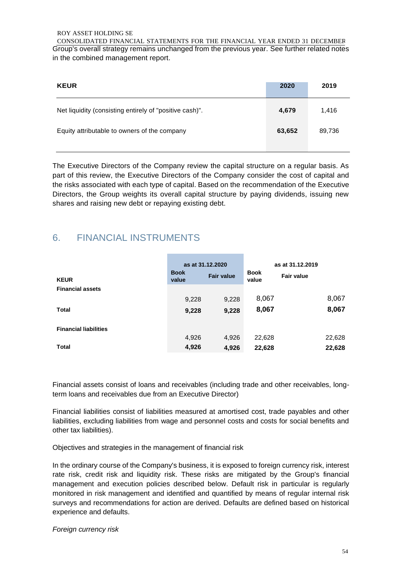CONSOLIDATED FINANCIAL STATEMENTS FOR THE FINANCIAL YEAR ENDED 31 DECEMBER Group's overall strategy remains unchanged from the previous year. See further related notes in the combined management report.

| <b>KEUR</b>                                             | 2020   | 2019   |
|---------------------------------------------------------|--------|--------|
| Net liquidity (consisting entirely of "positive cash)". | 4,679  | 1.416  |
| Equity attributable to owners of the company            | 63,652 | 89,736 |

The Executive Directors of the Company review the capital structure on a regular basis. As part of this review, the Executive Directors of the Company consider the cost of capital and the risks associated with each type of capital. Based on the recommendation of the Executive Directors, the Group weights its overall capital structure by paying dividends, issuing new shares and raising new debt or repaying existing debt.

### 6. FINANCIAL INSTRUMENTS

| <b>KEUR</b>                  | <b>Book</b><br>value | as at 31.12.2020<br><b>Fair value</b> | <b>Book</b><br>value | as at 31.12.2019<br><b>Fair value</b> |
|------------------------------|----------------------|---------------------------------------|----------------------|---------------------------------------|
| <b>Financial assets</b>      |                      |                                       |                      |                                       |
|                              | 9,228                | 9,228                                 | 8,067                | 8,067                                 |
| <b>Total</b>                 | 9,228                | 9,228                                 | 8,067                | 8,067                                 |
|                              |                      |                                       |                      |                                       |
| <b>Financial liabilities</b> |                      |                                       |                      |                                       |
|                              | 4,926                | 4,926                                 | 22,628               | 22,628                                |
| <b>Total</b>                 | 4,926                | 4,926                                 | 22,628               | 22,628                                |

Financial assets consist of loans and receivables (including trade and other receivables, longterm loans and receivables due from an Executive Director)

Financial liabilities consist of liabilities measured at amortised cost, trade payables and other liabilities, excluding liabilities from wage and personnel costs and costs for social benefits and other tax liabilities).

Objectives and strategies in the management of financial risk

In the ordinary course of the Company's business, it is exposed to foreign currency risk, interest rate risk, credit risk and liquidity risk. These risks are mitigated by the Group's financial management and execution policies described below. Default risk in particular is regularly monitored in risk management and identified and quantified by means of regular internal risk surveys and recommendations for action are derived. Defaults are defined based on historical experience and defaults.

*Foreign currency risk*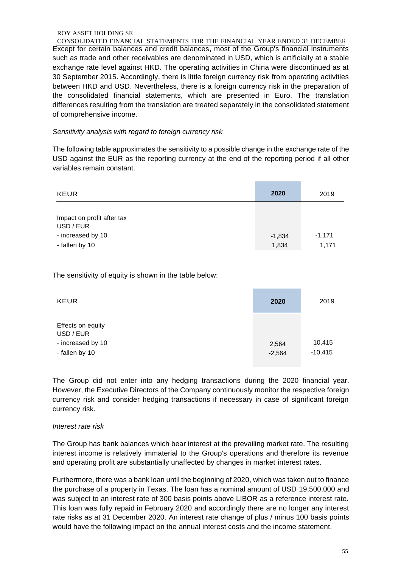CONSOLIDATED FINANCIAL STATEMENTS FOR THE FINANCIAL YEAR ENDED 31 DECEMBER Except for certain balances and credit balances, most of the Group's financial instruments such as trade and other receivables are denominated in USD, which is artificially at a stable exchange rate level against HKD. The operating activities in China were discontinued as at 30 September 2015. Accordingly, there is little foreign currency risk from operating activities between HKD and USD. Nevertheless, there is a foreign currency risk in the preparation of the consolidated financial statements, which are presented in Euro. The translation differences resulting from the translation are treated separately in the consolidated statement of comprehensive income.

### *Sensitivity analysis with regard to foreign currency risk*

The following table approximates the sensitivity to a possible change in the exchange rate of the USD against the EUR as the reporting currency at the end of the reporting period if all other variables remain constant.

| <b>KEUR</b>                                                                    | 2020              | 2019              |
|--------------------------------------------------------------------------------|-------------------|-------------------|
| Impact on profit after tax<br>USD / EUR<br>- increased by 10<br>- fallen by 10 | $-1,834$<br>1,834 | $-1,171$<br>1,171 |

The sensitivity of equity is shown in the table below:

| <b>KEUR</b>                                                           | 2020              | 2019                |
|-----------------------------------------------------------------------|-------------------|---------------------|
| Effects on equity<br>USD / EUR<br>- increased by 10<br>- fallen by 10 | 2,564<br>$-2,564$ | 10,415<br>$-10,415$ |

The Group did not enter into any hedging transactions during the 2020 financial year. However, the Executive Directors of the Company continuously monitor the respective foreign currency risk and consider hedging transactions if necessary in case of significant foreign currency risk.

### *Interest rate risk*

The Group has bank balances which bear interest at the prevailing market rate. The resulting interest income is relatively immaterial to the Group's operations and therefore its revenue and operating profit are substantially unaffected by changes in market interest rates.

Furthermore, there was a bank loan until the beginning of 2020, which was taken out to finance the purchase of a property in Texas. The loan has a nominal amount of USD 19,500,000 and was subject to an interest rate of 300 basis points above LIBOR as a reference interest rate. This loan was fully repaid in February 2020 and accordingly there are no longer any interest rate risks as at 31 December 2020. An interest rate change of plus / minus 100 basis points would have the following impact on the annual interest costs and the income statement.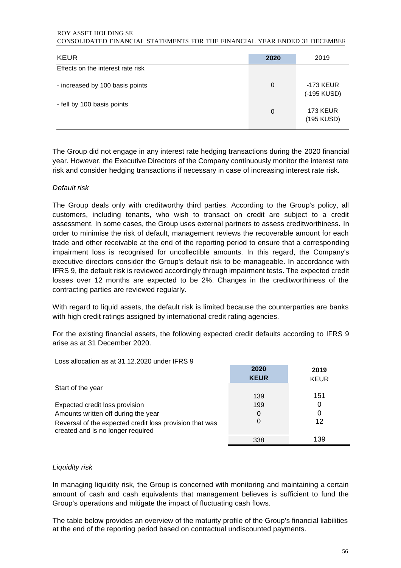#### ROY ASSET HOLDING SE CONSOLIDATED FINANCIAL STATEMENTS FOR THE FINANCIAL YEAR ENDED 31 DECEMBER

| <b>KEUR</b>                       | 2020 | 2019                          |
|-----------------------------------|------|-------------------------------|
| Effects on the interest rate risk |      |                               |
| - increased by 100 basis points   | 0    | -173 KEUR<br>(-195 KUSD)      |
| - fell by 100 basis points        | 0    | <b>173 KEUR</b><br>(195 KUSD) |

The Group did not engage in any interest rate hedging transactions during the 2020 financial year. However, the Executive Directors of the Company continuously monitor the interest rate risk and consider hedging transactions if necessary in case of increasing interest rate risk.

### *Default risk*

The Group deals only with creditworthy third parties. According to the Group's policy, all customers, including tenants, who wish to transact on credit are subject to a credit assessment. In some cases, the Group uses external partners to assess creditworthiness. In order to minimise the risk of default, management reviews the recoverable amount for each trade and other receivable at the end of the reporting period to ensure that a corresponding impairment loss is recognised for uncollectible amounts. In this regard, the Company's executive directors consider the Group's default risk to be manageable. In accordance with IFRS 9, the default risk is reviewed accordingly through impairment tests. The expected credit losses over 12 months are expected to be 2%. Changes in the creditworthiness of the contracting parties are reviewed regularly.

With regard to liquid assets, the default risk is limited because the counterparties are banks with high credit ratings assigned by international credit rating agencies.

For the existing financial assets, the following expected credit defaults according to IFRS 9 arise as at 31 December 2020.

Loss allocation as at 31.12.2020 under IFRS 9

|                                                                                              | 2020<br><b>KEUR</b> | 2019<br><b>KEUR</b> |
|----------------------------------------------------------------------------------------------|---------------------|---------------------|
| Start of the year                                                                            |                     |                     |
|                                                                                              | 139                 | 151                 |
| Expected credit loss provision                                                               | 199                 |                     |
| Amounts written off during the year                                                          | 0                   |                     |
| Reversal of the expected credit loss provision that was<br>created and is no longer required |                     | 12                  |
|                                                                                              | 338                 | 139                 |

### *Liquidity risk*

In managing liquidity risk, the Group is concerned with monitoring and maintaining a certain amount of cash and cash equivalents that management believes is sufficient to fund the Group's operations and mitigate the impact of fluctuating cash flows.

The table below provides an overview of the maturity profile of the Group's financial liabilities at the end of the reporting period based on contractual undiscounted payments.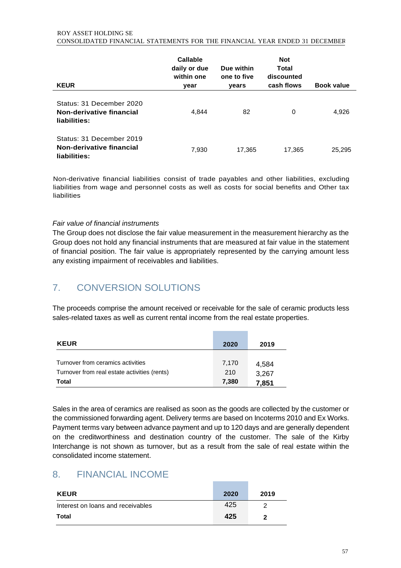| <b>KEUR</b>                                                          | Callable<br>daily or due<br>within one<br>year | Due within<br>one to five<br>years | <b>Not</b><br>Total<br>discounted<br>cash flows | <b>Book value</b> |
|----------------------------------------------------------------------|------------------------------------------------|------------------------------------|-------------------------------------------------|-------------------|
| Status: 31 December 2020<br>Non-derivative financial<br>liabilities: | 4.844                                          | 82                                 | 0                                               | 4,926             |
| Status: 31 December 2019<br>Non-derivative financial<br>liabilities: | 7,930                                          | 17,365                             | 17,365                                          | 25,295            |

Non-derivative financial liabilities consist of trade payables and other liabilities, excluding liabilities from wage and personnel costs as well as costs for social benefits and Other tax liabilities

### *Fair value of financial instruments*

The Group does not disclose the fair value measurement in the measurement hierarchy as the Group does not hold any financial instruments that are measured at fair value in the statement of financial position. The fair value is appropriately represented by the carrying amount less any existing impairment of receivables and liabilities.

# 7. CONVERSION SOLUTIONS

The proceeds comprise the amount received or receivable for the sale of ceramic products less sales-related taxes as well as current rental income from the real estate properties.

| <b>KEUR</b>                                                                       | 2020         | 2019           |
|-----------------------------------------------------------------------------------|--------------|----------------|
| Turnover from ceramics activities<br>Turnover from real estate activities (rents) | 7,170<br>210 | 4,584<br>3,267 |
| Total                                                                             | 7,380        | 7,851          |

Sales in the area of ceramics are realised as soon as the goods are collected by the customer or the commissioned forwarding agent. Delivery terms are based on Incoterms 2010 and Ex Works. Payment terms vary between advance payment and up to 120 days and are generally dependent on the creditworthiness and destination country of the customer. The sale of the Kirby Interchange is not shown as turnover, but as a result from the sale of real estate within the consolidated income statement.

### 8. FINANCIAL INCOME

| <b>KEUR</b>                       | 2020 | 2019 |
|-----------------------------------|------|------|
| Interest on loans and receivables | 425  | າ    |
| Total                             | 425  | 2    |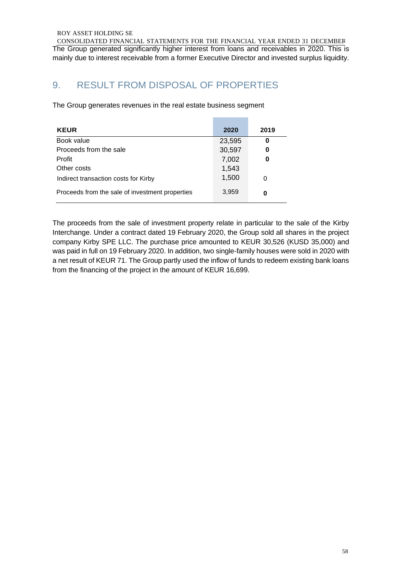CONSOLIDATED FINANCIAL STATEMENTS FOR THE FINANCIAL YEAR ENDED 31 DECEMBER The Group generated significantly higher interest from loans and receivables in 2020. This is mainly due to interest receivable from a former Executive Director and invested surplus liquidity.

# 9. RESULT FROM DISPOSAL OF PROPERTIES

The Group generates revenues in the real estate business segment

| <b>KEUR</b>                                     | 2020   | 2019 |
|-------------------------------------------------|--------|------|
| Book value                                      | 23,595 | 0    |
| Proceeds from the sale                          | 30,597 | 0    |
| Profit                                          | 7,002  | 0    |
| Other costs                                     | 1,543  |      |
| Indirect transaction costs for Kirby            | 1,500  | 0    |
| Proceeds from the sale of investment properties | 3,959  | 0    |

The proceeds from the sale of investment property relate in particular to the sale of the Kirby Interchange. Under a contract dated 19 February 2020, the Group sold all shares in the project company Kirby SPE LLC. The purchase price amounted to KEUR 30,526 (KUSD 35,000) and was paid in full on 19 February 2020. In addition, two single-family houses were sold in 2020 with a net result of KEUR 71. The Group partly used the inflow of funds to redeem existing bank loans from the financing of the project in the amount of KEUR 16,699.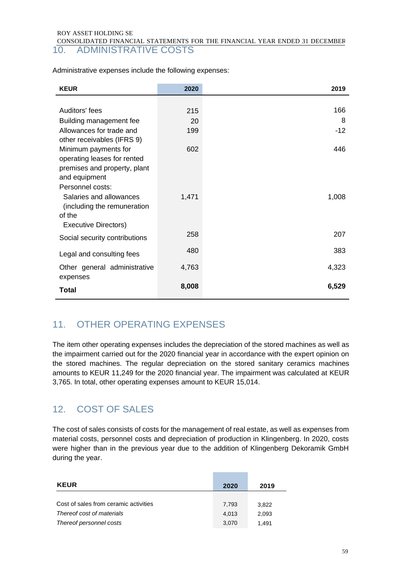CONSOLIDATED FINANCIAL STATEMENTS FOR THE FINANCIAL YEAR ENDED 31 DECEMBER 10. ADMINISTRATIVE COSTS

| <b>KEUR</b>                           | 2020  | 2019  |
|---------------------------------------|-------|-------|
|                                       |       |       |
| Auditors' fees                        | 215   | 166   |
| Building management fee               | 20    | 8     |
| Allowances for trade and              | 199   | $-12$ |
| other receivables (IFRS 9)            |       |       |
| Minimum payments for                  | 602   | 446   |
| operating leases for rented           |       |       |
| premises and property, plant          |       |       |
| and equipment                         |       |       |
| Personnel costs:                      |       |       |
| Salaries and allowances               | 1,471 | 1,008 |
| (including the remuneration<br>of the |       |       |
| Executive Directors)                  |       |       |
|                                       | 258   | 207   |
| Social security contributions         |       |       |
| Legal and consulting fees             | 480   | 383   |
| Other general administrative          | 4,763 | 4,323 |
| expenses                              |       |       |
| <b>Total</b>                          | 8,008 | 6,529 |

Administrative expenses include the following expenses:

# 11. OTHER OPERATING EXPENSES

The item other operating expenses includes the depreciation of the stored machines as well as the impairment carried out for the 2020 financial year in accordance with the expert opinion on the stored machines. The regular depreciation on the stored sanitary ceramics machines amounts to KEUR 11,249 for the 2020 financial year. The impairment was calculated at KEUR 3,765. In total, other operating expenses amount to KEUR 15,014.

# 12. COST OF SALES

The cost of sales consists of costs for the management of real estate, as well as expenses from material costs, personnel costs and depreciation of production in Klingenberg. In 2020, costs were higher than in the previous year due to the addition of Klingenberg Dekoramik GmbH during the year.

| <b>KEUR</b>                                          | 2020           | 2019           |
|------------------------------------------------------|----------------|----------------|
| Cost of sales from ceramic activities                | 7.793          | 3.822          |
| Thereof cost of materials<br>Thereof personnel costs | 4.013<br>3.070 | 2.093<br>1.491 |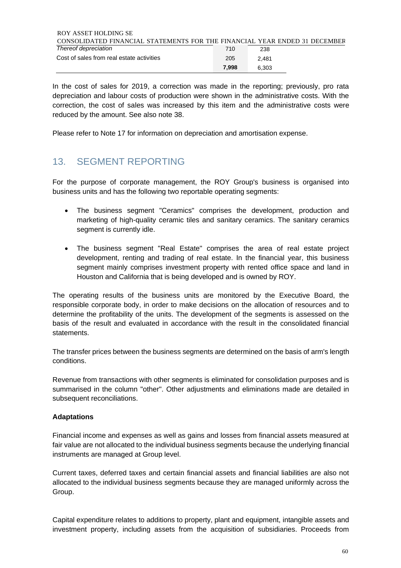| ROY ASSET HOLDING SE                                                       |       |       |  |
|----------------------------------------------------------------------------|-------|-------|--|
| CONSOLIDATED FINANCIAL STATEMENTS FOR THE FINANCIAL YEAR ENDED 31 DECEMBER |       |       |  |
| Thereof depreciation                                                       | 710   | 238   |  |
| Cost of sales from real estate activities                                  | 205   | 2.481 |  |
|                                                                            | 7.998 | 6.303 |  |

In the cost of sales for 2019, a correction was made in the reporting; previously, pro rata depreciation and labour costs of production were shown in the administrative costs. With the correction, the cost of sales was increased by this item and the administrative costs were reduced by the amount. See also note 38.

Please refer to Note 17 for information on depreciation and amortisation expense.

# 13. SEGMENT REPORTING

For the purpose of corporate management, the ROY Group's business is organised into business units and has the following two reportable operating segments:

- The business segment "Ceramics" comprises the development, production and marketing of high-quality ceramic tiles and sanitary ceramics. The sanitary ceramics segment is currently idle.
- The business segment "Real Estate" comprises the area of real estate project development, renting and trading of real estate. In the financial year, this business segment mainly comprises investment property with rented office space and land in Houston and California that is being developed and is owned by ROY.

The operating results of the business units are monitored by the Executive Board, the responsible corporate body, in order to make decisions on the allocation of resources and to determine the profitability of the units. The development of the segments is assessed on the basis of the result and evaluated in accordance with the result in the consolidated financial statements.

The transfer prices between the business segments are determined on the basis of arm's length conditions.

Revenue from transactions with other segments is eliminated for consolidation purposes and is summarised in the column "other". Other adjustments and eliminations made are detailed in subsequent reconciliations.

### **Adaptations**

Financial income and expenses as well as gains and losses from financial assets measured at fair value are not allocated to the individual business segments because the underlying financial instruments are managed at Group level.

Current taxes, deferred taxes and certain financial assets and financial liabilities are also not allocated to the individual business segments because they are managed uniformly across the Group.

Capital expenditure relates to additions to property, plant and equipment, intangible assets and investment property, including assets from the acquisition of subsidiaries. Proceeds from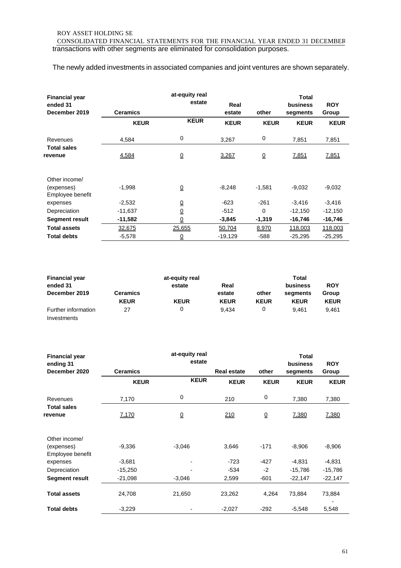CONSOLIDATED FINANCIAL STATEMENTS FOR THE FINANCIAL YEAR ENDED 31 DECEMBER transactions with other segments are eliminated for consolidation purposes.

The newly added investments in associated companies and joint ventures are shown separately.

| <b>Financial year</b><br>ended 31<br>December 2019 | <b>Ceramics</b> | at-equity real<br>estate    | Real<br>estate | other                       | Total<br>business<br>segments | <b>ROY</b><br>Group |
|----------------------------------------------------|-----------------|-----------------------------|----------------|-----------------------------|-------------------------------|---------------------|
|                                                    | <b>KEUR</b>     | <b>KEUR</b>                 | <b>KEUR</b>    | <b>KEUR</b>                 | <b>KEUR</b>                   | <b>KEUR</b>         |
| Revenues                                           | 4,584           | 0                           | 3,267          | 0                           | 7,851                         | 7,851               |
| <b>Total sales</b><br>revenue                      | 4,584           | $\underline{\underline{0}}$ | 3,267          | $\underline{\underline{0}}$ | 7,851                         | 7,851               |
| Other income/<br>(expenses)<br>Employee benefit    | $-1,998$        | $\underline{0}$             | $-8,248$       | $-1,581$                    | -9,032                        | $-9,032$            |
| expenses                                           | $-2,532$        | $\underline{\underline{0}}$ | $-623$         | $-261$                      | $-3,416$                      | $-3,416$            |
| Depreciation                                       | -11,637         | $\underline{\underline{0}}$ | $-512$         | $\Omega$                    | $-12,150$                     | $-12,150$           |
| Segment result                                     | -11,582         | $\underline{0}$             | $-3,845$       | $-1,319$                    | -16,746                       | $-16,746$           |
| <b>Total assets</b>                                | 32,675          | 25,655                      | 50,704         | 8,970                       | 118,003                       | 118,003             |
| <b>Total debts</b>                                 | $-5,578$        | ₫                           | $-19,129$      | -588                        | $-25,295$                     | $-25,295$           |

| <b>Financial year</b> |             | at-equity real | Total       |             |             |             |
|-----------------------|-------------|----------------|-------------|-------------|-------------|-------------|
| ended 31              |             | estate         | Real        |             | business    | <b>ROY</b>  |
| December 2019         | Ceramics    |                | estate      | other       | seaments    | Group       |
|                       | <b>KEUR</b> | <b>KEUR</b>    | <b>KEUR</b> | <b>KEUR</b> | <b>KEUR</b> | <b>KEUR</b> |
| Further information   | 27          | 0              | 9.434       |             | 9.461       | 9.461       |
| Investments           |             |                |             |             |             |             |

| <b>Financial year</b><br>ending 31              |                 | at-equity real<br>estate    |                    |                             | <b>Total</b><br>business | <b>ROY</b>  |
|-------------------------------------------------|-----------------|-----------------------------|--------------------|-----------------------------|--------------------------|-------------|
| December 2020                                   | <b>Ceramics</b> |                             | <b>Real estate</b> | other                       | segments                 | Group       |
|                                                 | <b>KEUR</b>     | <b>KEUR</b>                 | <b>KEUR</b>        | <b>KEUR</b>                 | <b>KEUR</b>              | <b>KEUR</b> |
| Revenues                                        | 7,170           | 0                           | 210                | 0                           | 7,380                    | 7,380       |
| <b>Total sales</b><br>revenue                   | 7,170           | $\underline{\underline{0}}$ | 210                | $\underline{\underline{0}}$ | 7,380                    | 7,380       |
| Other income/<br>(expenses)<br>Employee benefit | $-9,336$        | $-3,046$                    | 3,646              | $-171$                      | $-8,906$                 | $-8,906$    |
| expenses                                        | $-3,681$        |                             | $-723$             | $-427$                      | $-4,831$                 | $-4,831$    |
| Depreciation                                    | $-15,250$       |                             | $-534$             | $-2$                        | -15,786                  | $-15,786$   |
| <b>Segment result</b>                           | $-21,098$       | $-3,046$                    | 2,599              | $-601$                      | $-22,147$                | $-22,147$   |
| <b>Total assets</b>                             | 24,708          | 21,650                      | 23,262             | 4,264                       | 73,884                   | 73,884      |
| <b>Total debts</b>                              | $-3,229$        |                             | $-2,027$           | $-292$                      | $-5,548$                 | 5,548       |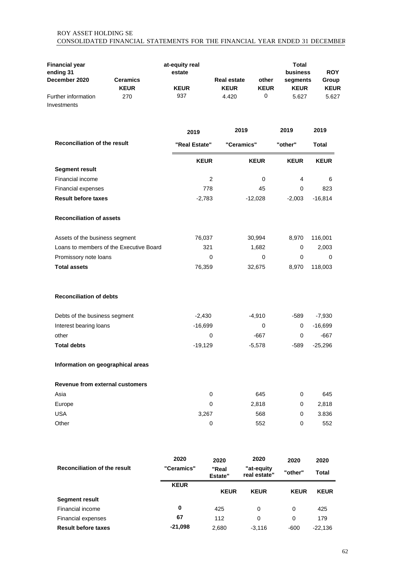### ROY ASSET HOLDING SE CONSOLIDATED FINANCIAL STATEMENTS FOR THE FINANCIAL YEAR ENDED 31 DECEMBER

| <b>Financial year</b>                  |                                         | at-equity real        |                                   |                            | <b>Total</b><br>business | <b>ROY</b>           |
|----------------------------------------|-----------------------------------------|-----------------------|-----------------------------------|----------------------------|--------------------------|----------------------|
| ending 31<br>December 2020             | <b>Ceramics</b><br><b>KEUR</b>          | estate<br><b>KEUR</b> | <b>Real estate</b><br><b>KEUR</b> | other<br><b>KEUR</b>       | segments<br><b>KEUR</b>  | Group<br><b>KEUR</b> |
| Further information<br>Investments     | 270                                     | 937                   | 4.420                             | 0                          | 5.627                    | 5.627                |
|                                        |                                         | 2019                  |                                   | 2019                       | 2019                     | 2019                 |
| <b>Reconciliation of the result</b>    |                                         | "Real Estate"         |                                   | "Ceramics"                 | "other"                  | <b>Total</b>         |
|                                        |                                         | <b>KEUR</b>           |                                   | <b>KEUR</b>                | <b>KEUR</b>              | <b>KEUR</b>          |
| <b>Segment result</b>                  |                                         |                       |                                   |                            |                          |                      |
| Financial income                       |                                         |                       | 2                                 | 0                          | 4                        | 6                    |
| Financial expenses                     |                                         |                       | 778                               | 45                         | 0                        | 823                  |
| <b>Result before taxes</b>             |                                         |                       | $-2,783$                          | $-12,028$                  | $-2,003$                 | $-16,814$            |
| <b>Reconciliation of assets</b>        |                                         |                       |                                   |                            |                          |                      |
| Assets of the business segment         |                                         | 76,037                |                                   | 30,994                     | 8,970                    | 116,001              |
|                                        | Loans to members of the Executive Board |                       | 321                               | 1,682                      | 0                        | 2,003                |
| Promissory note loans                  |                                         |                       | $\Omega$                          | 0                          | 0                        | 0                    |
| <b>Total assets</b>                    |                                         | 76,359                |                                   | 32,675                     | 8,970                    | 118,003              |
| <b>Reconciliation of debts</b>         |                                         |                       |                                   |                            |                          |                      |
| Debts of the business segment          |                                         | $-2,430$              |                                   | $-4,910$                   | -589                     | $-7,930$             |
| Interest bearing loans                 |                                         | $-16,699$             |                                   | 0                          | 0                        | $-16,699$            |
| other                                  |                                         |                       | 0                                 | $-667$                     | 0                        | $-667$               |
| <b>Total debts</b>                     |                                         | $-19,129$             |                                   | $-5,578$                   | -589                     | $-25,296$            |
| Information on geographical areas      |                                         |                       |                                   |                            |                          |                      |
| <b>Revenue from external customers</b> |                                         |                       |                                   |                            |                          |                      |
| Asia                                   |                                         |                       | 0                                 | 645                        | 0                        | 645                  |
| Europe                                 |                                         |                       | 0                                 | 2,818                      | $\mathbf 0$              | 2,818                |
| <b>USA</b>                             |                                         |                       | 3,267                             | 568                        | 0                        | 3.836                |
| Other                                  |                                         |                       | 0                                 | 552                        | 0                        | 552                  |
|                                        |                                         | 2020                  | 2020                              | 2020                       | 2020                     | 2020                 |
| <b>Reconciliation of the result</b>    |                                         | "Ceramics"            | "Real<br>Estate"                  | "at-equity<br>real estate" | "other"                  | <b>Total</b>         |
|                                        |                                         | <b>KEUR</b>           | <b>KEUR</b>                       | <b>KEUR</b>                | <b>KEUR</b>              | <b>KEUR</b>          |
| <b>Segment result</b>                  |                                         |                       |                                   |                            |                          |                      |

Financial income **0** 425 0 0 425 Financial expenses **67 112** 0 0 179 **Result before taxes -21,098** 2,680 -3,116 -600 -22,136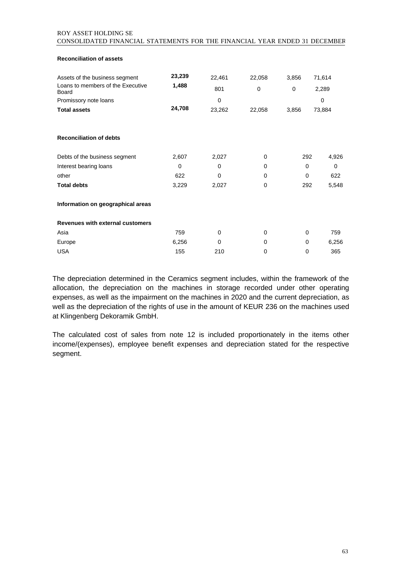### ROY ASSET HOLDING SE CONSOLIDATED FINANCIAL STATEMENTS FOR THE FINANCIAL YEAR ENDED 31 DECEMBER

**Reconciliation of assets**

| Assets of the business segment<br>Loans to members of the Executive<br>Board<br>Promissory note loans<br><b>Total assets</b> | 23,239<br>1,488<br>24,708 | 22,461<br>801<br>0<br>23,262 | 22,058<br>$\mathbf 0$<br>22,058 | 3,856<br>$\Omega$<br>3,856 | 71,614<br>2,289<br>0<br>73,884 |
|------------------------------------------------------------------------------------------------------------------------------|---------------------------|------------------------------|---------------------------------|----------------------------|--------------------------------|
| <b>Reconciliation of debts</b>                                                                                               |                           |                              |                                 |                            |                                |
| Debts of the business segment                                                                                                | 2,607                     | 2,027                        | 0                               | 292                        | 4,926                          |
| Interest bearing loans                                                                                                       | $\mathbf 0$               | 0                            | 0                               | 0                          | 0                              |
| other                                                                                                                        | 622                       | 0                            | 0                               | $\Omega$                   | 622                            |
| <b>Total debts</b>                                                                                                           | 3,229                     | 2,027                        | 0                               | 292                        | 5,548                          |
| Information on geographical areas                                                                                            |                           |                              |                                 |                            |                                |
| Revenues with external customers                                                                                             |                           |                              |                                 |                            |                                |
| Asia                                                                                                                         | 759                       | 0                            | 0                               | 0                          | 759                            |
| Europe                                                                                                                       | 6,256                     | 0                            | 0                               | 0                          | 6,256                          |
| <b>USA</b>                                                                                                                   | 155                       | 210                          | 0                               | 0                          | 365                            |

The depreciation determined in the Ceramics segment includes, within the framework of the allocation, the depreciation on the machines in storage recorded under other operating expenses, as well as the impairment on the machines in 2020 and the current depreciation, as well as the depreciation of the rights of use in the amount of KEUR 236 on the machines used at Klingenberg Dekoramik GmbH.

The calculated cost of sales from note 12 is included proportionately in the items other income/(expenses), employee benefit expenses and depreciation stated for the respective segment.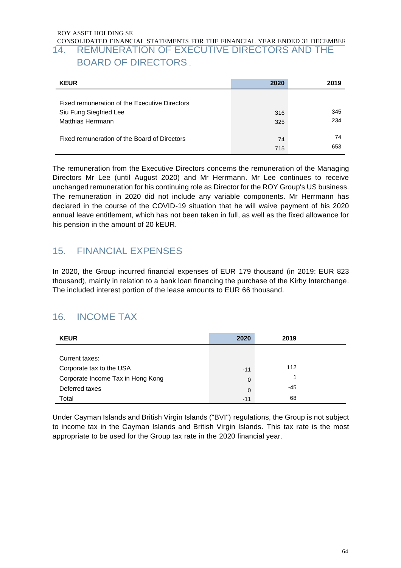### CONSOLIDATED FINANCIAL STATEMENTS FOR THE FINANCIAL YEAR ENDED 31 DECEMBER 14. REMUNERATION OF EXECUTIVE DIRECTORS AND THE BOARD OF DIRECTORS

| <b>KEUR</b>                                                                                  | 2020       | 2019       |
|----------------------------------------------------------------------------------------------|------------|------------|
| Fixed remuneration of the Executive Directors<br>Siu Fung Siegfried Lee<br>Matthias Herrmann | 316<br>325 | 345<br>234 |
| Fixed remuneration of the Board of Directors                                                 | 74<br>715  | 74<br>653  |

The remuneration from the Executive Directors concerns the remuneration of the Managing Directors Mr Lee (until August 2020) and Mr Herrmann. Mr Lee continues to receive unchanged remuneration for his continuing role as Director for the ROY Group's US business. The remuneration in 2020 did not include any variable components. Mr Herrmann has declared in the course of the COVID-19 situation that he will waive payment of his 2020 annual leave entitlement, which has not been taken in full, as well as the fixed allowance for his pension in the amount of 20 kEUR.

# 15. FINANCIAL EXPENSES

In 2020, the Group incurred financial expenses of EUR 179 thousand (in 2019: EUR 823 thousand), mainly in relation to a bank loan financing the purchase of the Kirby Interchange. The included interest portion of the lease amounts to EUR 66 thousand.

# 16. INCOME TAX

| <b>KEUR</b>                       | 2020        | 2019 |  |
|-----------------------------------|-------------|------|--|
|                                   |             |      |  |
| Current taxes:                    |             |      |  |
| Corporate tax to the USA          | $-11$       | 112  |  |
| Corporate Income Tax in Hong Kong | $\mathbf 0$ |      |  |
| Deferred taxes                    | $\mathbf 0$ | -45  |  |
| Total                             | $-11$       | 68   |  |

Under Cayman Islands and British Virgin Islands ("BVI") regulations, the Group is not subject to income tax in the Cayman Islands and British Virgin Islands. This tax rate is the most appropriate to be used for the Group tax rate in the 2020 financial year.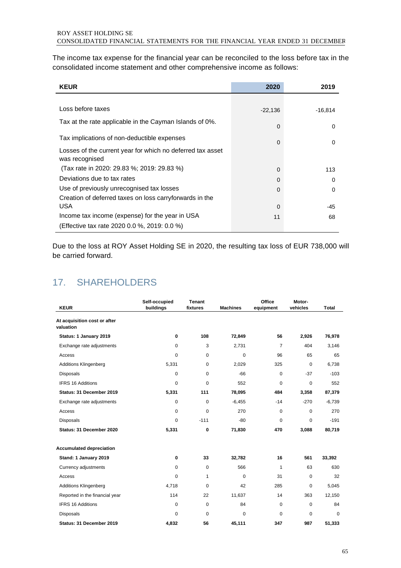The income tax expense for the financial year can be reconciled to the loss before tax in the consolidated income statement and other comprehensive income as follows:

| <b>KEUR</b>                                                                  | 2020      | 2019      |
|------------------------------------------------------------------------------|-----------|-----------|
|                                                                              |           |           |
| Loss before taxes                                                            | $-22,136$ | $-16,814$ |
| Tax at the rate applicable in the Cayman Islands of 0%.                      | $\Omega$  | 0         |
| Tax implications of non-deductible expenses                                  | $\Omega$  | 0         |
| Losses of the current year for which no deferred tax asset<br>was recognised |           |           |
| (Tax rate in 2020: 29.83 %; 2019: 29.83 %)                                   | $\Omega$  | 113       |
| Deviations due to tax rates                                                  | $\Omega$  | 0         |
| Use of previously unrecognised tax losses                                    | 0         | 0         |
| Creation of deferred taxes on loss carryforwards in the                      |           |           |
| <b>USA</b>                                                                   | 0         | -45       |
| Income tax income (expense) for the year in USA                              | 11        | 68        |
| (Effective tax rate 2020 0.0 %, 2019: 0.0 %)                                 |           |           |

Due to the loss at ROY Asset Holding SE in 2020, the resulting tax loss of EUR 738,000 will be carried forward.

## 17. SHAREHOLDERS

| <b>KEUR</b>                               | Self-occupied<br>buildings | <b>Tenant</b><br>fixtures | <b>Machines</b> | Office<br>equipment | Motor-<br>vehicles | <b>Total</b> |
|-------------------------------------------|----------------------------|---------------------------|-----------------|---------------------|--------------------|--------------|
| At acquisition cost or after<br>valuation |                            |                           |                 |                     |                    |              |
| Status: 1 January 2019                    | 0                          | 108                       | 72,849          | 56                  | 2,926              | 76,978       |
| Exchange rate adjustments                 | 0                          | 3                         | 2,731           | $\overline{7}$      | 404                | 3,146        |
| Access                                    | 0                          | 0                         | $\mathbf 0$     | 96                  | 65                 | 65           |
| <b>Additions Klingenberg</b>              | 5,331                      | 0                         | 2,029           | 325                 | 0                  | 6,738        |
| <b>Disposals</b>                          | 0                          | $\Omega$                  | $-66$           | 0                   | $-37$              | $-103$       |
| <b>IFRS 16 Additions</b>                  | 0                          | 0                         | 552             | 0                   | $\mathbf 0$        | 552          |
| Status: 31 December 2019                  | 5,331                      | 111                       | 78,095          | 484                 | 3,358              | 87,379       |
| Exchange rate adjustments                 | 0                          | 0                         | $-6,455$        | $-14$               | $-270$             | $-6,739$     |
| Access                                    | 0                          | 0                         | 270             | $\pmb{0}$           | $\mathbf 0$        | 270          |
| <b>Disposals</b>                          | 0                          | $-111$                    | $-80$           | $\pmb{0}$           | 0                  | $-191$       |
| Status: 31 December 2020                  | 5,331                      | 0                         | 71,830          | 470                 | 3,088              | 80,719       |
| <b>Accumulated depreciation</b>           |                            |                           |                 |                     |                    |              |
| Stand: 1 January 2019                     | 0                          | 33                        | 32,782          | 16                  | 561                | 33,392       |
| Currency adjustments                      | $\Omega$                   | $\Omega$                  | 566             | 1                   | 63                 | 630          |
| Access                                    | 0                          | 1                         | 0               | 31                  | $\mathbf 0$        | 32           |
| <b>Additions Klingenberg</b>              | 4,718                      | 0                         | 42              | 285                 | $\mathbf 0$        | 5,045        |
| Reported in the financial year            | 114                        | 22                        | 11,637          | 14                  | 363                | 12,150       |
| <b>IFRS 16 Additions</b>                  | 0                          | 0                         | 84              | 0                   | $\mathbf 0$        | 84           |
| <b>Disposals</b>                          | 0                          | 0                         | $\mathbf 0$     | $\mathbf 0$         | 0                  | $\Omega$     |
| Status: 31 December 2019                  | 4,832                      | 56                        | 45,111          | 347                 | 987                | 51,333       |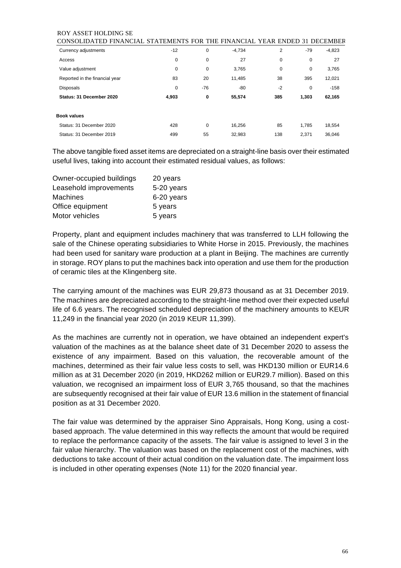| <b>CONSOLIDAT</b><br>FINANCIAL.<br>ΈD. | STATEMENTS FOR THE FINANCIAL YEAR ENDED 31 DECEMBER |       |          |      |       |          |
|----------------------------------------|-----------------------------------------------------|-------|----------|------|-------|----------|
| Currency adjustments                   | $-12$                                               | 0     | $-4.734$ | 2    | $-79$ | $-4,823$ |
| Access                                 | 0                                                   | 0     | 27       | 0    | 0     | 27       |
| Value adjustment                       | 0                                                   | 0     | 3,765    | 0    | 0     | 3,765    |
| Reported in the financial year         | 83                                                  | 20    | 11,485   | 38   | 395   | 12,021   |
| <b>Disposals</b>                       | 0                                                   | $-76$ | -80      | $-2$ | 0     | $-158$   |
| Status: 31 December 2020               | 4,903                                               | 0     | 55,574   | 385  | 1,303 | 62,165   |
| <b>Book values</b>                     |                                                     |       |          |      |       |          |
| Status: 31 December 2020               | 428                                                 | 0     | 16,256   | 85   | 1.785 | 18,554   |
| Status: 31 December 2019               | 499                                                 | 55    | 32,983   | 138  | 2,371 | 36,046   |

The above tangible fixed asset items are depreciated on a straight-line basis over their estimated useful lives, taking into account their estimated residual values, as follows:

| Owner-occupied buildings | 20 years   |
|--------------------------|------------|
| Leasehold improvements   | 5-20 years |
| <b>Machines</b>          | 6-20 years |
| Office equipment         | 5 years    |
| Motor vehicles           | 5 years    |

Property, plant and equipment includes machinery that was transferred to LLH following the sale of the Chinese operating subsidiaries to White Horse in 2015. Previously, the machines had been used for sanitary ware production at a plant in Beijing. The machines are currently in storage. ROY plans to put the machines back into operation and use them for the production of ceramic tiles at the Klingenberg site.

The carrying amount of the machines was EUR 29,873 thousand as at 31 December 2019. The machines are depreciated according to the straight-line method over their expected useful life of 6.6 years. The recognised scheduled depreciation of the machinery amounts to KEUR 11,249 in the financial year 2020 (in 2019 KEUR 11,399).

As the machines are currently not in operation, we have obtained an independent expert's valuation of the machines as at the balance sheet date of 31 December 2020 to assess the existence of any impairment. Based on this valuation, the recoverable amount of the machines, determined as their fair value less costs to sell, was HKD130 million or EUR14.6 million as at 31 December 2020 (in 2019, HKD262 million or EUR29.7 million). Based on this valuation, we recognised an impairment loss of EUR 3,765 thousand, so that the machines are subsequently recognised at their fair value of EUR 13.6 million in the statement of financial position as at 31 December 2020.

The fair value was determined by the appraiser Sino Appraisals, Hong Kong, using a costbased approach. The value determined in this way reflects the amount that would be required to replace the performance capacity of the assets. The fair value is assigned to level 3 in the fair value hierarchy. The valuation was based on the replacement cost of the machines, with deductions to take account of their actual condition on the valuation date. The impairment loss is included in other operating expenses (Note 11) for the 2020 financial year.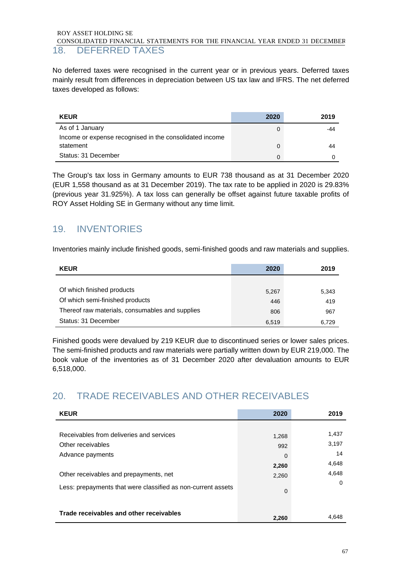### ROY ASSET HOLDING SE CONSOLIDATED FINANCIAL STATEMENTS FOR THE FINANCIAL YEAR ENDED 31 DECEMBER 18. DEFERRED TAXES

No deferred taxes were recognised in the current year or in previous years. Deferred taxes mainly result from differences in depreciation between US tax law and IFRS. The net deferred taxes developed as follows:

| <b>KEUR</b>                                             | 2020 | 2019 |
|---------------------------------------------------------|------|------|
| As of 1 January                                         |      | -44  |
| Income or expense recognised in the consolidated income |      |      |
| statement                                               |      | 44   |
| Status: 31 December                                     | 0    |      |

The Group's tax loss in Germany amounts to EUR 738 thousand as at 31 December 2020 (EUR 1,558 thousand as at 31 December 2019). The tax rate to be applied in 2020 is 29.83% (previous year 31.925%). A tax loss can generally be offset against future taxable profits of ROY Asset Holding SE in Germany without any time limit.

# 19. INVENTORIES

Inventories mainly include finished goods, semi-finished goods and raw materials and supplies.

| <b>KEUR</b>                                     | 2020  | 2019  |
|-------------------------------------------------|-------|-------|
|                                                 |       |       |
| Of which finished products                      | 5,267 | 5,343 |
| Of which semi-finished products                 | 446   | 419   |
| Thereof raw materials, consumables and supplies | 806   | 967   |
| Status: 31 December                             | 6,519 | 6.729 |

Finished goods were devalued by 219 KEUR due to discontinued series or lower sales prices. The semi-finished products and raw materials were partially written down by EUR 219,000. The book value of the inventories as of 31 December 2020 after devaluation amounts to EUR 6,518,000.

# 20. TRADE RECEIVABLES AND OTHER RECEIVABLES

| <b>KEUR</b>                                                  | 2020     | 2019     |
|--------------------------------------------------------------|----------|----------|
|                                                              |          |          |
| Receivables from deliveries and services                     | 1,268    | 1,437    |
| Other receivables                                            | 992      | 3,197    |
| Advance payments                                             | 0        | 14       |
|                                                              | 2,260    | 4,648    |
| Other receivables and prepayments, net                       | 2,260    | 4,648    |
| Less: prepayments that were classified as non-current assets | $\Omega$ | $\Omega$ |
| Trade receivables and other receivables                      | 2.260    | 4.648    |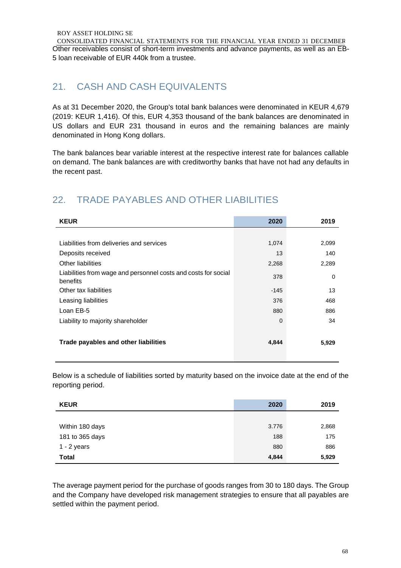CONSOLIDATED FINANCIAL STATEMENTS FOR THE FINANCIAL YEAR ENDED 31 DECEMBER Other receivables consist of short-term investments and advance payments, as well as an EB-5 loan receivable of EUR 440k from a trustee.

# 21. CASH AND CASH EQUIVALENTS

As at 31 December 2020, the Group's total bank balances were denominated in KEUR 4,679 (2019: KEUR 1,416). Of this, EUR 4,353 thousand of the bank balances are denominated in US dollars and EUR 231 thousand in euros and the remaining balances are mainly denominated in Hong Kong dollars.

The bank balances bear variable interest at the respective interest rate for balances callable on demand. The bank balances are with creditworthy banks that have not had any defaults in the recent past.

# 22. TRADE PAYABLES AND OTHER LIABILITIES

| <b>KEUR</b>                                                                | 2020     | 2019  |
|----------------------------------------------------------------------------|----------|-------|
|                                                                            |          |       |
| Liabilities from deliveries and services                                   | 1,074    | 2,099 |
| Deposits received                                                          | 13       | 140   |
| Other liabilities                                                          | 2,268    | 2,289 |
| Liabilities from wage and personnel costs and costs for social<br>benefits | 378      | 0     |
| Other tax liabilities                                                      | $-145$   | 13    |
| Leasing liabilities                                                        | 376      | 468   |
| Loan EB-5                                                                  | 880      | 886   |
| Liability to majority shareholder                                          | $\Omega$ | 34    |
| Trade payables and other liabilities                                       | 4,844    | 5,929 |

Below is a schedule of liabilities sorted by maturity based on the invoice date at the end of the reporting period.

| <b>KEUR</b>     | 2020  | 2019  |
|-----------------|-------|-------|
|                 |       |       |
| Within 180 days | 3.776 | 2,868 |
| 181 to 365 days | 188   | 175   |
| $1 - 2$ years   | 880   | 886   |
| <b>Total</b>    | 4,844 | 5,929 |

The average payment period for the purchase of goods ranges from 30 to 180 days. The Group and the Company have developed risk management strategies to ensure that all payables are settled within the payment period.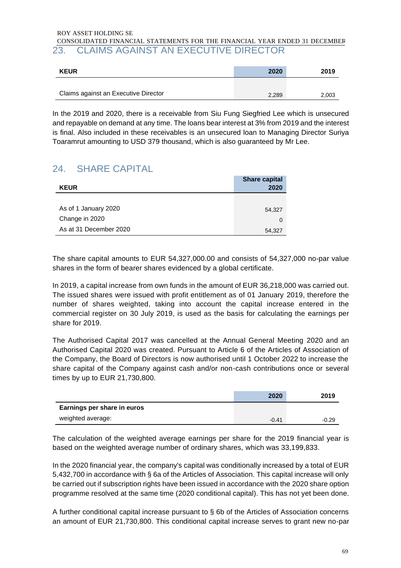### ROY ASSET HOLDING SE CONSOLIDATED FINANCIAL STATEMENTS FOR THE FINANCIAL YEAR ENDED 31 DECEMBER 23. CLAIMS AGAINST AN EXECUTIVE DIRECTOR

| <b>KEUR</b>                          | 2020  | 2019  |
|--------------------------------------|-------|-------|
|                                      |       |       |
| Claims against an Executive Director | 2,289 | 2,003 |

In the 2019 and 2020, there is a receivable from Siu Fung Siegfried Lee which is unsecured and repayable on demand at any time. The loans bear interest at 3% from 2019 and the interest is final. Also included in these receivables is an unsecured loan to Managing Director Suriya Toaramrut amounting to USD 379 thousand, which is also guaranteed by Mr Lee.

# 24. SHARE CAPITAL

| <b>KEUR</b>            | <b>Share capital</b><br>2020 |
|------------------------|------------------------------|
|                        |                              |
| As of 1 January 2020   | 54,327                       |
| Change in 2020         | 0                            |
| As at 31 December 2020 | 54,327                       |

The share capital amounts to EUR 54,327,000.00 and consists of 54,327,000 no-par value shares in the form of bearer shares evidenced by a global certificate.

In 2019, a capital increase from own funds in the amount of EUR 36,218,000 was carried out. The issued shares were issued with profit entitlement as of 01 January 2019, therefore the number of shares weighted, taking into account the capital increase entered in the commercial register on 30 July 2019, is used as the basis for calculating the earnings per share for 2019.

The Authorised Capital 2017 was cancelled at the Annual General Meeting 2020 and an Authorised Capital 2020 was created. Pursuant to Article 6 of the Articles of Association of the Company, the Board of Directors is now authorised until 1 October 2022 to increase the share capital of the Company against cash and/or non-cash contributions once or several times by up to EUR 21,730,800.

|                             | 2020    | 2019    |
|-----------------------------|---------|---------|
| Earnings per share in euros |         |         |
| weighted average:           | $-0.41$ | $-0.29$ |

The calculation of the weighted average earnings per share for the 2019 financial year is based on the weighted average number of ordinary shares, which was 33,199,833.

In the 2020 financial year, the company's capital was conditionally increased by a total of EUR 5,432,700 in accordance with § 6a of the Articles of Association. This capital increase will only be carried out if subscription rights have been issued in accordance with the 2020 share option programme resolved at the same time (2020 conditional capital). This has not yet been done.

A further conditional capital increase pursuant to § 6b of the Articles of Association concerns an amount of EUR 21,730,800. This conditional capital increase serves to grant new no-par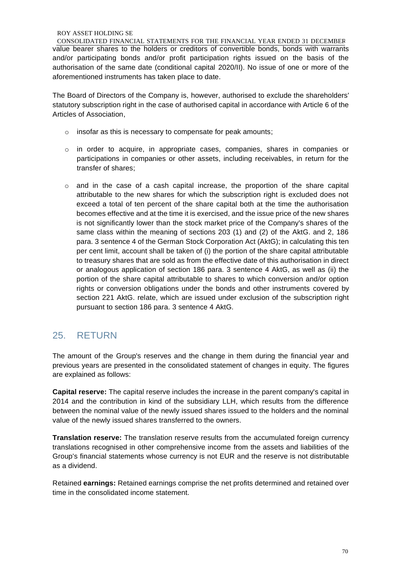CONSOLIDATED FINANCIAL STATEMENTS FOR THE FINANCIAL YEAR ENDED 31 DECEMBER value bearer shares to the holders or creditors of convertible bonds, bonds with warrants and/or participating bonds and/or profit participation rights issued on the basis of the authorisation of the same date (conditional capital 2020/II). No issue of one or more of the aforementioned instruments has taken place to date.

The Board of Directors of the Company is, however, authorised to exclude the shareholders' statutory subscription right in the case of authorised capital in accordance with Article 6 of the Articles of Association,

- o insofar as this is necessary to compensate for peak amounts;
- $\circ$  in order to acquire, in appropriate cases, companies, shares in companies or participations in companies or other assets, including receivables, in return for the transfer of shares;
- $\circ$  and in the case of a cash capital increase, the proportion of the share capital attributable to the new shares for which the subscription right is excluded does not exceed a total of ten percent of the share capital both at the time the authorisation becomes effective and at the time it is exercised, and the issue price of the new shares is not significantly lower than the stock market price of the Company's shares of the same class within the meaning of sections 203 (1) and (2) of the AktG. and 2, 186 para. 3 sentence 4 of the German Stock Corporation Act (AktG); in calculating this ten per cent limit, account shall be taken of (i) the portion of the share capital attributable to treasury shares that are sold as from the effective date of this authorisation in direct or analogous application of section 186 para. 3 sentence 4 AktG, as well as (ii) the portion of the share capital attributable to shares to which conversion and/or option rights or conversion obligations under the bonds and other instruments covered by section 221 AktG. relate, which are issued under exclusion of the subscription right pursuant to section 186 para. 3 sentence 4 AktG.

## 25. RETURN

The amount of the Group's reserves and the change in them during the financial year and previous years are presented in the consolidated statement of changes in equity. The figures are explained as follows:

**Capital reserve:** The capital reserve includes the increase in the parent company's capital in 2014 and the contribution in kind of the subsidiary LLH, which results from the difference between the nominal value of the newly issued shares issued to the holders and the nominal value of the newly issued shares transferred to the owners.

**Translation reserve:** The translation reserve results from the accumulated foreign currency translations recognised in other comprehensive income from the assets and liabilities of the Group's financial statements whose currency is not EUR and the reserve is not distributable as a dividend.

Retained **earnings:** Retained earnings comprise the net profits determined and retained over time in the consolidated income statement.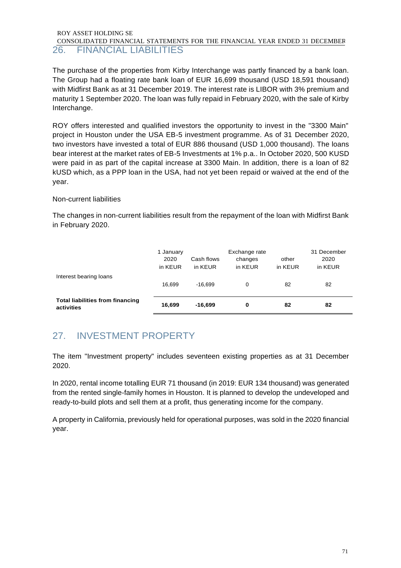### ROY ASSET HOLDING SE CONSOLIDATED FINANCIAL STATEMENTS FOR THE FINANCIAL YEAR ENDED 31 DECEMBER 26. FINANCIAL LIABILITIES

The purchase of the properties from Kirby Interchange was partly financed by a bank loan. The Group had a floating rate bank loan of EUR 16,699 thousand (USD 18,591 thousand) with Midfirst Bank as at 31 December 2019. The interest rate is LIBOR with 3% premium and maturity 1 September 2020. The loan was fully repaid in February 2020, with the sale of Kirby Interchange.

ROY offers interested and qualified investors the opportunity to invest in the "3300 Main" project in Houston under the USA EB-5 investment programme. As of 31 December 2020, two investors have invested a total of EUR 886 thousand (USD 1,000 thousand). The loans bear interest at the market rates of EB-5 Investments at 1% p.a.. In October 2020, 500 KUSD were paid in as part of the capital increase at 3300 Main. In addition, there is a loan of 82 kUSD which, as a PPP loan in the USA, had not yet been repaid or waived at the end of the year.

### Non-current liabilities

The changes in non-current liabilities result from the repayment of the loan with Midfirst Bank in February 2020.

|                                                       | 1 January<br>2020<br>in KEUR | Cash flows<br>in KEUR | Exchange rate<br>changes<br>in KEUR | other<br>in KEUR | 31 December<br>2020<br>in KEUR |
|-------------------------------------------------------|------------------------------|-----------------------|-------------------------------------|------------------|--------------------------------|
| Interest bearing loans                                | 16.699                       | $-16.699$             | 0                                   | 82               | 82                             |
| <b>Total liabilities from financing</b><br>activities | 16.699                       | $-16.699$             | 0                                   | 82               | 82                             |

# 27. INVESTMENT PROPERTY

The item "Investment property" includes seventeen existing properties as at 31 December 2020.

In 2020, rental income totalling EUR 71 thousand (in 2019: EUR 134 thousand) was generated from the rented single-family homes in Houston. It is planned to develop the undeveloped and ready-to-build plots and sell them at a profit, thus generating income for the company.

A property in California, previously held for operational purposes, was sold in the 2020 financial year.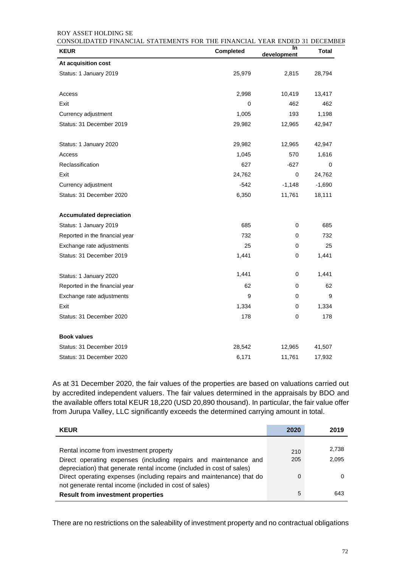| <b>KEUR</b>                     | Completed | In<br>development | Total    |
|---------------------------------|-----------|-------------------|----------|
| At acquisition cost             |           |                   |          |
| Status: 1 January 2019          | 25,979    | 2,815             | 28,794   |
| Access                          | 2,998     | 10,419            | 13,417   |
| Exit                            | 0         | 462               | 462      |
| Currency adjustment             | 1,005     | 193               | 1,198    |
| Status: 31 December 2019        | 29,982    | 12,965            | 42,947   |
| Status: 1 January 2020          | 29,982    | 12,965            | 42,947   |
| Access                          | 1,045     | 570               | 1,616    |
| Reclassification                | 627       | $-627$            | 0        |
| Exit                            | 24,762    | 0                 | 24,762   |
| Currency adjustment             | $-542$    | $-1,148$          | $-1,690$ |
| Status: 31 December 2020        | 6,350     | 11,761            | 18,111   |
| <b>Accumulated depreciation</b> |           |                   |          |
| Status: 1 January 2019          | 685       | 0                 | 685      |
| Reported in the financial year  | 732       | 0                 | 732      |
| Exchange rate adjustments       | 25        | 0                 | 25       |
| Status: 31 December 2019        | 1,441     | 0                 | 1,441    |
| Status: 1 January 2020          | 1,441     | 0                 | 1,441    |
| Reported in the financial year  | 62        | 0                 | 62       |
| Exchange rate adjustments       | 9         | 0                 | 9        |
| Exit                            | 1,334     | 0                 | 1,334    |
| Status: 31 December 2020        | 178       | 0                 | 178      |
| <b>Book values</b>              |           |                   |          |
| Status: 31 December 2019        | 28,542    | 12,965            | 41,507   |
| Status: 31 December 2020        | 6,171     | 11,761            | 17,932   |

As at 31 December 2020, the fair values of the properties are based on valuations carried out by accredited independent valuers. The fair values determined in the appraisals by BDO and the available offers total KEUR 18,220 (USD 20,890 thousand). In particular, the fair value offer from Jurupa Valley, LLC significantly exceeds the determined carrying amount in total.

| <b>KEUR</b>                                                           | 2020 | 2019  |
|-----------------------------------------------------------------------|------|-------|
|                                                                       |      |       |
| Rental income from investment property                                | 210  | 2,738 |
| Direct operating expenses (including repairs and maintenance and      | 205  | 2,095 |
| depreciation) that generate rental income (included in cost of sales) |      |       |
| Direct operating expenses (including repairs and maintenance) that do | 0    | 0     |
| not generate rental income (included in cost of sales)                |      |       |
| <b>Result from investment properties</b>                              | 5    | 643   |

There are no restrictions on the saleability of investment property and no contractual obligations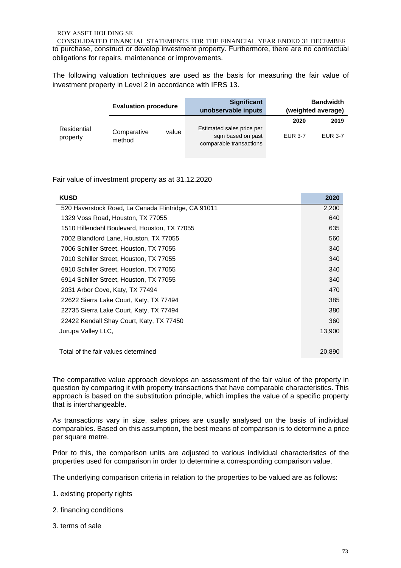CONSOLIDATED FINANCIAL STATEMENTS FOR THE FINANCIAL YEAR ENDED 31 DECEMBER to purchase, construct or develop investment property. Furthermore, there are no contractual obligations for repairs, maintenance or improvements.

The following valuation techniques are used as the basis for measuring the fair value of investment property in Level 2 in accordance with IFRS 13.

|                         | <b>Evaluation procedure</b> |       | <b>Significant</b><br>unobservable inputs                                 |                | <b>Bandwidth</b><br>(weighted average) |
|-------------------------|-----------------------------|-------|---------------------------------------------------------------------------|----------------|----------------------------------------|
|                         |                             |       |                                                                           | 2020           | 2019                                   |
| Residential<br>property | Comparative<br>method       | value | Estimated sales price per<br>sqm based on past<br>comparable transactions | <b>EUR 3-7</b> | <b>EUR 3-7</b>                         |

Fair value of investment property as at 31.12.2020

| <b>KUSD</b>                                         | 2020   |
|-----------------------------------------------------|--------|
| 520 Haverstock Road, La Canada Flintridge, CA 91011 | 2,200  |
| 1329 Voss Road, Houston, TX 77055                   | 640    |
| 1510 Hillendahl Boulevard, Houston, TX 77055        | 635    |
| 7002 Blandford Lane, Houston, TX 77055              | 560    |
| 7006 Schiller Street, Houston, TX 77055             | 340    |
| 7010 Schiller Street, Houston, TX 77055             | 340    |
| 6910 Schiller Street, Houston, TX 77055             | 340    |
| 6914 Schiller Street, Houston, TX 77055             | 340    |
| 2031 Arbor Cove, Katy, TX 77494                     | 470    |
| 22622 Sierra Lake Court, Katy, TX 77494             | 385    |
| 22735 Sierra Lake Court, Katy, TX 77494             | 380    |
| 22422 Kendall Shay Court, Katy, TX 77450            | 360    |
| Jurupa Valley LLC,                                  | 13,900 |
|                                                     |        |
| Total of the fair values determined                 | 20,890 |

The comparative value approach develops an assessment of the fair value of the property in question by comparing it with property transactions that have comparable characteristics. This approach is based on the substitution principle, which implies the value of a specific property that is interchangeable.

As transactions vary in size, sales prices are usually analysed on the basis of individual comparables. Based on this assumption, the best means of comparison is to determine a price per square metre.

Prior to this, the comparison units are adjusted to various individual characteristics of the properties used for comparison in order to determine a corresponding comparison value.

The underlying comparison criteria in relation to the properties to be valued are as follows:

- 1. existing property rights
- 2. financing conditions
- 3. terms of sale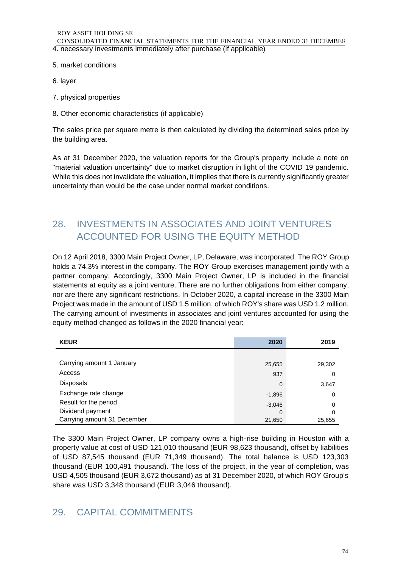## 5. market conditions

- 6. layer
- 7. physical properties
- 8. Other economic characteristics (if applicable)

The sales price per square metre is then calculated by dividing the determined sales price by the building area.

As at 31 December 2020, the valuation reports for the Group's property include a note on "material valuation uncertainty" due to market disruption in light of the COVID 19 pandemic. While this does not invalidate the valuation, it implies that there is currently significantly greater uncertainty than would be the case under normal market conditions.

# 28. INVESTMENTS IN ASSOCIATES AND JOINT VENTURES ACCOUNTED FOR USING THE EQUITY METHOD

On 12 April 2018, 3300 Main Project Owner, LP, Delaware, was incorporated. The ROY Group holds a 74.3% interest in the company. The ROY Group exercises management jointly with a partner company. Accordingly, 3300 Main Project Owner, LP is included in the financial statements at equity as a joint venture. There are no further obligations from either company, nor are there any significant restrictions. In October 2020, a capital increase in the 3300 Main Project was made in the amount of USD 1.5 million, of which ROY's share was USD 1.2 million. The carrying amount of investments in associates and joint ventures accounted for using the equity method changed as follows in the 2020 financial year:

| <b>KEUR</b>                 | 2020     | 2019   |
|-----------------------------|----------|--------|
|                             |          |        |
| Carrying amount 1 January   | 25,655   | 29,302 |
| Access                      | 937      | 0      |
| <b>Disposals</b>            | 0        | 3,647  |
| Exchange rate change        | $-1,896$ | 0      |
| Result for the period       | $-3,046$ | 0      |
| Dividend payment            | 0        | 0      |
| Carrying amount 31 December | 21,650   | 25.655 |

The 3300 Main Project Owner, LP company owns a high-rise building in Houston with a property value at cost of USD 121,010 thousand (EUR 98,623 thousand), offset by liabilities of USD 87,545 thousand (EUR 71,349 thousand). The total balance is USD 123,303 thousand (EUR 100,491 thousand). The loss of the project, in the year of completion, was USD 4,505 thousand (EUR 3,672 thousand) as at 31 December 2020, of which ROY Group's share was USD 3,348 thousand (EUR 3,046 thousand).

# 29. CAPITAL COMMITMENTS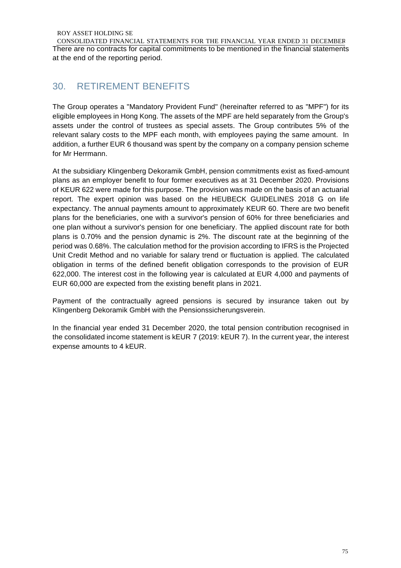CONSOLIDATED FINANCIAL STATEMENTS FOR THE FINANCIAL YEAR ENDED 31 DECEMBER There are no contracts for capital commitments to be mentioned in the financial statements at the end of the reporting period.

# 30. RETIREMENT BENEFITS

The Group operates a "Mandatory Provident Fund" (hereinafter referred to as "MPF") for its eligible employees in Hong Kong. The assets of the MPF are held separately from the Group's assets under the control of trustees as special assets. The Group contributes 5% of the relevant salary costs to the MPF each month, with employees paying the same amount. In addition, a further EUR 6 thousand was spent by the company on a company pension scheme for Mr Herrmann.

At the subsidiary Klingenberg Dekoramik GmbH, pension commitments exist as fixed-amount plans as an employer benefit to four former executives as at 31 December 2020. Provisions of KEUR 622 were made for this purpose. The provision was made on the basis of an actuarial report. The expert opinion was based on the HEUBECK GUIDELINES 2018 G on life expectancy. The annual payments amount to approximately KEUR 60. There are two benefit plans for the beneficiaries, one with a survivor's pension of 60% for three beneficiaries and one plan without a survivor's pension for one beneficiary. The applied discount rate for both plans is 0.70% and the pension dynamic is 2%. The discount rate at the beginning of the period was 0.68%. The calculation method for the provision according to IFRS is the Projected Unit Credit Method and no variable for salary trend or fluctuation is applied. The calculated obligation in terms of the defined benefit obligation corresponds to the provision of EUR 622,000. The interest cost in the following year is calculated at EUR 4,000 and payments of EUR 60,000 are expected from the existing benefit plans in 2021.

Payment of the contractually agreed pensions is secured by insurance taken out by Klingenberg Dekoramik GmbH with the Pensionssicherungsverein.

In the financial year ended 31 December 2020, the total pension contribution recognised in the consolidated income statement is kEUR 7 (2019: kEUR 7). In the current year, the interest expense amounts to 4 kEUR.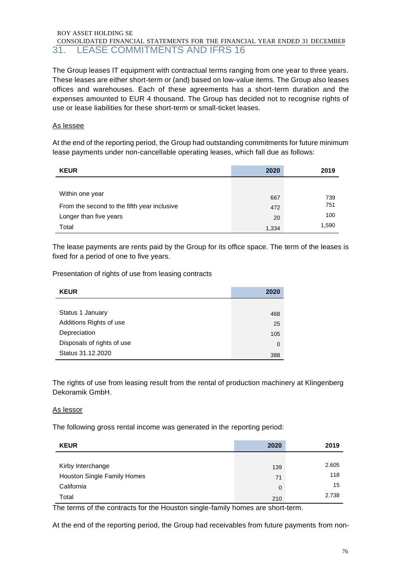## CONSOLIDATED FINANCIAL STATEMENTS FOR THE FINANCIAL YEAR ENDED 31 DECEMBER 31. LEASE COMMITMENTS AND IFRS 16

The Group leases IT equipment with contractual terms ranging from one year to three years. These leases are either short-term or (and) based on low-value items. The Group also leases offices and warehouses. Each of these agreements has a short-term duration and the expenses amounted to EUR 4 thousand. The Group has decided not to recognise rights of use or lease liabilities for these short-term or small-ticket leases.

## As lessee

At the end of the reporting period, the Group had outstanding commitments for future minimum lease payments under non-cancellable operating leases, which fall due as follows:

| <b>KEUR</b>                                 | 2020  | 2019  |
|---------------------------------------------|-------|-------|
|                                             |       |       |
| Within one year                             | 667   | 739   |
| From the second to the fifth year inclusive | 472   | 751   |
| Longer than five years                      | 20    | 100   |
| Total                                       | 1,334 | 1,590 |

The lease payments are rents paid by the Group for its office space. The term of the leases is fixed for a period of one to five years.

Presentation of rights of use from leasing contracts

| <b>KEUR</b>                | 2020 |
|----------------------------|------|
|                            |      |
| Status 1 January           | 468  |
| Additions Rights of use    | 25   |
| Depreciation               | 105  |
| Disposals of rights of use | 0    |
| Status 31.12.2020          | 388  |

The rights of use from leasing result from the rental of production machinery at Klingenberg Dekoramik GmbH.

#### As lessor

The following gross rental income was generated in the reporting period:

| <b>KEUR</b>                 | 2020 | 2019  |
|-----------------------------|------|-------|
|                             |      |       |
| Kirby Interchange           | 139  | 2.605 |
| Houston Single Family Homes | 71   | 118   |
| California                  | 0    | 15    |
| Total                       | 210  | 2.738 |

The terms of the contracts for the Houston single-family homes are short-term.

At the end of the reporting period, the Group had receivables from future payments from non-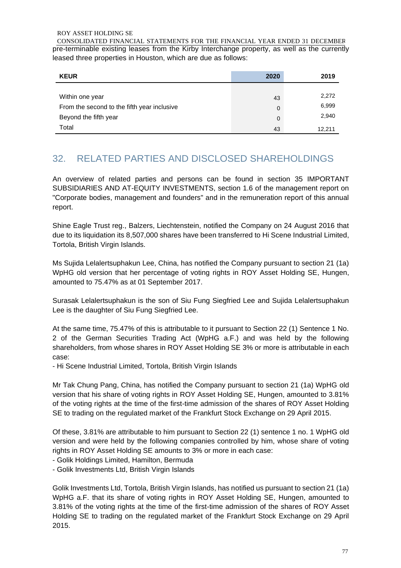CONSOLIDATED FINANCIAL STATEMENTS FOR THE FINANCIAL YEAR ENDED 31 DECEMBER pre-terminable existing leases from the Kirby Interchange property, as well as the currently leased three properties in Houston, which are due as follows:

| <b>KEUR</b>                                 | 2020 | 2019   |
|---------------------------------------------|------|--------|
|                                             |      |        |
| Within one year                             | 43   | 2,272  |
| From the second to the fifth year inclusive | 0    | 6,999  |
| Beyond the fifth year                       | 0    | 2,940  |
| Total                                       | 43   | 12.211 |

# 32. RELATED PARTIES AND DISCLOSED SHAREHOLDINGS

An overview of related parties and persons can be found in section 35 IMPORTANT SUBSIDIARIES AND AT-EQUITY INVESTMENTS, section 1.6 of the management report on "Corporate bodies, management and founders" and in the remuneration report of this annual report.

Shine Eagle Trust reg., Balzers, Liechtenstein, notified the Company on 24 August 2016 that due to its liquidation its 8,507,000 shares have been transferred to Hi Scene Industrial Limited, Tortola, British Virgin Islands.

Ms Sujida Lelalertsuphakun Lee, China, has notified the Company pursuant to section 21 (1a) WpHG old version that her percentage of voting rights in ROY Asset Holding SE, Hungen, amounted to 75.47% as at 01 September 2017.

Surasak Lelalertsuphakun is the son of Siu Fung Siegfried Lee and Sujida Lelalertsuphakun Lee is the daughter of Siu Fung Siegfried Lee.

At the same time, 75.47% of this is attributable to it pursuant to Section 22 (1) Sentence 1 No. 2 of the German Securities Trading Act (WpHG a.F.) and was held by the following shareholders, from whose shares in ROY Asset Holding SE 3% or more is attributable in each case:

- Hi Scene Industrial Limited, Tortola, British Virgin Islands

Mr Tak Chung Pang, China, has notified the Company pursuant to section 21 (1a) WpHG old version that his share of voting rights in ROY Asset Holding SE, Hungen, amounted to 3.81% of the voting rights at the time of the first-time admission of the shares of ROY Asset Holding SE to trading on the regulated market of the Frankfurt Stock Exchange on 29 April 2015.

Of these, 3.81% are attributable to him pursuant to Section 22 (1) sentence 1 no. 1 WpHG old version and were held by the following companies controlled by him, whose share of voting rights in ROY Asset Holding SE amounts to 3% or more in each case:

- Golik Holdings Limited, Hamilton, Bermuda
- Golik Investments Ltd, British Virgin Islands

Golik Investments Ltd, Tortola, British Virgin Islands, has notified us pursuant to section 21 (1a) WpHG a.F. that its share of voting rights in ROY Asset Holding SE, Hungen, amounted to 3.81% of the voting rights at the time of the first-time admission of the shares of ROY Asset Holding SE to trading on the regulated market of the Frankfurt Stock Exchange on 29 April 2015.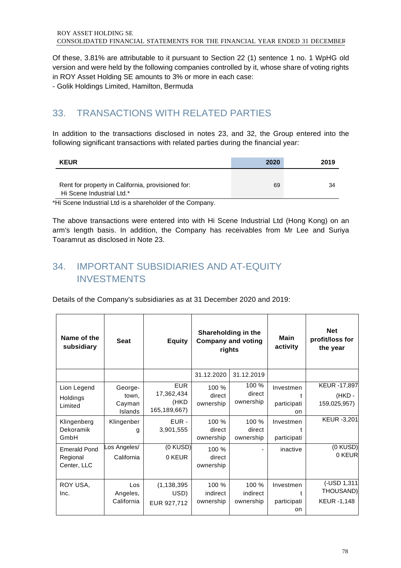Of these, 3.81% are attributable to it pursuant to Section 22 (1) sentence 1 no. 1 WpHG old version and were held by the following companies controlled by it, whose share of voting rights in ROY Asset Holding SE amounts to 3% or more in each case:

- Golik Holdings Limited, Hamilton, Bermuda

# 33. TRANSACTIONS WITH RELATED PARTIES

In addition to the transactions disclosed in notes 23, and 32, the Group entered into the following significant transactions with related parties during the financial year:

| <b>KEUR</b>                                                                    | 2020 | 2019 |
|--------------------------------------------------------------------------------|------|------|
| Rent for property in California, provisioned for:<br>Hi Scene Industrial Ltd.* | 69   | 34   |

\*Hi Scene Industrial Ltd is a shareholder of the Company.

The above transactions were entered into with Hi Scene Industrial Ltd (Hong Kong) on an arm's length basis. In addition, the Company has receivables from Mr Lee and Suriya Toaramrut as disclosed in Note 23.

# 34. IMPORTANT SUBSIDIARIES AND AT-EQUITY INVESTMENTS

Details of the Company's subsidiaries as at 31 December 2020 and 2019:

| Name of the<br>subsidiary                      | <b>Seat</b>                           | <b>Equity</b>                                    | Shareholding in the<br><b>Company and voting</b><br>rights |                                | Main<br>activity                               | <b>Net</b><br>profit/loss for<br>the year |
|------------------------------------------------|---------------------------------------|--------------------------------------------------|------------------------------------------------------------|--------------------------------|------------------------------------------------|-------------------------------------------|
|                                                |                                       |                                                  | 31.12.2020                                                 | 31.12.2019                     |                                                |                                           |
| Lion Legend<br>Holdings<br>Limited             | George-<br>town.<br>Cayman<br>Islands | <b>EUR</b><br>17,362,434<br>(HKD<br>165,189,667) | 100 %<br>direct<br>ownership                               | 100 %<br>direct<br>ownership   | Investmen<br>t<br>participati<br><sub>on</sub> | KEUR -17,897<br>(HKD-<br>159,025,957)     |
| Klingenberg<br>Dekoramik<br>GmbH               | Klingenber<br>g                       | EUR -<br>3,901,555                               | 100 %<br>direct<br>ownership                               | 100 %<br>direct<br>ownership   | Investmen<br>participati                       | KEUR -3,201                               |
| <b>Emerald Pond</b><br>Regional<br>Center, LLC | Los Angeles/<br>California            | $(0$ KUSD $)$<br>0 KEUR                          | 100 %<br>direct<br>ownership                               |                                | inactive                                       | (0 KUSD)<br>0 KEUR                        |
| ROY USA,<br>Inc.                               | Los<br>Angeles,<br>California         | (1, 138, 395)<br>USD)<br>EUR 927,712             | 100 %<br>indirect<br>ownership                             | 100 %<br>indirect<br>ownership | Investmen<br>t<br>participati<br>on.           | (-USD 1,311<br>THOUSAND)<br>KEUR -1,148   |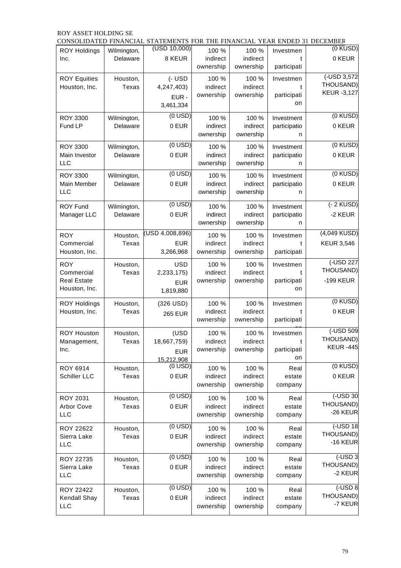|                                      |                   | CONSOLIDATED FINANCIAL STATEMENTS FOR THE FINANCIAL YEAR ENDED 31 DECEMBER |                   |                   |                   |                    |
|--------------------------------------|-------------------|----------------------------------------------------------------------------|-------------------|-------------------|-------------------|--------------------|
| <b>ROY Holdings</b>                  | Wilmington,       | (USD 10,000)                                                               | 100 %             | 100 %             | Investmen         | $(0$ KUSD)         |
| Inc.                                 | Delaware          | 8 KEUR                                                                     | indirect          | indirect          | t                 | 0 KEUR             |
|                                      |                   |                                                                            | ownership         | ownership         | participati       |                    |
| <b>ROY Equities</b>                  | Houston,          | $(-$ USD                                                                   | 100 %             | 100 %             | Investmen         | (-USD 3,572        |
| Houston, Inc.                        | Texas             | 4,247,403)                                                                 | indirect          | indirect          | t                 | THOUSAND)          |
|                                      |                   | EUR-                                                                       | ownership         | ownership         | participati       | <b>KEUR -3,127</b> |
|                                      |                   | 3,461,334                                                                  |                   |                   | on                |                    |
|                                      |                   |                                                                            |                   |                   |                   |                    |
| <b>ROY 3300</b>                      | Wilmington,       | $(0$ USD)                                                                  | 100 %             | 100 %             | Investment        | (0 KUSD)           |
| Fund LP                              | Delaware          | 0 EUR                                                                      | indirect          | indirect          | participatio      | 0 KEUR             |
|                                      |                   |                                                                            | ownership         | ownership         | n                 |                    |
| <b>ROY 3300</b>                      | Wilmington,       | $(0$ USD)                                                                  | 100 %             | 100 %             | Investment        | (0 KUSD)           |
| Main Investor                        | Delaware          | 0 EUR                                                                      | indirect          | indirect          | participatio      | 0 KEUR             |
| LLC                                  |                   |                                                                            | ownership         | ownership         | n                 |                    |
|                                      |                   | $(0$ USD)                                                                  |                   |                   |                   | (0 KUSD)           |
| <b>ROY 3300</b>                      | Wilmington,       | 0 EUR                                                                      | 100 %             | 100 %             | Investment        | 0 KEUR             |
| Main Member<br>LLC                   | Delaware          |                                                                            | indirect          | indirect          | participatio      |                    |
|                                      |                   |                                                                            | ownership         | ownership         | n                 |                    |
| <b>ROY Fund</b>                      | Wilmington,       | $(0$ USD)                                                                  | 100 %             | 100 %             | Investment        | $(-2$ KUSD)        |
| Manager LLC                          | Delaware          | 0 EUR                                                                      | indirect          | indirect          | participatio      | -2 KEUR            |
|                                      |                   |                                                                            | ownership         | ownership         | n                 |                    |
|                                      |                   | (USD 4,008,896)                                                            |                   |                   |                   | (4,049 KUSD)       |
| <b>ROY</b>                           | Houston,          |                                                                            | 100 %             | 100 %             | Investmen         |                    |
| Commercial                           | Texas             | <b>EUR</b>                                                                 | indirect          | indirect          | t                 | <b>KEUR 3,546</b>  |
| Houston, Inc.                        |                   | 3,266,968                                                                  | ownership         | ownership         | participati       |                    |
| <b>ROY</b>                           | Houston,          | <b>USD</b>                                                                 | 100 %             | 100 %             | Investmen         | (-USD 227          |
| Commercial                           | Texas             | 2,233,175)                                                                 | indirect          | indirect          | t                 | THOUSAND)          |
| <b>Real Estate</b>                   |                   | <b>EUR</b>                                                                 | ownership         | ownership         | participati       | -199 KEUR          |
| Houston, Inc.                        |                   | 1,819,880                                                                  |                   |                   | on                |                    |
|                                      |                   |                                                                            |                   |                   |                   | (0 KUSD)           |
| <b>ROY Holdings</b><br>Houston, Inc. | Houston,<br>Texas | (326 USD)                                                                  | 100 %<br>indirect | 100 %<br>indirect | Investmen<br>t    | 0 KEUR             |
|                                      |                   | <b>265 EUR</b>                                                             | ownership         | ownership         | participati       |                    |
|                                      |                   |                                                                            |                   |                   |                   |                    |
| <b>ROY Houston</b>                   | Houston,          | (USD                                                                       | 100 %             | 100 %             | Investmen         | (-USD 509          |
| Management,                          | Texas             | 18,667,759)                                                                | indirect          | indirect          | t                 | THOUSAND)          |
| Inc.                                 |                   | <b>EUR</b>                                                                 | ownership         | ownership         | participati       | <b>KEUR -445</b>   |
|                                      |                   | 15,212,908                                                                 |                   |                   | on                |                    |
| ROY 6914                             | Houston,          | $(0$ USD)                                                                  | 100 %             | 100 %             | Real              | (0 KUSD)           |
| Schiller LLC                         | Texas             | 0 EUR                                                                      | indirect          | indirect          | estate            | 0 KEUR             |
|                                      |                   |                                                                            | ownership         | ownership         | company           |                    |
| ROY 2031                             |                   | $(0$ USD)                                                                  |                   | 100 %             |                   | (-USD 30           |
| Arbor Cove                           | Houston,          | 0 EUR                                                                      | 100 %<br>indirect | indirect          | Real              | THOUSAND)          |
| LLC                                  | Texas             |                                                                            | ownership         | ownership         | estate<br>company | -26 KEUR           |
|                                      |                   |                                                                            |                   |                   |                   |                    |
| ROY 22622                            | Houston,          | $(0$ USD)                                                                  | 100 %             | 100 %             | Real              | (-USD 18           |
| Sierra Lake                          | Texas             | 0 EUR                                                                      | indirect          | indirect          | estate            | THOUSAND)          |
| <b>LLC</b>                           |                   |                                                                            | ownership         | ownership         | company           | $-16$ KEUR         |
|                                      |                   | $(0$ USD)                                                                  |                   |                   |                   | $($ -USD 3         |
| ROY 22735                            | Houston,          |                                                                            | 100 %             | 100 %<br>indirect | Real              | THOUSAND)          |
| Sierra Lake<br>LLC                   | Texas             | 0 EUR                                                                      | indirect          |                   | estate            | -2 KEUR            |
|                                      |                   |                                                                            | ownership         | ownership         | company           |                    |
| ROY 22422                            | Houston,          | $(0$ USD)                                                                  | 100 %             | 100 %             | Real              | $($ -USD 8         |
| Kendall Shay                         | Texas             | 0 EUR                                                                      | indirect          | indirect          | estate            | THOUSAND)          |
| <b>LLC</b>                           |                   |                                                                            | ownership         | ownership         | company           | -7 KEUR            |
|                                      |                   |                                                                            |                   |                   |                   |                    |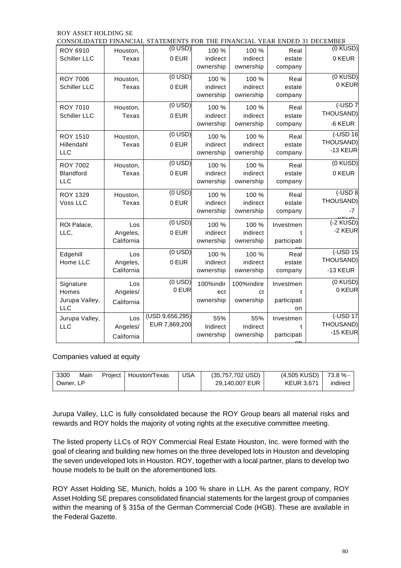|                         |            | CONSOLIDATED FINANCIAL STATEMENTS FOR THE FINANCIAL YEAR ENDED 31 DECEMBER |           |            |                |                                  |
|-------------------------|------------|----------------------------------------------------------------------------|-----------|------------|----------------|----------------------------------|
| ROY 6910                | Houston,   | $(0$ USD)                                                                  | 100 %     | 100 %      | Real           | $(0$ KUSD)                       |
| Schiller LLC            | Texas      | 0 EUR                                                                      | indirect  | indirect   | estate         | 0 KEUR                           |
|                         |            |                                                                            | ownership | ownership  | company        |                                  |
| <b>ROY 7006</b>         | Houston,   | $(0$ USD)                                                                  | 100 %     | 100 %      | Real           | (0 KUSD)                         |
| Schiller LLC            | Texas      | 0 EUR                                                                      | indirect  | indirect   | estate         | 0 KEUR                           |
|                         |            |                                                                            | ownership | ownership  | company        |                                  |
|                         |            |                                                                            |           |            |                |                                  |
| <b>ROY 7010</b>         | Houston,   | $(0$ USD)                                                                  | 100 %     | 100 %      | Real           | $\overline{$ (-USD7<br>THOUSAND) |
| Schiller LLC            | Texas      | 0 EUR                                                                      | indirect  | indirect   | estate         |                                  |
|                         |            |                                                                            | ownership | ownership  | company        | -6 KEUR                          |
| <b>ROY 1510</b>         | Houston,   | $(0$ USD)                                                                  | 100 %     | 100 %      | Real           | $($ -USD 16                      |
| Hillendahl              | Texas      | 0 EUR                                                                      | indirect  | indirect   | estate         | THOUSAND)                        |
| LLC                     |            |                                                                            | ownership | ownership  | company        | -13 KEUR                         |
|                         |            | $\overline{(0 \text{ USD})}$                                               |           |            |                | (0 KUSD)                         |
| <b>ROY 7002</b>         | Houston,   |                                                                            | 100 %     | 100 %      | Real           |                                  |
| Blandford<br><b>LLC</b> | Texas      | 0 EUR                                                                      | indirect  | indirect   | estate         | 0 KEUR                           |
|                         |            |                                                                            | ownership | ownership  | company        |                                  |
| <b>ROY 1329</b>         | Houston,   | $(0$ USD)                                                                  | 100 %     | 100 %      | Real           | $($ -USD $8$                     |
| Voss LLC                | Texas      | 0 EUR                                                                      | indirect  | indirect   | estate         | THOUSAND)                        |
|                         |            |                                                                            | ownership | ownership  | company        | -7                               |
| ROI Palace,             | Los        | $(0$ USD)                                                                  | 100 %     | 100 %      |                | $V$ $F11F$<br>$(-2$ KUSD)        |
| LLC,                    | Angeles,   | 0 EUR                                                                      | indirect  | indirect   | Investmen<br>t | -2 KEUR                          |
|                         | California |                                                                            | ownership | ownership  | participati    |                                  |
|                         |            |                                                                            |           |            |                |                                  |
| Edgehill                | Los        | $(0$ USD)                                                                  | 100 %     | 100 %      | Real           | (-USD 15                         |
| Home LLC                | Angeles,   | 0 EUR                                                                      | indirect  | indirect   | estate         | THOUSAND)                        |
|                         | California |                                                                            | ownership | ownership  | company        | -13 KEUR                         |
| Signature               | Los        | $(0$ USD)                                                                  | 100%indir | 100%indire | Investmen      | (0 KUSD)                         |
| Homes                   | Angeles/   | 0 EUR                                                                      | ect       | ct         | t              | 0 KEUR                           |
| Jurupa Valley,          |            |                                                                            | ownership | ownership  | participati    |                                  |
| <b>LLC</b>              | California |                                                                            |           |            | on             |                                  |
| Jurupa Valley,          | Los        | (USD 9,656,295)                                                            | 55%       | 55%        | Investmen      | $\overline{$ (-USD 17            |
| <b>LLC</b>              | Angeles/   | EUR 7,869,200                                                              | Indirect  | Indirect   | t              | THOUSAND)                        |
|                         | California |                                                                            | ownership | ownership  | participati    | -15 KEUR                         |
|                         |            |                                                                            |           |            |                |                                  |

Companies valued at equity

| 3300      | Main | Project | Houston/Texas | USA | $(35,757,702 \text{ USD})$ | (4,505 KUSD)      | 73.8 % - |
|-----------|------|---------|---------------|-----|----------------------------|-------------------|----------|
| Owner. LP |      |         |               |     | 29.140.007 EUR             | <b>KEUR 3.671</b> | indirect |

Jurupa Valley, LLC is fully consolidated because the ROY Group bears all material risks and rewards and ROY holds the majority of voting rights at the executive committee meeting.

The listed property LLCs of ROY Commercial Real Estate Houston, Inc. were formed with the goal of clearing and building new homes on the three developed lots in Houston and developing the seven undeveloped lots in Houston. ROY, together with a local partner, plans to develop two house models to be built on the aforementioned lots.

ROY Asset Holding SE, Munich, holds a 100 % share in LLH. As the parent company, ROY Asset Holding SE prepares consolidated financial statements for the largest group of companies within the meaning of § 315a of the German Commercial Code (HGB). These are available in the Federal Gazette.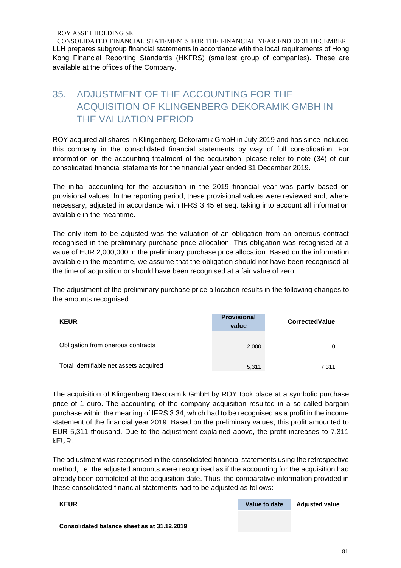CONSOLIDATED FINANCIAL STATEMENTS FOR THE FINANCIAL YEAR ENDED 31 DECEMBER LLH prepares subgroup financial statements in accordance with the local requirements of Hong Kong Financial Reporting Standards (HKFRS) (smallest group of companies). These are available at the offices of the Company.

# 35. ADJUSTMENT OF THE ACCOUNTING FOR THE ACQUISITION OF KLINGENBERG DEKORAMIK GMBH IN THE VALUATION PERIOD

ROY acquired all shares in Klingenberg Dekoramik GmbH in July 2019 and has since included this company in the consolidated financial statements by way of full consolidation. For information on the accounting treatment of the acquisition, please refer to note (34) of our consolidated financial statements for the financial year ended 31 December 2019.

The initial accounting for the acquisition in the 2019 financial year was partly based on provisional values. In the reporting period, these provisional values were reviewed and, where necessary, adjusted in accordance with IFRS 3.45 et seq. taking into account all information available in the meantime.

The only item to be adjusted was the valuation of an obligation from an onerous contract recognised in the preliminary purchase price allocation. This obligation was recognised at a value of EUR 2,000,000 in the preliminary purchase price allocation. Based on the information available in the meantime, we assume that the obligation should not have been recognised at the time of acquisition or should have been recognised at a fair value of zero.

The adjustment of the preliminary purchase price allocation results in the following changes to the amounts recognised:

| <b>KEUR</b>                            | <b>Provisional</b><br>value | <b>CorrectedValue</b> |
|----------------------------------------|-----------------------------|-----------------------|
| Obligation from onerous contracts      | 2,000                       |                       |
| Total identifiable net assets acquired | 5,311                       | 7,311                 |

The acquisition of Klingenberg Dekoramik GmbH by ROY took place at a symbolic purchase price of 1 euro. The accounting of the company acquisition resulted in a so-called bargain purchase within the meaning of IFRS 3.34, which had to be recognised as a profit in the income statement of the financial year 2019. Based on the preliminary values, this profit amounted to EUR 5,311 thousand. Due to the adjustment explained above, the profit increases to 7,311 kEUR.

The adjustment was recognised in the consolidated financial statements using the retrospective method, i.e. the adjusted amounts were recognised as if the accounting for the acquisition had already been completed at the acquisition date. Thus, the comparative information provided in these consolidated financial statements had to be adjusted as follows:

| <b>KEUR</b> | Value to date | <b>Adjusted value</b> |
|-------------|---------------|-----------------------|
|             |               |                       |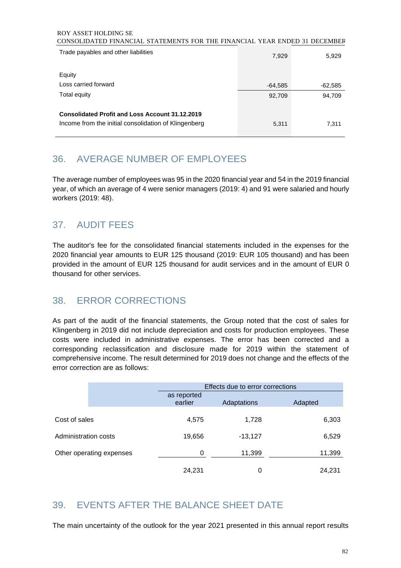#### ROY ASSET HOLDING SE CONSOLIDATED FINANCIAL STATEMENTS FOR THE FINANCIAL YEAR ENDED 31 DECEMBER

| Trade payables and other liabilities                   | 7,929     | 5,929     |
|--------------------------------------------------------|-----------|-----------|
| Equity                                                 |           |           |
| Loss carried forward                                   | $-64,585$ | $-62,585$ |
| Total equity                                           | 92,709    | 94,709    |
| <b>Consolidated Profit and Loss Account 31.12.2019</b> |           |           |
| Income from the initial consolidation of Klingenberg   | 5,311     | 7,311     |

# 36. AVERAGE NUMBER OF EMPLOYEES

The average number of employees was 95 in the 2020 financial year and 54 in the 2019 financial year, of which an average of 4 were senior managers (2019: 4) and 91 were salaried and hourly workers (2019: 48).

# 37. AUDIT FEES

The auditor's fee for the consolidated financial statements included in the expenses for the 2020 financial year amounts to EUR 125 thousand (2019: EUR 105 thousand) and has been provided in the amount of EUR 125 thousand for audit services and in the amount of EUR 0 thousand for other services.

# 38. ERROR CORRECTIONS

As part of the audit of the financial statements, the Group noted that the cost of sales for Klingenberg in 2019 did not include depreciation and costs for production employees. These costs were included in administrative expenses. The error has been corrected and a corresponding reclassification and disclosure made for 2019 within the statement of comprehensive income. The result determined for 2019 does not change and the effects of the error correction are as follows:

|                      |                          |                        | Effects due to error corrections |         |  |  |
|----------------------|--------------------------|------------------------|----------------------------------|---------|--|--|
|                      |                          | as reported<br>earlier | Adaptations                      | Adapted |  |  |
| Cost of sales        |                          | 4,575                  | 1,728                            | 6,303   |  |  |
| Administration costs |                          | 19,656                 | $-13,127$                        | 6,529   |  |  |
|                      | Other operating expenses | 0                      | 11,399                           | 11,399  |  |  |
|                      |                          | 24,231                 | 0                                | 24,231  |  |  |

# 39. EVENTS AFTER THE BALANCE SHEET DATE

The main uncertainty of the outlook for the year 2021 presented in this annual report results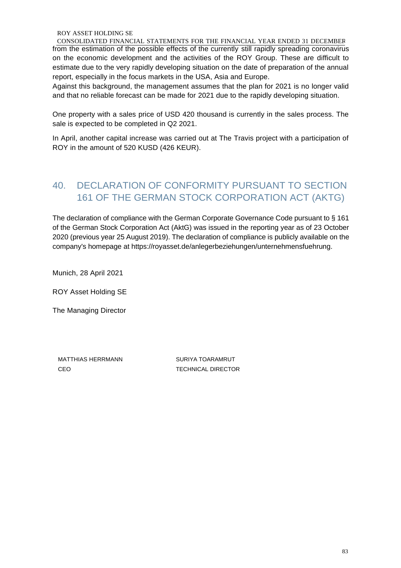CONSOLIDATED FINANCIAL STATEMENTS FOR THE FINANCIAL YEAR ENDED 31 DECEMBER from the estimation of the possible effects of the currently still rapidly spreading coronavirus on the economic development and the activities of the ROY Group. These are difficult to estimate due to the very rapidly developing situation on the date of preparation of the annual report, especially in the focus markets in the USA, Asia and Europe.

Against this background, the management assumes that the plan for 2021 is no longer valid and that no reliable forecast can be made for 2021 due to the rapidly developing situation.

One property with a sales price of USD 420 thousand is currently in the sales process. The sale is expected to be completed in Q2 2021.

In April, another capital increase was carried out at The Travis project with a participation of ROY in the amount of 520 KUSD (426 KEUR).

# 40. DECLARATION OF CONFORMITY PURSUANT TO SECTION 161 OF THE GERMAN STOCK CORPORATION ACT (AKTG)

The declaration of compliance with the German Corporate Governance Code pursuant to § 161 of the German Stock Corporation Act (AktG) was issued in the reporting year as of 23 October 2020 (previous year 25 August 2019). The declaration of compliance is publicly available on the company's homepage at https://royasset.de/anlegerbeziehungen/unternehmensfuehrung.

Munich, 28 April 2021

ROY Asset Holding SE

The Managing Director

MATTHIAS HERRMANN SURIYA TOARAMRUT CEO TECHNICAL DIRECTOR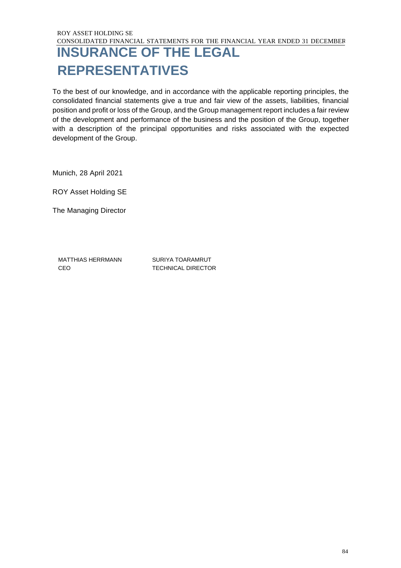# **INSURANCE OF THE LEGAL REPRESENTATIVES**

To the best of our knowledge, and in accordance with the applicable reporting principles, the consolidated financial statements give a true and fair view of the assets, liabilities, financial position and profit or loss of the Group, and the Group management report includes a fair review of the development and performance of the business and the position of the Group, together with a description of the principal opportunities and risks associated with the expected development of the Group.

Munich, 28 April 2021

ROY Asset Holding SE

The Managing Director

MATTHIAS HERRMANN SURIYA TOARAMRUT CEO TECHNICAL DIRECTOR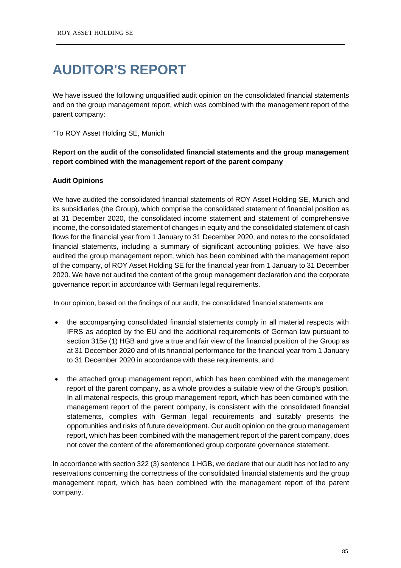# **AUDITOR'S REPORT**

We have issued the following unqualified audit opinion on the consolidated financial statements and on the group management report, which was combined with the management report of the parent company:

### "To ROY Asset Holding SE, Munich

# **Report on the audit of the consolidated financial statements and the group management report combined with the management report of the parent company**

## **Audit Opinions**

We have audited the consolidated financial statements of ROY Asset Holding SE, Munich and its subsidiaries (the Group), which comprise the consolidated statement of financial position as at 31 December 2020, the consolidated income statement and statement of comprehensive income, the consolidated statement of changes in equity and the consolidated statement of cash flows for the financial year from 1 January to 31 December 2020, and notes to the consolidated financial statements, including a summary of significant accounting policies. We have also audited the group management report, which has been combined with the management report of the company, of ROY Asset Holding SE for the financial year from 1 January to 31 December 2020. We have not audited the content of the group management declaration and the corporate governance report in accordance with German legal requirements.

In our opinion, based on the findings of our audit, the consolidated financial statements are

- the accompanying consolidated financial statements comply in all material respects with IFRS as adopted by the EU and the additional requirements of German law pursuant to section 315e (1) HGB and give a true and fair view of the financial position of the Group as at 31 December 2020 and of its financial performance for the financial year from 1 January to 31 December 2020 in accordance with these requirements; and
- the attached group management report, which has been combined with the management report of the parent company, as a whole provides a suitable view of the Group's position. In all material respects, this group management report, which has been combined with the management report of the parent company, is consistent with the consolidated financial statements, complies with German legal requirements and suitably presents the opportunities and risks of future development. Our audit opinion on the group management report, which has been combined with the management report of the parent company, does not cover the content of the aforementioned group corporate governance statement.

In accordance with section 322 (3) sentence 1 HGB, we declare that our audit has not led to any reservations concerning the correctness of the consolidated financial statements and the group management report, which has been combined with the management report of the parent company.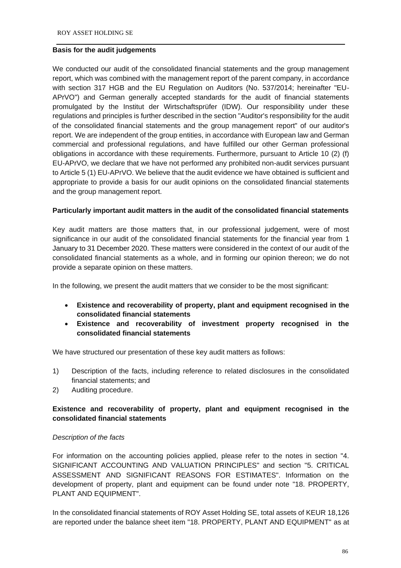# **Basis for the audit judgements**

We conducted our audit of the consolidated financial statements and the group management report, which was combined with the management report of the parent company, in accordance with section 317 HGB and the EU Regulation on Auditors (No. 537/2014; hereinafter "EU-APrVO") and German generally accepted standards for the audit of financial statements promulgated by the Institut der Wirtschaftsprüfer (IDW). Our responsibility under these regulations and principles is further described in the section "Auditor's responsibility for the audit of the consolidated financial statements and the group management report" of our auditor's report. We are independent of the group entities, in accordance with European law and German commercial and professional regulations, and have fulfilled our other German professional obligations in accordance with these requirements. Furthermore, pursuant to Article 10 (2) (f) EU-APrVO, we declare that we have not performed any prohibited non-audit services pursuant to Article 5 (1) EU-APrVO. We believe that the audit evidence we have obtained is sufficient and appropriate to provide a basis for our audit opinions on the consolidated financial statements and the group management report.

#### **Particularly important audit matters in the audit of the consolidated financial statements**

Key audit matters are those matters that, in our professional judgement, were of most significance in our audit of the consolidated financial statements for the financial year from 1 January to 31 December 2020. These matters were considered in the context of our audit of the consolidated financial statements as a whole, and in forming our opinion thereon; we do not provide a separate opinion on these matters.

In the following, we present the audit matters that we consider to be the most significant:

- **Existence and recoverability of property, plant and equipment recognised in the consolidated financial statements**
- **Existence and recoverability of investment property recognised in the consolidated financial statements**

We have structured our presentation of these key audit matters as follows:

- 1) Description of the facts, including reference to related disclosures in the consolidated financial statements; and
- 2) Auditing procedure.

# **Existence and recoverability of property, plant and equipment recognised in the consolidated financial statements**

#### *Description of the facts*

For information on the accounting policies applied, please refer to the notes in section "4. SIGNIFICANT ACCOUNTING AND VALUATION PRINCIPLES" and section "5. CRITICAL ASSESSMENT AND SIGNIFICANT REASONS FOR ESTIMATES". Information on the development of property, plant and equipment can be found under note "18. PROPERTY, PLANT AND EQUIPMENT".

In the consolidated financial statements of ROY Asset Holding SE, total assets of KEUR 18,126 are reported under the balance sheet item "18. PROPERTY, PLANT AND EQUIPMENT" as at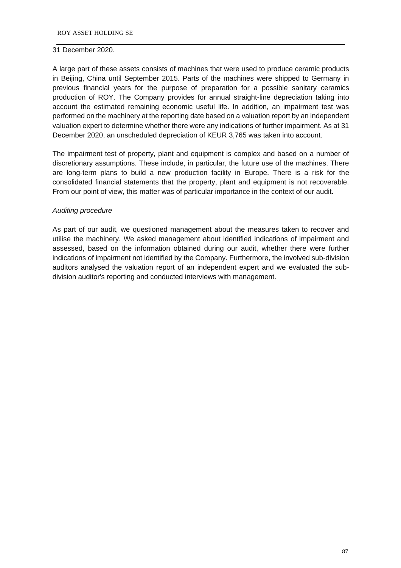### 31 December 2020.

A large part of these assets consists of machines that were used to produce ceramic products in Beijing, China until September 2015. Parts of the machines were shipped to Germany in previous financial years for the purpose of preparation for a possible sanitary ceramics production of ROY. The Company provides for annual straight-line depreciation taking into account the estimated remaining economic useful life. In addition, an impairment test was performed on the machinery at the reporting date based on a valuation report by an independent valuation expert to determine whether there were any indications of further impairment. As at 31 December 2020, an unscheduled depreciation of KEUR 3,765 was taken into account.

The impairment test of property, plant and equipment is complex and based on a number of discretionary assumptions. These include, in particular, the future use of the machines. There are long-term plans to build a new production facility in Europe. There is a risk for the consolidated financial statements that the property, plant and equipment is not recoverable. From our point of view, this matter was of particular importance in the context of our audit.

# *Auditing procedure*

As part of our audit, we questioned management about the measures taken to recover and utilise the machinery. We asked management about identified indications of impairment and assessed, based on the information obtained during our audit, whether there were further indications of impairment not identified by the Company. Furthermore, the involved sub-division auditors analysed the valuation report of an independent expert and we evaluated the subdivision auditor's reporting and conducted interviews with management.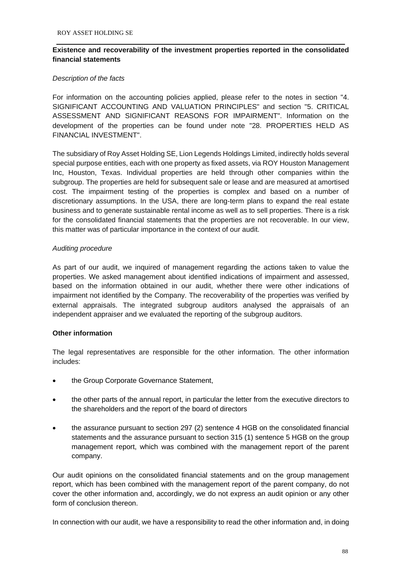# **Existence and recoverability of the investment properties reported in the consolidated financial statements**

## *Description of the facts*

For information on the accounting policies applied, please refer to the notes in section "4. SIGNIFICANT ACCOUNTING AND VALUATION PRINCIPLES" and section "5. CRITICAL ASSESSMENT AND SIGNIFICANT REASONS FOR IMPAIRMENT". Information on the development of the properties can be found under note "28. PROPERTIES HELD AS FINANCIAL INVESTMENT".

The subsidiary of Roy Asset Holding SE, Lion Legends Holdings Limited, indirectly holds several special purpose entities, each with one property as fixed assets, via ROY Houston Management Inc, Houston, Texas. Individual properties are held through other companies within the subgroup. The properties are held for subsequent sale or lease and are measured at amortised cost. The impairment testing of the properties is complex and based on a number of discretionary assumptions. In the USA, there are long-term plans to expand the real estate business and to generate sustainable rental income as well as to sell properties. There is a risk for the consolidated financial statements that the properties are not recoverable. In our view, this matter was of particular importance in the context of our audit.

## *Auditing procedure*

As part of our audit, we inquired of management regarding the actions taken to value the properties. We asked management about identified indications of impairment and assessed, based on the information obtained in our audit, whether there were other indications of impairment not identified by the Company. The recoverability of the properties was verified by external appraisals. The integrated subgroup auditors analysed the appraisals of an independent appraiser and we evaluated the reporting of the subgroup auditors.

#### **Other information**

The legal representatives are responsible for the other information. The other information includes:

- the Group Corporate Governance Statement,
- the other parts of the annual report, in particular the letter from the executive directors to the shareholders and the report of the board of directors
- the assurance pursuant to section 297 (2) sentence 4 HGB on the consolidated financial statements and the assurance pursuant to section 315 (1) sentence 5 HGB on the group management report, which was combined with the management report of the parent company.

Our audit opinions on the consolidated financial statements and on the group management report, which has been combined with the management report of the parent company, do not cover the other information and, accordingly, we do not express an audit opinion or any other form of conclusion thereon.

In connection with our audit, we have a responsibility to read the other information and, in doing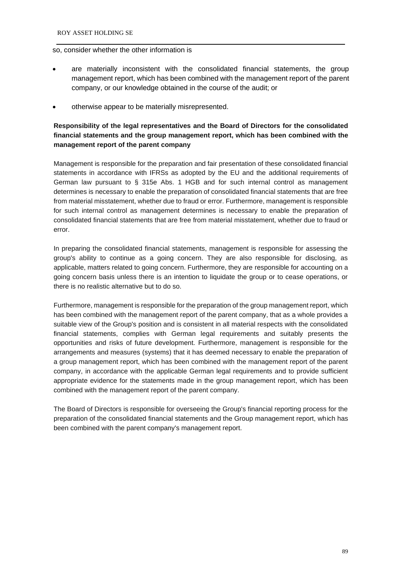### so, consider whether the other information is

- are materially inconsistent with the consolidated financial statements, the group management report, which has been combined with the management report of the parent company, or our knowledge obtained in the course of the audit; or
- otherwise appear to be materially misrepresented.

# **Responsibility of the legal representatives and the Board of Directors for the consolidated financial statements and the group management report, which has been combined with the management report of the parent company**

Management is responsible for the preparation and fair presentation of these consolidated financial statements in accordance with IFRSs as adopted by the EU and the additional requirements of German law pursuant to § 315e Abs. 1 HGB and for such internal control as management determines is necessary to enable the preparation of consolidated financial statements that are free from material misstatement, whether due to fraud or error. Furthermore, management is responsible for such internal control as management determines is necessary to enable the preparation of consolidated financial statements that are free from material misstatement, whether due to fraud or error.

In preparing the consolidated financial statements, management is responsible for assessing the group's ability to continue as a going concern. They are also responsible for disclosing, as applicable, matters related to going concern. Furthermore, they are responsible for accounting on a going concern basis unless there is an intention to liquidate the group or to cease operations, or there is no realistic alternative but to do so.

Furthermore, management is responsible for the preparation of the group management report, which has been combined with the management report of the parent company, that as a whole provides a suitable view of the Group's position and is consistent in all material respects with the consolidated financial statements, complies with German legal requirements and suitably presents the opportunities and risks of future development. Furthermore, management is responsible for the arrangements and measures (systems) that it has deemed necessary to enable the preparation of a group management report, which has been combined with the management report of the parent company, in accordance with the applicable German legal requirements and to provide sufficient appropriate evidence for the statements made in the group management report, which has been combined with the management report of the parent company.

The Board of Directors is responsible for overseeing the Group's financial reporting process for the preparation of the consolidated financial statements and the Group management report, which has been combined with the parent company's management report.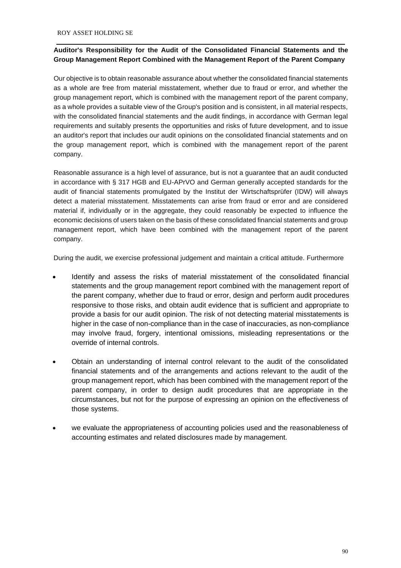## **Auditor's Responsibility for the Audit of the Consolidated Financial Statements and the Group Management Report Combined with the Management Report of the Parent Company**

Our objective is to obtain reasonable assurance about whether the consolidated financial statements as a whole are free from material misstatement, whether due to fraud or error, and whether the group management report, which is combined with the management report of the parent company, as a whole provides a suitable view of the Group's position and is consistent, in all material respects, with the consolidated financial statements and the audit findings, in accordance with German legal requirements and suitably presents the opportunities and risks of future development, and to issue an auditor's report that includes our audit opinions on the consolidated financial statements and on the group management report, which is combined with the management report of the parent company.

Reasonable assurance is a high level of assurance, but is not a guarantee that an audit conducted in accordance with § 317 HGB and EU-APrVO and German generally accepted standards for the audit of financial statements promulgated by the Institut der Wirtschaftsprüfer (IDW) will always detect a material misstatement. Misstatements can arise from fraud or error and are considered material if, individually or in the aggregate, they could reasonably be expected to influence the economic decisions of users taken on the basis of these consolidated financial statements and group management report, which have been combined with the management report of the parent company.

During the audit, we exercise professional judgement and maintain a critical attitude. Furthermore

- Identify and assess the risks of material misstatement of the consolidated financial statements and the group management report combined with the management report of the parent company, whether due to fraud or error, design and perform audit procedures responsive to those risks, and obtain audit evidence that is sufficient and appropriate to provide a basis for our audit opinion. The risk of not detecting material misstatements is higher in the case of non-compliance than in the case of inaccuracies, as non-compliance may involve fraud, forgery, intentional omissions, misleading representations or the override of internal controls.
- Obtain an understanding of internal control relevant to the audit of the consolidated financial statements and of the arrangements and actions relevant to the audit of the group management report, which has been combined with the management report of the parent company, in order to design audit procedures that are appropriate in the circumstances, but not for the purpose of expressing an opinion on the effectiveness of those systems.
- we evaluate the appropriateness of accounting policies used and the reasonableness of accounting estimates and related disclosures made by management.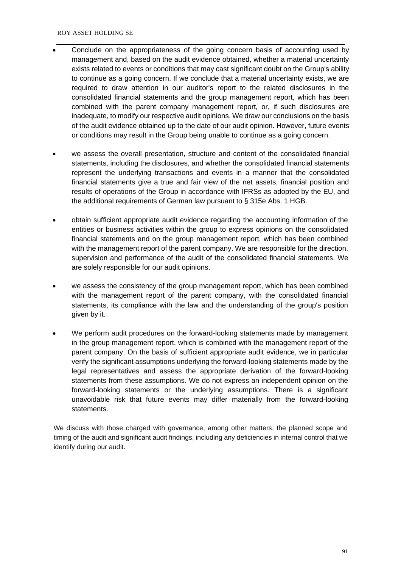- Conclude on the appropriateness of the going concern basis of accounting used by management and, based on the audit evidence obtained, whether a material uncertainty exists related to events or conditions that may cast significant doubt on the Group's ability to continue as a going concern. If we conclude that a material uncertainty exists, we are required to draw attention in our auditor's report to the related disclosures in the consolidated financial statements and the group management report, which has been combined with the parent company management report, or, if such disclosures are inadequate, to modify our respective audit opinions. We draw our conclusions on the basis of the audit evidence obtained up to the date of our audit opinion. However, future events or conditions may result in the Group being unable to continue as a going concern.
- we assess the overall presentation, structure and content of the consolidated financial statements, including the disclosures, and whether the consolidated financial statements represent the underlying transactions and events in a manner that the consolidated financial statements give a true and fair view of the net assets, financial position and results of operations of the Group in accordance with IFRSs as adopted by the EU, and the additional requirements of German law pursuant to § 315e Abs. 1 HGB.
- obtain sufficient appropriate audit evidence regarding the accounting information of the entities or business activities within the group to express opinions on the consolidated financial statements and on the group management report, which has been combined with the management report of the parent company. We are responsible for the direction, supervision and performance of the audit of the consolidated financial statements. We are solely responsible for our audit opinions.
- we assess the consistency of the group management report, which has been combined with the management report of the parent company, with the consolidated financial statements, its compliance with the law and the understanding of the group's position given by it.
- We perform audit procedures on the forward-looking statements made by management in the group management report, which is combined with the management report of the parent company. On the basis of sufficient appropriate audit evidence, we in particular verify the significant assumptions underlying the forward-looking statements made by the legal representatives and assess the appropriate derivation of the forward-looking statements from these assumptions. We do not express an independent opinion on the forward-looking statements or the underlying assumptions. There is a significant unavoidable risk that future events may differ materially from the forward-looking statements.

We discuss with those charged with governance, among other matters, the planned scope and timing of the audit and significant audit findings, including any deficiencies in internal control that we identify during our audit.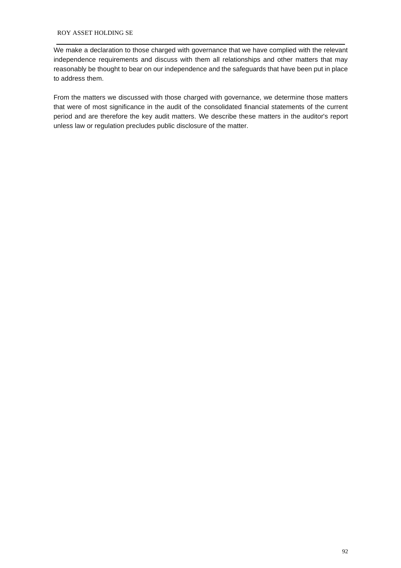We make a declaration to those charged with governance that we have complied with the relevant independence requirements and discuss with them all relationships and other matters that may reasonably be thought to bear on our independence and the safeguards that have been put in place to address them.

From the matters we discussed with those charged with governance, we determine those matters that were of most significance in the audit of the consolidated financial statements of the current period and are therefore the key audit matters. We describe these matters in the auditor's report unless law or regulation precludes public disclosure of the matter.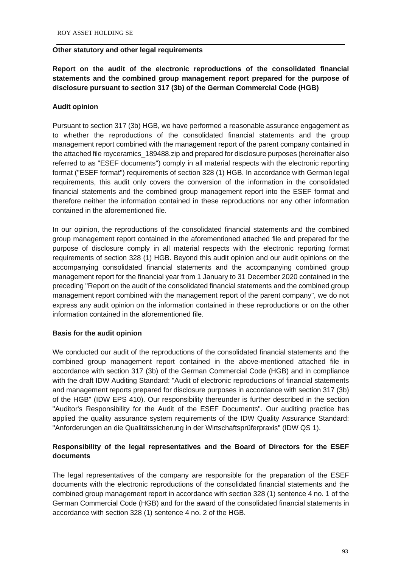#### **Other statutory and other legal requirements**

**Report on the audit of the electronic reproductions of the consolidated financial statements and the combined group management report prepared for the purpose of disclosure pursuant to section 317 (3b) of the German Commercial Code (HGB)**

## **Audit opinion**

Pursuant to section 317 (3b) HGB, we have performed a reasonable assurance engagement as to whether the reproductions of the consolidated financial statements and the group management report combined with the management report of the parent company contained in the attached file royceramics\_189488.zip and prepared for disclosure purposes (hereinafter also referred to as "ESEF documents") comply in all material respects with the electronic reporting format ("ESEF format") requirements of section 328 (1) HGB. In accordance with German legal requirements, this audit only covers the conversion of the information in the consolidated financial statements and the combined group management report into the ESEF format and therefore neither the information contained in these reproductions nor any other information contained in the aforementioned file.

In our opinion, the reproductions of the consolidated financial statements and the combined group management report contained in the aforementioned attached file and prepared for the purpose of disclosure comply in all material respects with the electronic reporting format requirements of section 328 (1) HGB. Beyond this audit opinion and our audit opinions on the accompanying consolidated financial statements and the accompanying combined group management report for the financial year from 1 January to 31 December 2020 contained in the preceding "Report on the audit of the consolidated financial statements and the combined group management report combined with the management report of the parent company", we do not express any audit opinion on the information contained in these reproductions or on the other information contained in the aforementioned file.

#### **Basis for the audit opinion**

We conducted our audit of the reproductions of the consolidated financial statements and the combined group management report contained in the above-mentioned attached file in accordance with section 317 (3b) of the German Commercial Code (HGB) and in compliance with the draft IDW Auditing Standard: "Audit of electronic reproductions of financial statements and management reports prepared for disclosure purposes in accordance with section 317 (3b) of the HGB" (IDW EPS 410). Our responsibility thereunder is further described in the section "Auditor's Responsibility for the Audit of the ESEF Documents". Our auditing practice has applied the quality assurance system requirements of the IDW Quality Assurance Standard: "Anforderungen an die Qualitätssicherung in der Wirtschaftsprüferpraxis" (IDW QS 1).

# **Responsibility of the legal representatives and the Board of Directors for the ESEF documents**

The legal representatives of the company are responsible for the preparation of the ESEF documents with the electronic reproductions of the consolidated financial statements and the combined group management report in accordance with section 328 (1) sentence 4 no. 1 of the German Commercial Code (HGB) and for the award of the consolidated financial statements in accordance with section 328 (1) sentence 4 no. 2 of the HGB.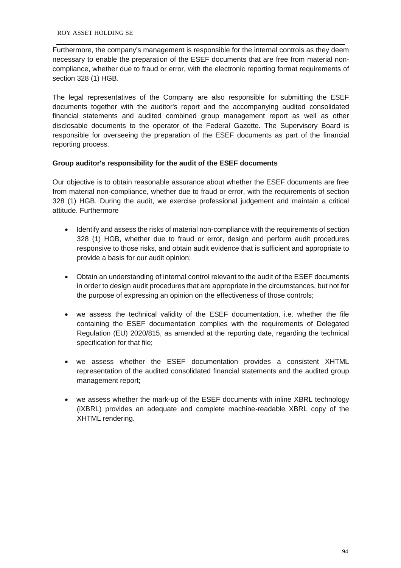Furthermore, the company's management is responsible for the internal controls as they deem necessary to enable the preparation of the ESEF documents that are free from material noncompliance, whether due to fraud or error, with the electronic reporting format requirements of section 328 (1) HGB.

The legal representatives of the Company are also responsible for submitting the ESEF documents together with the auditor's report and the accompanying audited consolidated financial statements and audited combined group management report as well as other disclosable documents to the operator of the Federal Gazette. The Supervisory Board is responsible for overseeing the preparation of the ESEF documents as part of the financial reporting process.

# **Group auditor's responsibility for the audit of the ESEF documents**

Our objective is to obtain reasonable assurance about whether the ESEF documents are free from material non-compliance, whether due to fraud or error, with the requirements of section 328 (1) HGB. During the audit, we exercise professional judgement and maintain a critical attitude. Furthermore

- Identify and assess the risks of material non-compliance with the requirements of section 328 (1) HGB, whether due to fraud or error, design and perform audit procedures responsive to those risks, and obtain audit evidence that is sufficient and appropriate to provide a basis for our audit opinion;
- Obtain an understanding of internal control relevant to the audit of the ESEF documents in order to design audit procedures that are appropriate in the circumstances, but not for the purpose of expressing an opinion on the effectiveness of those controls;
- we assess the technical validity of the ESEF documentation, i.e. whether the file containing the ESEF documentation complies with the requirements of Delegated Regulation (EU) 2020/815, as amended at the reporting date, regarding the technical specification for that file;
- we assess whether the ESEF documentation provides a consistent XHTML representation of the audited consolidated financial statements and the audited group management report;
- we assess whether the mark-up of the ESEF documents with inline XBRL technology (iXBRL) provides an adequate and complete machine-readable XBRL copy of the XHTML rendering.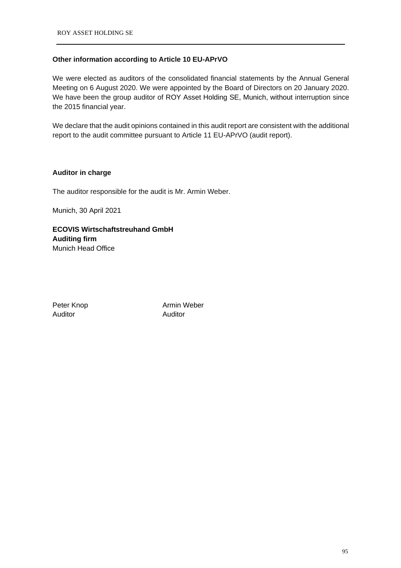## **Other information according to Article 10 EU-APrVO**

We were elected as auditors of the consolidated financial statements by the Annual General Meeting on 6 August 2020. We were appointed by the Board of Directors on 20 January 2020. We have been the group auditor of ROY Asset Holding SE, Munich, without interruption since the 2015 financial year.

We declare that the audit opinions contained in this audit report are consistent with the additional report to the audit committee pursuant to Article 11 EU-APrVO (audit report).

## **Auditor in charge**

The auditor responsible for the audit is Mr. Armin Weber.

Munich, 30 April 2021

**ECOVIS Wirtschaftstreuhand GmbH Auditing firm** Munich Head Office

Auditor Auditor

Peter Knop **Armin Weber**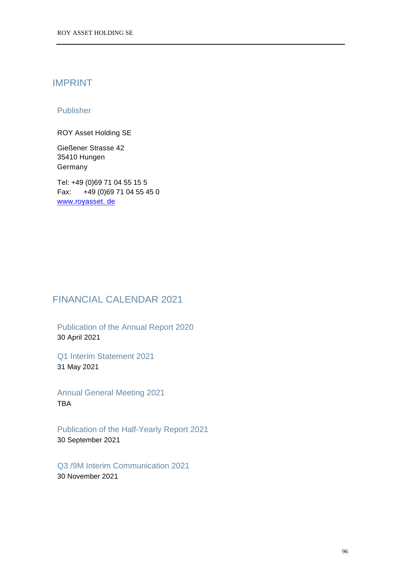# IMPRINT

# Publisher

ROY Asset Holding SE

Gießener Strasse 42 35410 Hungen Germany

Tel: +49 (0)69 71 04 55 15 5 Fax: +49 (0)69 71 04 55 45 0 [www.royasset. de](http://www.royasset.de/)

# FINANCIAL CALENDAR 2021

Publication of the Annual Report 2020 30 April 2021

Q1 Interim Statement 2021 31 May 2021

Annual General Meeting 2021 TBA

Publication of the Half-Yearly Report 2021 30 September 2021

Q3 /9M Interim Communication 2021 30 November 2021